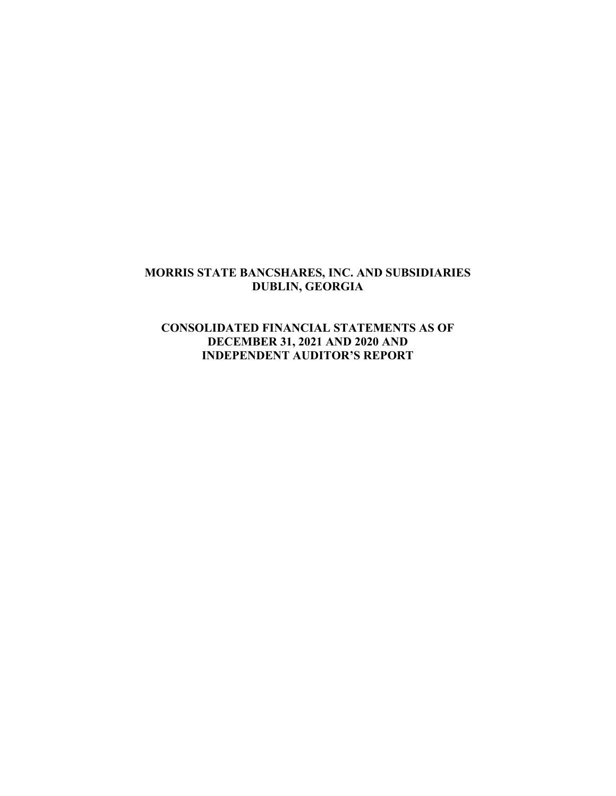## **MORRIS STATE BANCSHARES, INC. AND SUBSIDIARIES DUBLIN, GEORGIA**

## **CONSOLIDATED FINANCIAL STATEMENTS AS OF DECEMBER 31, 2021 AND 2020 AND INDEPENDENT AUDITOR'S REPORT**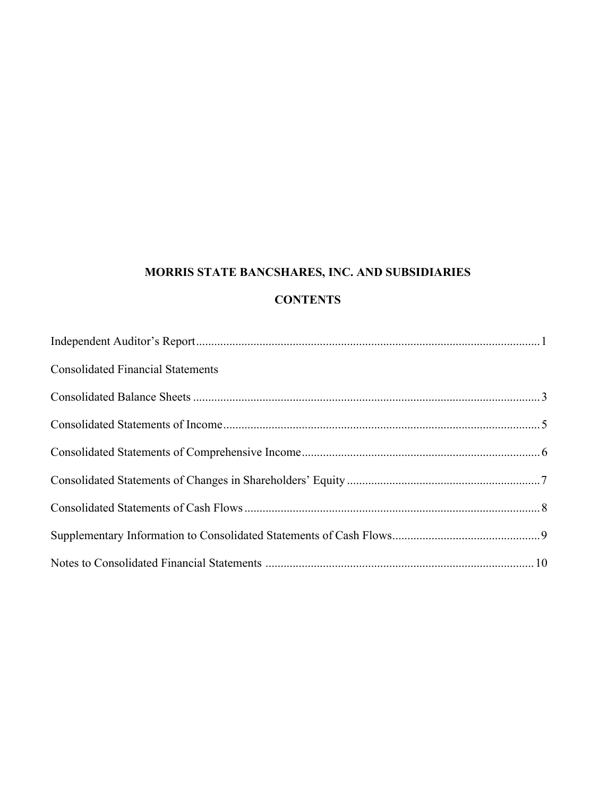## **MORRIS STATE BANCSHARES, INC. AND SUBSIDIARIES**

# **CONTENTS**

| <b>Consolidated Financial Statements</b> |  |
|------------------------------------------|--|
|                                          |  |
|                                          |  |
|                                          |  |
|                                          |  |
|                                          |  |
|                                          |  |
|                                          |  |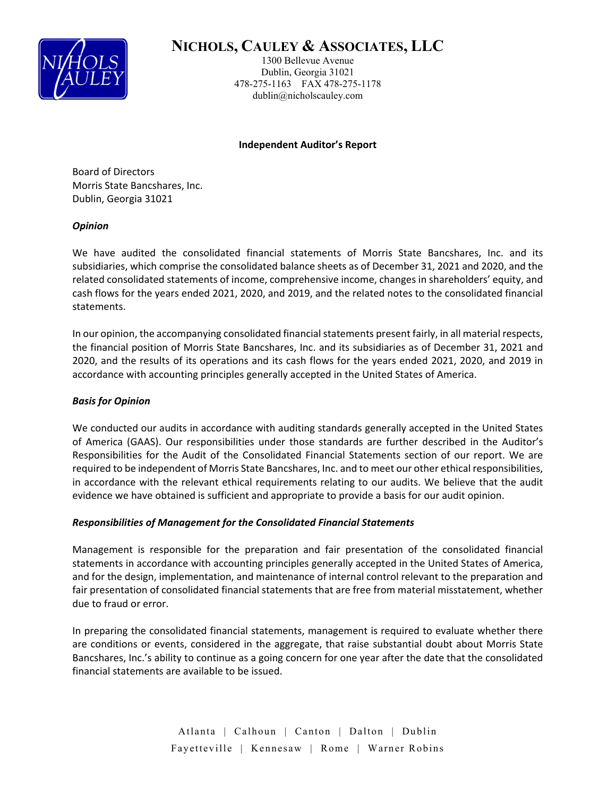

# **NICHOLS, CAULEY & ASSOCIATES, LLC**

1300 Bellevue Avenue Dublin, Georgia 31021 478-275-1163 FAX 478-275-1178 dublin@nicholscauley.com

#### **Independent Auditor's Report**

Board of Directors Morris State Bancshares, Inc. Dublin, Georgia 31021

#### *Opinion*

We have audited the consolidated financial statements of Morris State Bancshares, Inc. and its subsidiaries, which comprise the consolidated balance sheets as of December 31, 2021 and 2020, and the related consolidated statements of income, comprehensive income, changes in shareholders' equity, and cash flows for the years ended 2021, 2020, and 2019, and the related notes to the consolidated financial statements.

In our opinion, the accompanying consolidated financial statements present fairly, in all material respects, the financial position of Morris State Bancshares, Inc. and its subsidiaries as of December 31, 2021 and 2020, and the results of its operations and its cash flows for the years ended 2021, 2020, and 2019 in accordance with accounting principles generally accepted in the United States of America.

#### *Basis for Opinion*

We conducted our audits in accordance with auditing standards generally accepted in the United States of America (GAAS). Our responsibilities under those standards are further described in the Auditor's Responsibilities for the Audit of the Consolidated Financial Statements section of our report. We are required to be independent of Morris State Bancshares, Inc. and to meet our other ethical responsibilities, in accordance with the relevant ethical requirements relating to our audits. We believe that the audit evidence we have obtained is sufficient and appropriate to provide a basis for our audit opinion.

#### *Responsibilities of Management for the Consolidated Financial Statements*

Management is responsible for the preparation and fair presentation of the consolidated financial statements in accordance with accounting principles generally accepted in the United States of America, and for the design, implementation, and maintenance of internal control relevant to the preparation and fair presentation of consolidated financial statements that are free from material misstatement, whether due to fraud or error.

In preparing the consolidated financial statements, management is required to evaluate whether there are conditions or events, considered in the aggregate, that raise substantial doubt about Morris State Bancshares, Inc.'s ability to continue as a going concern for one year after the date that the consolidated financial statements are available to be issued.

> Atlanta | Calhoun | Canton | Dalton | Dublin Fayetteville | Kennesaw | Rome | Warner Robins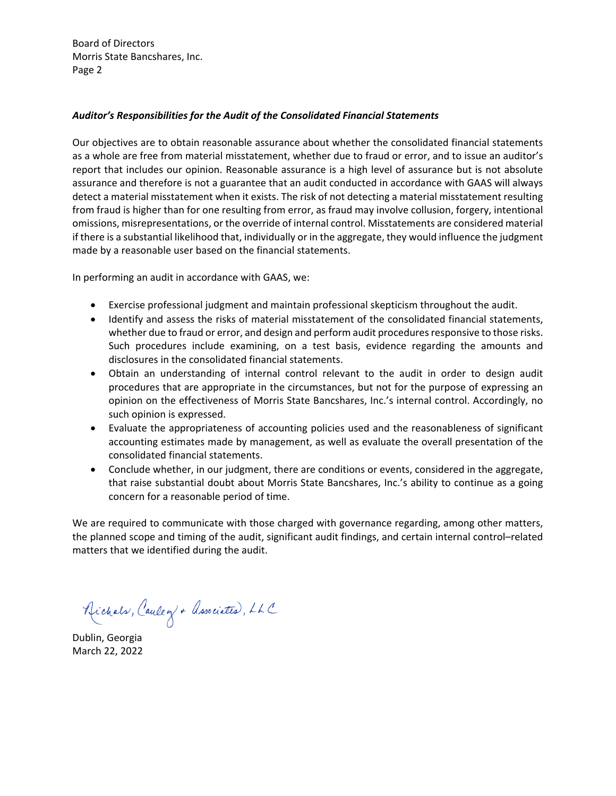Board of Directors Morris State Bancshares, Inc. Page 2

#### *Auditor's Responsibilities for the Audit of the Consolidated Financial Statements*

Our objectives are to obtain reasonable assurance about whether the consolidated financial statements as a whole are free from material misstatement, whether due to fraud or error, and to issue an auditor's report that includes our opinion. Reasonable assurance is a high level of assurance but is not absolute assurance and therefore is not a guarantee that an audit conducted in accordance with GAAS will always detect a material misstatement when it exists. The risk of not detecting a material misstatement resulting from fraud is higher than for one resulting from error, as fraud may involve collusion, forgery, intentional omissions, misrepresentations, or the override of internal control. Misstatements are considered material if there is a substantial likelihood that, individually or in the aggregate, they would influence the judgment made by a reasonable user based on the financial statements.

In performing an audit in accordance with GAAS, we:

- Exercise professional judgment and maintain professional skepticism throughout the audit.
- Identify and assess the risks of material misstatement of the consolidated financial statements, whether due to fraud or error, and design and perform audit procedures responsive to those risks. Such procedures include examining, on a test basis, evidence regarding the amounts and disclosures in the consolidated financial statements.
- Obtain an understanding of internal control relevant to the audit in order to design audit procedures that are appropriate in the circumstances, but not for the purpose of expressing an opinion on the effectiveness of Morris State Bancshares, Inc.'s internal control. Accordingly, no such opinion is expressed.
- Evaluate the appropriateness of accounting policies used and the reasonableness of significant accounting estimates made by management, as well as evaluate the overall presentation of the consolidated financial statements.
- Conclude whether, in our judgment, there are conditions or events, considered in the aggregate, that raise substantial doubt about Morris State Bancshares, Inc.'s ability to continue as a going concern for a reasonable period of time.

We are required to communicate with those charged with governance regarding, among other matters, the planned scope and timing of the audit, significant audit findings, and certain internal control–related matters that we identified during the audit.

Richals, Cauley + Associated, LLC

Dublin, Georgia March 22, 2022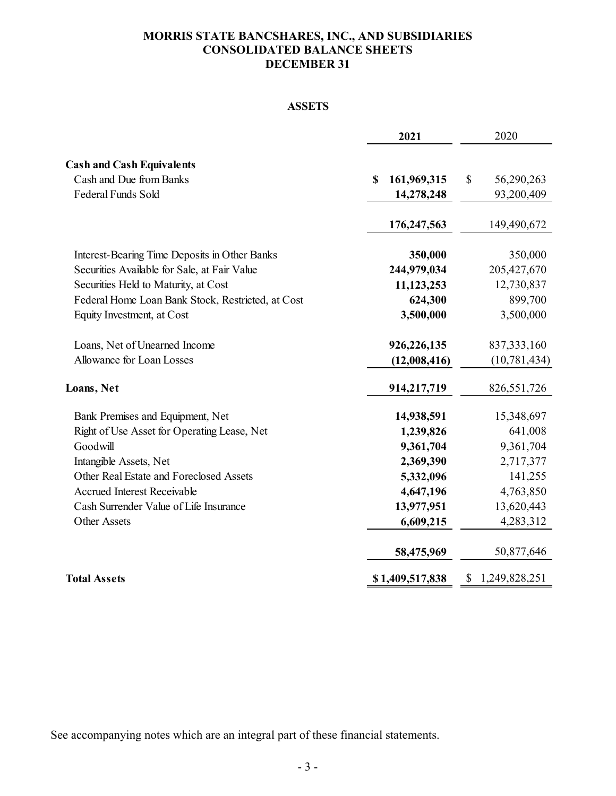## **MORRIS STATE BANCSHARES, INC., AND SUBSIDIARIES CONSOLIDATED BALANCE SHEETS DECEMBER 31**

## **ASSETS**

|                                                   | 2021              | 2020                          |
|---------------------------------------------------|-------------------|-------------------------------|
| <b>Cash and Cash Equivalents</b>                  |                   |                               |
| Cash and Due from Banks                           | 161,969,315<br>\$ | \$<br>56,290,263              |
| Federal Funds Sold                                | 14,278,248        | 93,200,409                    |
|                                                   | 176, 247, 563     | 149,490,672                   |
| Interest-Bearing Time Deposits in Other Banks     | 350,000           | 350,000                       |
| Securities Available for Sale, at Fair Value      | 244,979,034       | 205,427,670                   |
| Securities Held to Maturity, at Cost              | 11,123,253        | 12,730,837                    |
| Federal Home Loan Bank Stock, Restricted, at Cost | 624,300           | 899,700                       |
| Equity Investment, at Cost                        | 3,500,000         | 3,500,000                     |
| Loans, Net of Unearned Income                     | 926,226,135       | 837, 333, 160                 |
| Allowance for Loan Losses                         | (12,008,416)      | (10, 781, 434)                |
| Loans, Net                                        | 914,217,719       | 826,551,726                   |
| Bank Premises and Equipment, Net                  | 14,938,591        | 15,348,697                    |
| Right of Use Asset for Operating Lease, Net       | 1,239,826         | 641,008                       |
| Goodwill                                          | 9,361,704         | 9,361,704                     |
| Intangible Assets, Net                            | 2,369,390         | 2,717,377                     |
| Other Real Estate and Foreclosed Assets           | 5,332,096         | 141,255                       |
| <b>Accrued Interest Receivable</b>                | 4,647,196         | 4,763,850                     |
| Cash Surrender Value of Life Insurance            | 13,977,951        | 13,620,443                    |
| Other Assets                                      | 6,609,215         | 4,283,312                     |
|                                                   | 58,475,969        | 50,877,646                    |
| <b>Total Assets</b>                               | \$1,409,517,838   | 1,249,828,251<br>$\mathbb{S}$ |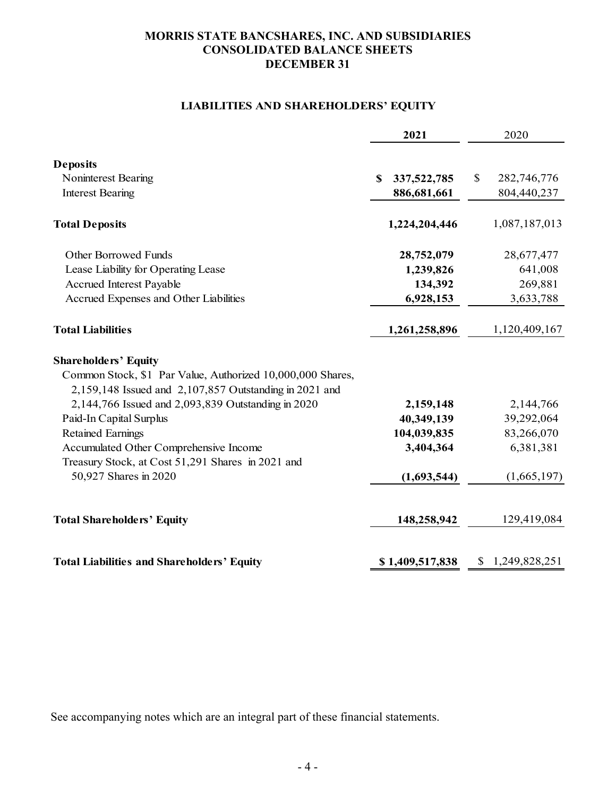## **MORRIS STATE BANCSHARES, INC. AND SUBSIDIARIES CONSOLIDATED BALANCE SHEETS DECEMBER 31**

## **LIABILITIES AND SHAREHOLDERS' EQUITY**

|                                                                                                                      | 2021             | 2020                          |
|----------------------------------------------------------------------------------------------------------------------|------------------|-------------------------------|
| <b>Deposits</b>                                                                                                      |                  |                               |
| <b>Noninterest Bearing</b>                                                                                           | 337,522,785<br>S | \$<br>282,746,776             |
| <b>Interest Bearing</b>                                                                                              | 886,681,661      | 804,440,237                   |
| <b>Total Deposits</b>                                                                                                | 1,224,204,446    | 1,087,187,013                 |
| Other Borrowed Funds                                                                                                 | 28,752,079       | 28,677,477                    |
| Lease Liability for Operating Lease                                                                                  | 1,239,826        | 641,008                       |
| <b>Accrued Interest Payable</b>                                                                                      | 134,392          | 269,881                       |
| Accrued Expenses and Other Liabilities                                                                               | 6,928,153        | 3,633,788                     |
| <b>Total Liabilities</b>                                                                                             | 1,261,258,896    | 1,120,409,167                 |
| <b>Shareholders' Equity</b>                                                                                          |                  |                               |
| Common Stock, \$1 Par Value, Authorized 10,000,000 Shares,<br>2,159,148 Issued and 2,107,857 Outstanding in 2021 and |                  |                               |
| 2,144,766 Issued and 2,093,839 Outstanding in 2020                                                                   | 2,159,148        | 2,144,766                     |
| Paid-In Capital Surplus                                                                                              | 40,349,139       | 39,292,064                    |
| <b>Retained Earnings</b>                                                                                             | 104,039,835      | 83,266,070                    |
| Accumulated Other Comprehensive Income                                                                               | 3,404,364        | 6,381,381                     |
| Treasury Stock, at Cost 51,291 Shares in 2021 and                                                                    |                  |                               |
| 50,927 Shares in 2020                                                                                                | (1,693,544)      | (1,665,197)                   |
| <b>Total Shareholders' Equity</b>                                                                                    | 148,258,942      | 129,419,084                   |
| <b>Total Liabilities and Shareholders' Equity</b>                                                                    | \$1,409,517,838  | 1,249,828,251<br>$\mathbb{S}$ |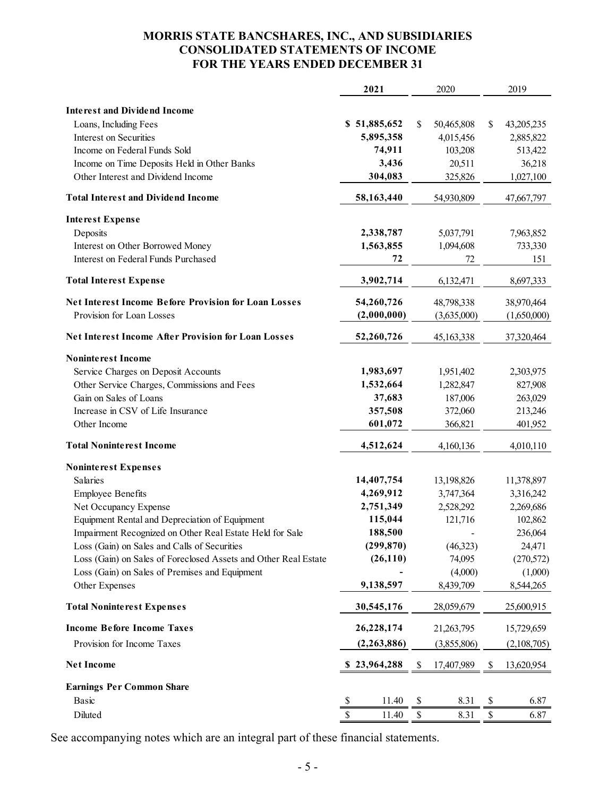## **MORRIS STATE BANCSHARES, INC., AND SUBSIDIARIES CONSOLIDATED STATEMENTS OF INCOME FOR THE YEARS ENDED DECEMBER 31**

|                                                                 | 2021          | 2020             | 2019             |
|-----------------------------------------------------------------|---------------|------------------|------------------|
| <b>Interest and Dividend Income</b>                             |               |                  |                  |
| Loans, Including Fees                                           | \$51,885,652  | \$<br>50,465,808 | \$<br>43,205,235 |
| <b>Interest on Securities</b>                                   | 5,895,358     | 4,015,456        | 2,885,822        |
| Income on Federal Funds Sold                                    | 74,911        | 103,208          | 513,422          |
| Income on Time Deposits Held in Other Banks                     | 3,436         | 20,511           | 36,218           |
| Other Interest and Dividend Income                              | 304,083       | 325,826          | 1,027,100        |
|                                                                 |               |                  |                  |
| <b>Total Interest and Dividend Income</b>                       | 58,163,440    | 54,930,809       | 47,667,797       |
| <b>Interest Expense</b>                                         |               |                  |                  |
| Deposits                                                        | 2,338,787     | 5,037,791        | 7,963,852        |
| Interest on Other Borrowed Money                                | 1,563,855     | 1,094,608        | 733,330          |
| Interest on Federal Funds Purchased                             | 72            | 72               | 151              |
| <b>Total Interest Expense</b>                                   | 3,902,714     | 6,132,471        | 8,697,333        |
|                                                                 |               |                  |                  |
| <b>Net Interest Income Before Provision for Loan Losses</b>     | 54,260,726    | 48,798,338       | 38,970,464       |
| Provision for Loan Losses                                       | (2,000,000)   | (3,635,000)      | (1,650,000)      |
| <b>Net Interest Income After Provision for Loan Losses</b>      | 52,260,726    | 45,163,338       | 37,320,464       |
| <b>Noninterest Income</b>                                       |               |                  |                  |
| Service Charges on Deposit Accounts                             | 1,983,697     | 1,951,402        | 2,303,975        |
| Other Service Charges, Commissions and Fees                     | 1,532,664     | 1,282,847        | 827,908          |
| Gain on Sales of Loans                                          | 37,683        | 187,006          | 263,029          |
| Increase in CSV of Life Insurance                               | 357,508       | 372,060          | 213,246          |
| Other Income                                                    | 601,072       | 366,821          | 401,952          |
|                                                                 |               |                  |                  |
| <b>Total Noninterest Income</b>                                 | 4,512,624     | 4,160,136        | 4,010,110        |
| Noninterest Expenses                                            |               |                  |                  |
| <b>Salaries</b>                                                 | 14,407,754    | 13,198,826       | 11,378,897       |
| <b>Employee Benefits</b>                                        | 4,269,912     | 3,747,364        | 3,316,242        |
| Net Occupancy Expense                                           | 2,751,349     | 2,528,292        | 2,269,686        |
| Equipment Rental and Depreciation of Equipment                  | 115,044       | 121,716          | 102,862          |
| Impairment Recognized on Other Real Estate Held for Sale        | 188,500       |                  | 236,064          |
| Loss (Gain) on Sales and Calls of Securities                    | (299, 870)    | (46,323)         | 24,471           |
| Loss (Gain) on Sales of Foreclosed Assets and Other Real Estate | (26, 110)     | 74,095           | (270, 572)       |
| Loss (Gain) on Sales of Premises and Equipment                  |               | (4,000)          | (1,000)          |
| Other Expenses                                                  | 9,138,597     | 8,439,709        | 8,544,265        |
| <b>Total Noninterest Expenses</b>                               | 30,545,176    | 28,059,679       | 25,600,915       |
| <b>Income Before Income Taxes</b>                               | 26,228,174    | 21,263,795       | 15,729,659       |
| Provision for Income Taxes                                      | (2, 263, 886) | (3,855,806)      | (2,108,705)      |
| <b>Net Income</b>                                               | \$23,964,288  | \$<br>17,407,989 | \$<br>13,620,954 |
| <b>Earnings Per Common Share</b>                                |               |                  |                  |
| Basic                                                           | \$<br>11.40   | \$<br>8.31       | \$<br>6.87       |
| Diluted                                                         | \$<br>11.40   | \$<br>8.31       | \$<br>6.87       |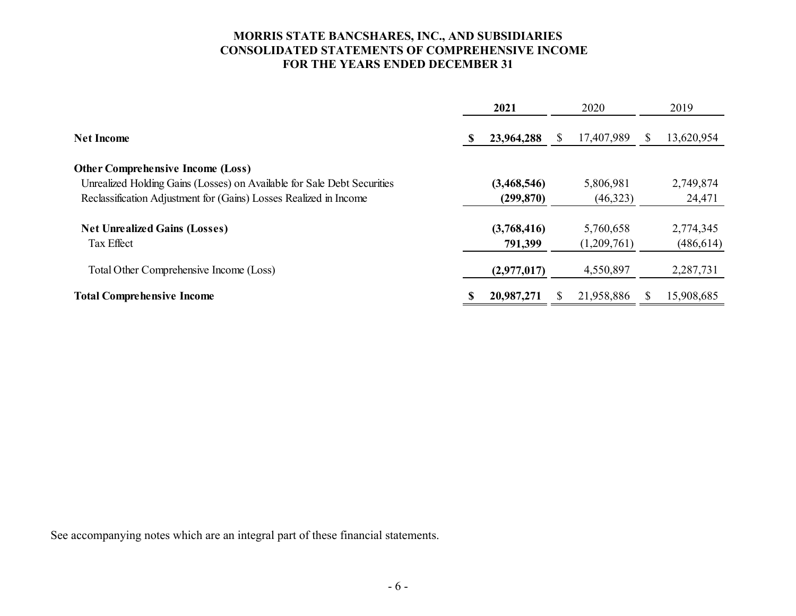## **MORRIS STATE BANCSHARES, INC., AND SUBSIDIARIES CONSOLIDATED STATEMENTS OF COMPREHENSIVE INCOME FOR THE YEARS ENDED DECEMBER 31**

|                                                                         | 2021        |    | 2020        | 2019 |            |
|-------------------------------------------------------------------------|-------------|----|-------------|------|------------|
| <b>Net Income</b>                                                       | 23,964,288  | У. | 17,407,989  | S.   | 13,620,954 |
| <b>Other Comprehensive Income (Loss)</b>                                |             |    |             |      |            |
| Unrealized Holding Gains (Losses) on Available for Sale Debt Securities | (3,468,546) |    | 5,806,981   |      | 2,749,874  |
| Reclassification Adjustment for (Gains) Losses Realized in Income       | (299, 870)  |    | (46,323)    |      | 24,471     |
| <b>Net Unrealized Gains (Losses)</b>                                    | (3,768,416) |    | 5,760,658   |      | 2,774,345  |
| <b>Tax Effect</b>                                                       | 791,399     |    | (1,209,761) |      | (486, 614) |
| Total Other Comprehensive Income (Loss)                                 | (2,977,017) |    | 4,550,897   |      | 2,287,731  |
| <b>Total Comprehensive Income</b>                                       | 20,987,271  |    | 21,958,886  |      | 15,908,685 |
|                                                                         |             |    |             |      |            |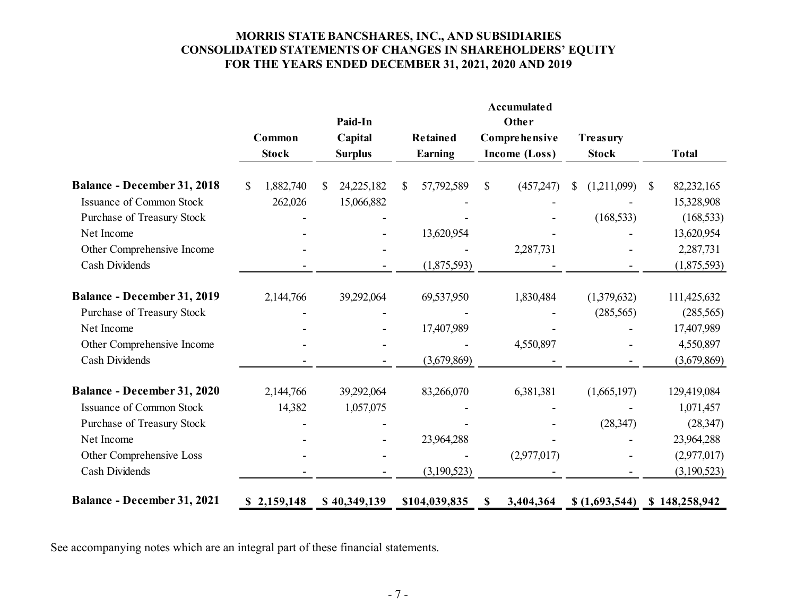## **MORRIS STATE BANCSHARES, INC., AND SUBSIDIARIES CONSOLIDATED STATEMENTS OF CHANGES IN SHAREHOLDERS' EQUITY FOR THE YEARS ENDED DECEMBER 31, 2021, 2020 AND 2019**

|                                    |                 |                  |                  | <b>Accumulated</b> |                   |                  |
|------------------------------------|-----------------|------------------|------------------|--------------------|-------------------|------------------|
|                                    |                 | Paid-In          |                  | Other              |                   |                  |
|                                    | Common          | Capital          | Retained         | Comprehensive      | <b>Treasury</b>   |                  |
|                                    | <b>Stock</b>    | <b>Surplus</b>   | <b>Earning</b>   | Income (Loss)      | <b>Stock</b>      | <b>Total</b>     |
| <b>Balance - December 31, 2018</b> | 1,882,740<br>\$ | 24,225,182<br>\$ | 57,792,589<br>\$ | \$<br>(457,247)    | (1,211,099)<br>\$ | 82,232,165<br>\$ |
| <b>Issuance of Common Stock</b>    | 262,026         | 15,066,882       |                  |                    |                   | 15,328,908       |
| Purchase of Treasury Stock         |                 |                  |                  |                    | (168, 533)        | (168, 533)       |
| Net Income                         |                 |                  | 13,620,954       |                    |                   | 13,620,954       |
| Other Comprehensive Income         |                 |                  |                  | 2,287,731          |                   | 2,287,731        |
| Cash Dividends                     |                 |                  | (1,875,593)      |                    |                   | (1,875,593)      |
| Balance - December 31, 2019        | 2,144,766       | 39,292,064       | 69,537,950       | 1,830,484          | (1,379,632)       | 111,425,632      |
| Purchase of Treasury Stock         |                 |                  |                  |                    | (285,565)         | (285, 565)       |
| Net Income                         |                 |                  | 17,407,989       |                    |                   | 17,407,989       |
| Other Comprehensive Income         |                 |                  |                  | 4,550,897          |                   | 4,550,897        |
| Cash Dividends                     |                 |                  | (3,679,869)      |                    |                   | (3,679,869)      |
| <b>Balance - December 31, 2020</b> | 2,144,766       | 39,292,064       | 83,266,070       | 6,381,381          | (1,665,197)       | 129,419,084      |
| <b>Issuance of Common Stock</b>    | 14,382          | 1,057,075        |                  |                    |                   | 1,071,457        |
| Purchase of Treasury Stock         |                 |                  |                  |                    | (28, 347)         | (28, 347)        |
| Net Income                         |                 |                  | 23,964,288       |                    |                   | 23,964,288       |
| Other Comprehensive Loss           |                 |                  |                  | (2,977,017)        |                   | (2,977,017)      |
| Cash Dividends                     |                 |                  | (3,190,523)      |                    |                   | (3,190,523)      |
| <b>Balance - December 31, 2021</b> | \$2,159,148     | \$40,349,139     | \$104,039,835    | 3,404,364<br>\$    | \$(1,693,544)     | \$148,258,942    |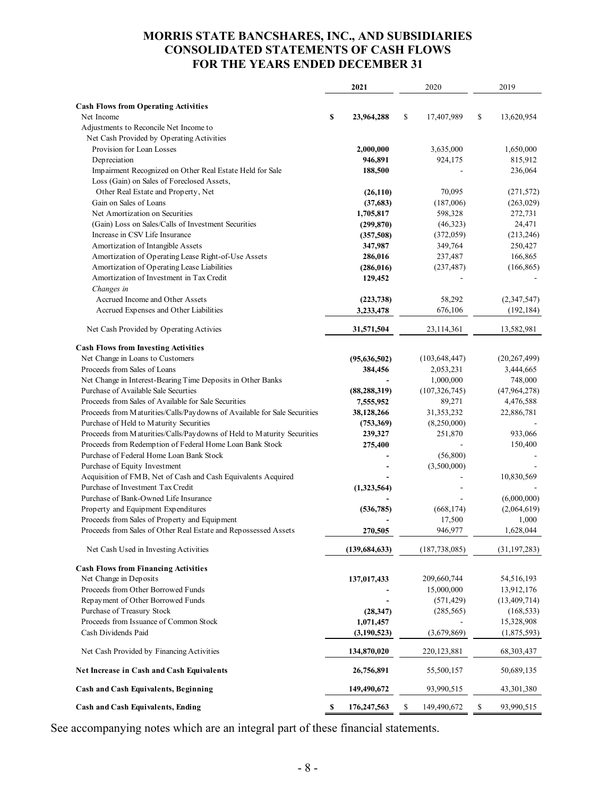## **MORRIS STATE BANCSHARES, INC., AND SUBSIDIARIES CONSOLIDATED STATEMENTS OF CASH FLOWS FOR THE YEARS ENDED DECEMBER 31**

| <b>Cash Flows from Operating Activities</b><br>Net Income<br>\$<br>\$<br>17,407,989<br>\$<br>13,620,954<br>23,964,288<br>Adjustments to Reconcile Net Income to<br>Net Cash Provided by Operating Activities<br>Provision for Loan Losses<br>3,635,000<br>1,650,000<br>2,000,000<br>Depreciation<br>924,175<br>815,912<br>946,891<br>Impairment Recognized on Other Real Estate Held for Sale<br>236,064<br>188,500<br>Loss (Gain) on Sales of Foreclosed Assets,<br>Other Real Estate and Property, Net<br>(26, 110)<br>70,095<br>(271, 572)<br>Gain on Sales of Loans<br>(187,006)<br>(263, 029)<br>(37,683)<br>Net Amortization on Securities<br>1,705,817<br>598,328<br>272,731<br>(Gain) Loss on Sales/Calls of Investment Securities<br>24,471<br>(299, 870)<br>(46,323)<br>Increase in CSV Life Insurance<br>(357,508)<br>(372,059)<br>(213, 246)<br>250,427<br>Amortization of Intangible Assets<br>349,764<br>347,987<br>166,865<br>Amortization of Operating Lease Right-of-Use Assets<br>286,016<br>237,487<br>Amortization of Operating Lease Liabilities<br>(286, 016)<br>(237, 487)<br>(166, 865)<br>Amortization of Investment in Tax Credit<br>129,452<br>Changes in<br>Accrued Income and Other Assets<br>(223, 738)<br>58,292<br>(2,347,547)<br>Accrued Expenses and Other Liabilities<br>3,233,478<br>676,106<br>(192, 184)<br>Net Cash Provided by Operating Activies<br>23,114,361<br>13,582,981<br>31,571,504<br><b>Cash Flows from Investing Activities</b><br>Net Change in Loans to Customers<br>(95, 636, 502)<br>(103, 648, 447)<br>(20, 267, 499)<br>Proceeds from Sales of Loans<br>2,053,231<br>3,444,665<br>384,456<br>Net Change in Interest-Bearing Time Deposits in Other Banks<br>1,000,000<br>748,000<br>Purchase of Available Sale Securties<br>(88, 288, 319)<br>(107, 326, 745)<br>(47, 964, 278)<br>Proceeds from Sales of Available for Sale Securities<br>7,555,952<br>89,271<br>4,476,588<br>Proceeds from Maturities/Calls/Paydowns of Available for Sale Securities<br>31,353,232<br>22,886,781<br>38,128,266<br>Purchase of Held to Maturity Securities<br>(753, 369)<br>(8,250,000)<br>Proceeds from Maturities/Calls/Paydowns of Held to Maturity Securities<br>933,066<br>239,327<br>251,870<br>Proceeds from Redemption of Federal Home Loan Bank Stock<br>275,400<br>150,400<br>Purchase of Federal Home Loan Bank Stock<br>(56,800)<br>Purchase of Equity Investment<br>(3,500,000)<br>Acquisition of FMB, Net of Cash and Cash Equivalents Acquired<br>10,830,569<br>Purchase of Investment Tax Credit<br>(1,323,564)<br>Purchase of Bank-Owned Life Insurance<br>(6,000,000)<br>(668, 174)<br>Property and Equipment Expenditures<br>(536, 785)<br>(2,064,619)<br>Proceeds from Sales of Property and Equipment<br>17,500<br>1,000<br>Proceeds from Sales of Other Real Estate and Repossessed Assets<br>270,505<br>946,977<br>1,628,044<br>Net Cash Used in Investing Activities<br>(139, 684, 633)<br>(187, 738, 085)<br><b>Cash Flows from Financing Activities</b><br>Net Change in Deposits<br>209,660,744<br>54,516,193<br>137,017,433<br>Proceeds from Other Borrowed Funds<br>15,000,000<br>13,912,176<br>Repayment of Other Borrowed Funds<br>(571, 429)<br>Purchase of Treasury Stock<br>(28, 347)<br>(285, 565)<br>Proceeds from Issuance of Common Stock<br>1,071,457<br>Cash Dividends Paid<br>(3,679,869)<br>(3,190,523)<br>Net Cash Provided by Financing Activities<br>134,870,020<br>220,123,881<br>Net Increase in Cash and Cash Equivalents<br>26,756,891<br>55,500,157<br>50,689,135<br>93,990,515<br>Cash and Cash Equivalents, Beginning<br>149,490,672<br>43,301,380<br>\$<br>\$<br>149,490,672<br>93,990,515<br>Cash and Cash Equivalents, Ending<br>S<br>176,247,563 |  | 2021 | 2020 | 2019           |
|-----------------------------------------------------------------------------------------------------------------------------------------------------------------------------------------------------------------------------------------------------------------------------------------------------------------------------------------------------------------------------------------------------------------------------------------------------------------------------------------------------------------------------------------------------------------------------------------------------------------------------------------------------------------------------------------------------------------------------------------------------------------------------------------------------------------------------------------------------------------------------------------------------------------------------------------------------------------------------------------------------------------------------------------------------------------------------------------------------------------------------------------------------------------------------------------------------------------------------------------------------------------------------------------------------------------------------------------------------------------------------------------------------------------------------------------------------------------------------------------------------------------------------------------------------------------------------------------------------------------------------------------------------------------------------------------------------------------------------------------------------------------------------------------------------------------------------------------------------------------------------------------------------------------------------------------------------------------------------------------------------------------------------------------------------------------------------------------------------------------------------------------------------------------------------------------------------------------------------------------------------------------------------------------------------------------------------------------------------------------------------------------------------------------------------------------------------------------------------------------------------------------------------------------------------------------------------------------------------------------------------------------------------------------------------------------------------------------------------------------------------------------------------------------------------------------------------------------------------------------------------------------------------------------------------------------------------------------------------------------------------------------------------------------------------------------------------------------------------------------------------------------------------------------------------------------------------------------------------------------------------------------------------------------------------------------------------------------------------------------------------------------------------------------------------------------------------------------------------------------------------------------------------------------------------------------------------------------------------------------------------------------------------------------------------------------------------------------------------------------------------|--|------|------|----------------|
|                                                                                                                                                                                                                                                                                                                                                                                                                                                                                                                                                                                                                                                                                                                                                                                                                                                                                                                                                                                                                                                                                                                                                                                                                                                                                                                                                                                                                                                                                                                                                                                                                                                                                                                                                                                                                                                                                                                                                                                                                                                                                                                                                                                                                                                                                                                                                                                                                                                                                                                                                                                                                                                                                                                                                                                                                                                                                                                                                                                                                                                                                                                                                                                                                                                                                                                                                                                                                                                                                                                                                                                                                                                                                                                                                     |  |      |      |                |
|                                                                                                                                                                                                                                                                                                                                                                                                                                                                                                                                                                                                                                                                                                                                                                                                                                                                                                                                                                                                                                                                                                                                                                                                                                                                                                                                                                                                                                                                                                                                                                                                                                                                                                                                                                                                                                                                                                                                                                                                                                                                                                                                                                                                                                                                                                                                                                                                                                                                                                                                                                                                                                                                                                                                                                                                                                                                                                                                                                                                                                                                                                                                                                                                                                                                                                                                                                                                                                                                                                                                                                                                                                                                                                                                                     |  |      |      |                |
|                                                                                                                                                                                                                                                                                                                                                                                                                                                                                                                                                                                                                                                                                                                                                                                                                                                                                                                                                                                                                                                                                                                                                                                                                                                                                                                                                                                                                                                                                                                                                                                                                                                                                                                                                                                                                                                                                                                                                                                                                                                                                                                                                                                                                                                                                                                                                                                                                                                                                                                                                                                                                                                                                                                                                                                                                                                                                                                                                                                                                                                                                                                                                                                                                                                                                                                                                                                                                                                                                                                                                                                                                                                                                                                                                     |  |      |      |                |
|                                                                                                                                                                                                                                                                                                                                                                                                                                                                                                                                                                                                                                                                                                                                                                                                                                                                                                                                                                                                                                                                                                                                                                                                                                                                                                                                                                                                                                                                                                                                                                                                                                                                                                                                                                                                                                                                                                                                                                                                                                                                                                                                                                                                                                                                                                                                                                                                                                                                                                                                                                                                                                                                                                                                                                                                                                                                                                                                                                                                                                                                                                                                                                                                                                                                                                                                                                                                                                                                                                                                                                                                                                                                                                                                                     |  |      |      |                |
|                                                                                                                                                                                                                                                                                                                                                                                                                                                                                                                                                                                                                                                                                                                                                                                                                                                                                                                                                                                                                                                                                                                                                                                                                                                                                                                                                                                                                                                                                                                                                                                                                                                                                                                                                                                                                                                                                                                                                                                                                                                                                                                                                                                                                                                                                                                                                                                                                                                                                                                                                                                                                                                                                                                                                                                                                                                                                                                                                                                                                                                                                                                                                                                                                                                                                                                                                                                                                                                                                                                                                                                                                                                                                                                                                     |  |      |      |                |
|                                                                                                                                                                                                                                                                                                                                                                                                                                                                                                                                                                                                                                                                                                                                                                                                                                                                                                                                                                                                                                                                                                                                                                                                                                                                                                                                                                                                                                                                                                                                                                                                                                                                                                                                                                                                                                                                                                                                                                                                                                                                                                                                                                                                                                                                                                                                                                                                                                                                                                                                                                                                                                                                                                                                                                                                                                                                                                                                                                                                                                                                                                                                                                                                                                                                                                                                                                                                                                                                                                                                                                                                                                                                                                                                                     |  |      |      |                |
|                                                                                                                                                                                                                                                                                                                                                                                                                                                                                                                                                                                                                                                                                                                                                                                                                                                                                                                                                                                                                                                                                                                                                                                                                                                                                                                                                                                                                                                                                                                                                                                                                                                                                                                                                                                                                                                                                                                                                                                                                                                                                                                                                                                                                                                                                                                                                                                                                                                                                                                                                                                                                                                                                                                                                                                                                                                                                                                                                                                                                                                                                                                                                                                                                                                                                                                                                                                                                                                                                                                                                                                                                                                                                                                                                     |  |      |      |                |
|                                                                                                                                                                                                                                                                                                                                                                                                                                                                                                                                                                                                                                                                                                                                                                                                                                                                                                                                                                                                                                                                                                                                                                                                                                                                                                                                                                                                                                                                                                                                                                                                                                                                                                                                                                                                                                                                                                                                                                                                                                                                                                                                                                                                                                                                                                                                                                                                                                                                                                                                                                                                                                                                                                                                                                                                                                                                                                                                                                                                                                                                                                                                                                                                                                                                                                                                                                                                                                                                                                                                                                                                                                                                                                                                                     |  |      |      |                |
|                                                                                                                                                                                                                                                                                                                                                                                                                                                                                                                                                                                                                                                                                                                                                                                                                                                                                                                                                                                                                                                                                                                                                                                                                                                                                                                                                                                                                                                                                                                                                                                                                                                                                                                                                                                                                                                                                                                                                                                                                                                                                                                                                                                                                                                                                                                                                                                                                                                                                                                                                                                                                                                                                                                                                                                                                                                                                                                                                                                                                                                                                                                                                                                                                                                                                                                                                                                                                                                                                                                                                                                                                                                                                                                                                     |  |      |      |                |
|                                                                                                                                                                                                                                                                                                                                                                                                                                                                                                                                                                                                                                                                                                                                                                                                                                                                                                                                                                                                                                                                                                                                                                                                                                                                                                                                                                                                                                                                                                                                                                                                                                                                                                                                                                                                                                                                                                                                                                                                                                                                                                                                                                                                                                                                                                                                                                                                                                                                                                                                                                                                                                                                                                                                                                                                                                                                                                                                                                                                                                                                                                                                                                                                                                                                                                                                                                                                                                                                                                                                                                                                                                                                                                                                                     |  |      |      |                |
|                                                                                                                                                                                                                                                                                                                                                                                                                                                                                                                                                                                                                                                                                                                                                                                                                                                                                                                                                                                                                                                                                                                                                                                                                                                                                                                                                                                                                                                                                                                                                                                                                                                                                                                                                                                                                                                                                                                                                                                                                                                                                                                                                                                                                                                                                                                                                                                                                                                                                                                                                                                                                                                                                                                                                                                                                                                                                                                                                                                                                                                                                                                                                                                                                                                                                                                                                                                                                                                                                                                                                                                                                                                                                                                                                     |  |      |      |                |
|                                                                                                                                                                                                                                                                                                                                                                                                                                                                                                                                                                                                                                                                                                                                                                                                                                                                                                                                                                                                                                                                                                                                                                                                                                                                                                                                                                                                                                                                                                                                                                                                                                                                                                                                                                                                                                                                                                                                                                                                                                                                                                                                                                                                                                                                                                                                                                                                                                                                                                                                                                                                                                                                                                                                                                                                                                                                                                                                                                                                                                                                                                                                                                                                                                                                                                                                                                                                                                                                                                                                                                                                                                                                                                                                                     |  |      |      |                |
|                                                                                                                                                                                                                                                                                                                                                                                                                                                                                                                                                                                                                                                                                                                                                                                                                                                                                                                                                                                                                                                                                                                                                                                                                                                                                                                                                                                                                                                                                                                                                                                                                                                                                                                                                                                                                                                                                                                                                                                                                                                                                                                                                                                                                                                                                                                                                                                                                                                                                                                                                                                                                                                                                                                                                                                                                                                                                                                                                                                                                                                                                                                                                                                                                                                                                                                                                                                                                                                                                                                                                                                                                                                                                                                                                     |  |      |      |                |
|                                                                                                                                                                                                                                                                                                                                                                                                                                                                                                                                                                                                                                                                                                                                                                                                                                                                                                                                                                                                                                                                                                                                                                                                                                                                                                                                                                                                                                                                                                                                                                                                                                                                                                                                                                                                                                                                                                                                                                                                                                                                                                                                                                                                                                                                                                                                                                                                                                                                                                                                                                                                                                                                                                                                                                                                                                                                                                                                                                                                                                                                                                                                                                                                                                                                                                                                                                                                                                                                                                                                                                                                                                                                                                                                                     |  |      |      |                |
|                                                                                                                                                                                                                                                                                                                                                                                                                                                                                                                                                                                                                                                                                                                                                                                                                                                                                                                                                                                                                                                                                                                                                                                                                                                                                                                                                                                                                                                                                                                                                                                                                                                                                                                                                                                                                                                                                                                                                                                                                                                                                                                                                                                                                                                                                                                                                                                                                                                                                                                                                                                                                                                                                                                                                                                                                                                                                                                                                                                                                                                                                                                                                                                                                                                                                                                                                                                                                                                                                                                                                                                                                                                                                                                                                     |  |      |      |                |
|                                                                                                                                                                                                                                                                                                                                                                                                                                                                                                                                                                                                                                                                                                                                                                                                                                                                                                                                                                                                                                                                                                                                                                                                                                                                                                                                                                                                                                                                                                                                                                                                                                                                                                                                                                                                                                                                                                                                                                                                                                                                                                                                                                                                                                                                                                                                                                                                                                                                                                                                                                                                                                                                                                                                                                                                                                                                                                                                                                                                                                                                                                                                                                                                                                                                                                                                                                                                                                                                                                                                                                                                                                                                                                                                                     |  |      |      |                |
|                                                                                                                                                                                                                                                                                                                                                                                                                                                                                                                                                                                                                                                                                                                                                                                                                                                                                                                                                                                                                                                                                                                                                                                                                                                                                                                                                                                                                                                                                                                                                                                                                                                                                                                                                                                                                                                                                                                                                                                                                                                                                                                                                                                                                                                                                                                                                                                                                                                                                                                                                                                                                                                                                                                                                                                                                                                                                                                                                                                                                                                                                                                                                                                                                                                                                                                                                                                                                                                                                                                                                                                                                                                                                                                                                     |  |      |      |                |
|                                                                                                                                                                                                                                                                                                                                                                                                                                                                                                                                                                                                                                                                                                                                                                                                                                                                                                                                                                                                                                                                                                                                                                                                                                                                                                                                                                                                                                                                                                                                                                                                                                                                                                                                                                                                                                                                                                                                                                                                                                                                                                                                                                                                                                                                                                                                                                                                                                                                                                                                                                                                                                                                                                                                                                                                                                                                                                                                                                                                                                                                                                                                                                                                                                                                                                                                                                                                                                                                                                                                                                                                                                                                                                                                                     |  |      |      |                |
|                                                                                                                                                                                                                                                                                                                                                                                                                                                                                                                                                                                                                                                                                                                                                                                                                                                                                                                                                                                                                                                                                                                                                                                                                                                                                                                                                                                                                                                                                                                                                                                                                                                                                                                                                                                                                                                                                                                                                                                                                                                                                                                                                                                                                                                                                                                                                                                                                                                                                                                                                                                                                                                                                                                                                                                                                                                                                                                                                                                                                                                                                                                                                                                                                                                                                                                                                                                                                                                                                                                                                                                                                                                                                                                                                     |  |      |      |                |
|                                                                                                                                                                                                                                                                                                                                                                                                                                                                                                                                                                                                                                                                                                                                                                                                                                                                                                                                                                                                                                                                                                                                                                                                                                                                                                                                                                                                                                                                                                                                                                                                                                                                                                                                                                                                                                                                                                                                                                                                                                                                                                                                                                                                                                                                                                                                                                                                                                                                                                                                                                                                                                                                                                                                                                                                                                                                                                                                                                                                                                                                                                                                                                                                                                                                                                                                                                                                                                                                                                                                                                                                                                                                                                                                                     |  |      |      |                |
|                                                                                                                                                                                                                                                                                                                                                                                                                                                                                                                                                                                                                                                                                                                                                                                                                                                                                                                                                                                                                                                                                                                                                                                                                                                                                                                                                                                                                                                                                                                                                                                                                                                                                                                                                                                                                                                                                                                                                                                                                                                                                                                                                                                                                                                                                                                                                                                                                                                                                                                                                                                                                                                                                                                                                                                                                                                                                                                                                                                                                                                                                                                                                                                                                                                                                                                                                                                                                                                                                                                                                                                                                                                                                                                                                     |  |      |      |                |
|                                                                                                                                                                                                                                                                                                                                                                                                                                                                                                                                                                                                                                                                                                                                                                                                                                                                                                                                                                                                                                                                                                                                                                                                                                                                                                                                                                                                                                                                                                                                                                                                                                                                                                                                                                                                                                                                                                                                                                                                                                                                                                                                                                                                                                                                                                                                                                                                                                                                                                                                                                                                                                                                                                                                                                                                                                                                                                                                                                                                                                                                                                                                                                                                                                                                                                                                                                                                                                                                                                                                                                                                                                                                                                                                                     |  |      |      |                |
|                                                                                                                                                                                                                                                                                                                                                                                                                                                                                                                                                                                                                                                                                                                                                                                                                                                                                                                                                                                                                                                                                                                                                                                                                                                                                                                                                                                                                                                                                                                                                                                                                                                                                                                                                                                                                                                                                                                                                                                                                                                                                                                                                                                                                                                                                                                                                                                                                                                                                                                                                                                                                                                                                                                                                                                                                                                                                                                                                                                                                                                                                                                                                                                                                                                                                                                                                                                                                                                                                                                                                                                                                                                                                                                                                     |  |      |      |                |
|                                                                                                                                                                                                                                                                                                                                                                                                                                                                                                                                                                                                                                                                                                                                                                                                                                                                                                                                                                                                                                                                                                                                                                                                                                                                                                                                                                                                                                                                                                                                                                                                                                                                                                                                                                                                                                                                                                                                                                                                                                                                                                                                                                                                                                                                                                                                                                                                                                                                                                                                                                                                                                                                                                                                                                                                                                                                                                                                                                                                                                                                                                                                                                                                                                                                                                                                                                                                                                                                                                                                                                                                                                                                                                                                                     |  |      |      |                |
|                                                                                                                                                                                                                                                                                                                                                                                                                                                                                                                                                                                                                                                                                                                                                                                                                                                                                                                                                                                                                                                                                                                                                                                                                                                                                                                                                                                                                                                                                                                                                                                                                                                                                                                                                                                                                                                                                                                                                                                                                                                                                                                                                                                                                                                                                                                                                                                                                                                                                                                                                                                                                                                                                                                                                                                                                                                                                                                                                                                                                                                                                                                                                                                                                                                                                                                                                                                                                                                                                                                                                                                                                                                                                                                                                     |  |      |      |                |
|                                                                                                                                                                                                                                                                                                                                                                                                                                                                                                                                                                                                                                                                                                                                                                                                                                                                                                                                                                                                                                                                                                                                                                                                                                                                                                                                                                                                                                                                                                                                                                                                                                                                                                                                                                                                                                                                                                                                                                                                                                                                                                                                                                                                                                                                                                                                                                                                                                                                                                                                                                                                                                                                                                                                                                                                                                                                                                                                                                                                                                                                                                                                                                                                                                                                                                                                                                                                                                                                                                                                                                                                                                                                                                                                                     |  |      |      |                |
|                                                                                                                                                                                                                                                                                                                                                                                                                                                                                                                                                                                                                                                                                                                                                                                                                                                                                                                                                                                                                                                                                                                                                                                                                                                                                                                                                                                                                                                                                                                                                                                                                                                                                                                                                                                                                                                                                                                                                                                                                                                                                                                                                                                                                                                                                                                                                                                                                                                                                                                                                                                                                                                                                                                                                                                                                                                                                                                                                                                                                                                                                                                                                                                                                                                                                                                                                                                                                                                                                                                                                                                                                                                                                                                                                     |  |      |      |                |
|                                                                                                                                                                                                                                                                                                                                                                                                                                                                                                                                                                                                                                                                                                                                                                                                                                                                                                                                                                                                                                                                                                                                                                                                                                                                                                                                                                                                                                                                                                                                                                                                                                                                                                                                                                                                                                                                                                                                                                                                                                                                                                                                                                                                                                                                                                                                                                                                                                                                                                                                                                                                                                                                                                                                                                                                                                                                                                                                                                                                                                                                                                                                                                                                                                                                                                                                                                                                                                                                                                                                                                                                                                                                                                                                                     |  |      |      |                |
|                                                                                                                                                                                                                                                                                                                                                                                                                                                                                                                                                                                                                                                                                                                                                                                                                                                                                                                                                                                                                                                                                                                                                                                                                                                                                                                                                                                                                                                                                                                                                                                                                                                                                                                                                                                                                                                                                                                                                                                                                                                                                                                                                                                                                                                                                                                                                                                                                                                                                                                                                                                                                                                                                                                                                                                                                                                                                                                                                                                                                                                                                                                                                                                                                                                                                                                                                                                                                                                                                                                                                                                                                                                                                                                                                     |  |      |      |                |
|                                                                                                                                                                                                                                                                                                                                                                                                                                                                                                                                                                                                                                                                                                                                                                                                                                                                                                                                                                                                                                                                                                                                                                                                                                                                                                                                                                                                                                                                                                                                                                                                                                                                                                                                                                                                                                                                                                                                                                                                                                                                                                                                                                                                                                                                                                                                                                                                                                                                                                                                                                                                                                                                                                                                                                                                                                                                                                                                                                                                                                                                                                                                                                                                                                                                                                                                                                                                                                                                                                                                                                                                                                                                                                                                                     |  |      |      |                |
|                                                                                                                                                                                                                                                                                                                                                                                                                                                                                                                                                                                                                                                                                                                                                                                                                                                                                                                                                                                                                                                                                                                                                                                                                                                                                                                                                                                                                                                                                                                                                                                                                                                                                                                                                                                                                                                                                                                                                                                                                                                                                                                                                                                                                                                                                                                                                                                                                                                                                                                                                                                                                                                                                                                                                                                                                                                                                                                                                                                                                                                                                                                                                                                                                                                                                                                                                                                                                                                                                                                                                                                                                                                                                                                                                     |  |      |      |                |
|                                                                                                                                                                                                                                                                                                                                                                                                                                                                                                                                                                                                                                                                                                                                                                                                                                                                                                                                                                                                                                                                                                                                                                                                                                                                                                                                                                                                                                                                                                                                                                                                                                                                                                                                                                                                                                                                                                                                                                                                                                                                                                                                                                                                                                                                                                                                                                                                                                                                                                                                                                                                                                                                                                                                                                                                                                                                                                                                                                                                                                                                                                                                                                                                                                                                                                                                                                                                                                                                                                                                                                                                                                                                                                                                                     |  |      |      |                |
|                                                                                                                                                                                                                                                                                                                                                                                                                                                                                                                                                                                                                                                                                                                                                                                                                                                                                                                                                                                                                                                                                                                                                                                                                                                                                                                                                                                                                                                                                                                                                                                                                                                                                                                                                                                                                                                                                                                                                                                                                                                                                                                                                                                                                                                                                                                                                                                                                                                                                                                                                                                                                                                                                                                                                                                                                                                                                                                                                                                                                                                                                                                                                                                                                                                                                                                                                                                                                                                                                                                                                                                                                                                                                                                                                     |  |      |      |                |
|                                                                                                                                                                                                                                                                                                                                                                                                                                                                                                                                                                                                                                                                                                                                                                                                                                                                                                                                                                                                                                                                                                                                                                                                                                                                                                                                                                                                                                                                                                                                                                                                                                                                                                                                                                                                                                                                                                                                                                                                                                                                                                                                                                                                                                                                                                                                                                                                                                                                                                                                                                                                                                                                                                                                                                                                                                                                                                                                                                                                                                                                                                                                                                                                                                                                                                                                                                                                                                                                                                                                                                                                                                                                                                                                                     |  |      |      |                |
|                                                                                                                                                                                                                                                                                                                                                                                                                                                                                                                                                                                                                                                                                                                                                                                                                                                                                                                                                                                                                                                                                                                                                                                                                                                                                                                                                                                                                                                                                                                                                                                                                                                                                                                                                                                                                                                                                                                                                                                                                                                                                                                                                                                                                                                                                                                                                                                                                                                                                                                                                                                                                                                                                                                                                                                                                                                                                                                                                                                                                                                                                                                                                                                                                                                                                                                                                                                                                                                                                                                                                                                                                                                                                                                                                     |  |      |      |                |
|                                                                                                                                                                                                                                                                                                                                                                                                                                                                                                                                                                                                                                                                                                                                                                                                                                                                                                                                                                                                                                                                                                                                                                                                                                                                                                                                                                                                                                                                                                                                                                                                                                                                                                                                                                                                                                                                                                                                                                                                                                                                                                                                                                                                                                                                                                                                                                                                                                                                                                                                                                                                                                                                                                                                                                                                                                                                                                                                                                                                                                                                                                                                                                                                                                                                                                                                                                                                                                                                                                                                                                                                                                                                                                                                                     |  |      |      |                |
|                                                                                                                                                                                                                                                                                                                                                                                                                                                                                                                                                                                                                                                                                                                                                                                                                                                                                                                                                                                                                                                                                                                                                                                                                                                                                                                                                                                                                                                                                                                                                                                                                                                                                                                                                                                                                                                                                                                                                                                                                                                                                                                                                                                                                                                                                                                                                                                                                                                                                                                                                                                                                                                                                                                                                                                                                                                                                                                                                                                                                                                                                                                                                                                                                                                                                                                                                                                                                                                                                                                                                                                                                                                                                                                                                     |  |      |      |                |
|                                                                                                                                                                                                                                                                                                                                                                                                                                                                                                                                                                                                                                                                                                                                                                                                                                                                                                                                                                                                                                                                                                                                                                                                                                                                                                                                                                                                                                                                                                                                                                                                                                                                                                                                                                                                                                                                                                                                                                                                                                                                                                                                                                                                                                                                                                                                                                                                                                                                                                                                                                                                                                                                                                                                                                                                                                                                                                                                                                                                                                                                                                                                                                                                                                                                                                                                                                                                                                                                                                                                                                                                                                                                                                                                                     |  |      |      |                |
|                                                                                                                                                                                                                                                                                                                                                                                                                                                                                                                                                                                                                                                                                                                                                                                                                                                                                                                                                                                                                                                                                                                                                                                                                                                                                                                                                                                                                                                                                                                                                                                                                                                                                                                                                                                                                                                                                                                                                                                                                                                                                                                                                                                                                                                                                                                                                                                                                                                                                                                                                                                                                                                                                                                                                                                                                                                                                                                                                                                                                                                                                                                                                                                                                                                                                                                                                                                                                                                                                                                                                                                                                                                                                                                                                     |  |      |      |                |
|                                                                                                                                                                                                                                                                                                                                                                                                                                                                                                                                                                                                                                                                                                                                                                                                                                                                                                                                                                                                                                                                                                                                                                                                                                                                                                                                                                                                                                                                                                                                                                                                                                                                                                                                                                                                                                                                                                                                                                                                                                                                                                                                                                                                                                                                                                                                                                                                                                                                                                                                                                                                                                                                                                                                                                                                                                                                                                                                                                                                                                                                                                                                                                                                                                                                                                                                                                                                                                                                                                                                                                                                                                                                                                                                                     |  |      |      |                |
|                                                                                                                                                                                                                                                                                                                                                                                                                                                                                                                                                                                                                                                                                                                                                                                                                                                                                                                                                                                                                                                                                                                                                                                                                                                                                                                                                                                                                                                                                                                                                                                                                                                                                                                                                                                                                                                                                                                                                                                                                                                                                                                                                                                                                                                                                                                                                                                                                                                                                                                                                                                                                                                                                                                                                                                                                                                                                                                                                                                                                                                                                                                                                                                                                                                                                                                                                                                                                                                                                                                                                                                                                                                                                                                                                     |  |      |      |                |
|                                                                                                                                                                                                                                                                                                                                                                                                                                                                                                                                                                                                                                                                                                                                                                                                                                                                                                                                                                                                                                                                                                                                                                                                                                                                                                                                                                                                                                                                                                                                                                                                                                                                                                                                                                                                                                                                                                                                                                                                                                                                                                                                                                                                                                                                                                                                                                                                                                                                                                                                                                                                                                                                                                                                                                                                                                                                                                                                                                                                                                                                                                                                                                                                                                                                                                                                                                                                                                                                                                                                                                                                                                                                                                                                                     |  |      |      | (31, 197, 283) |
|                                                                                                                                                                                                                                                                                                                                                                                                                                                                                                                                                                                                                                                                                                                                                                                                                                                                                                                                                                                                                                                                                                                                                                                                                                                                                                                                                                                                                                                                                                                                                                                                                                                                                                                                                                                                                                                                                                                                                                                                                                                                                                                                                                                                                                                                                                                                                                                                                                                                                                                                                                                                                                                                                                                                                                                                                                                                                                                                                                                                                                                                                                                                                                                                                                                                                                                                                                                                                                                                                                                                                                                                                                                                                                                                                     |  |      |      |                |
|                                                                                                                                                                                                                                                                                                                                                                                                                                                                                                                                                                                                                                                                                                                                                                                                                                                                                                                                                                                                                                                                                                                                                                                                                                                                                                                                                                                                                                                                                                                                                                                                                                                                                                                                                                                                                                                                                                                                                                                                                                                                                                                                                                                                                                                                                                                                                                                                                                                                                                                                                                                                                                                                                                                                                                                                                                                                                                                                                                                                                                                                                                                                                                                                                                                                                                                                                                                                                                                                                                                                                                                                                                                                                                                                                     |  |      |      |                |
|                                                                                                                                                                                                                                                                                                                                                                                                                                                                                                                                                                                                                                                                                                                                                                                                                                                                                                                                                                                                                                                                                                                                                                                                                                                                                                                                                                                                                                                                                                                                                                                                                                                                                                                                                                                                                                                                                                                                                                                                                                                                                                                                                                                                                                                                                                                                                                                                                                                                                                                                                                                                                                                                                                                                                                                                                                                                                                                                                                                                                                                                                                                                                                                                                                                                                                                                                                                                                                                                                                                                                                                                                                                                                                                                                     |  |      |      |                |
|                                                                                                                                                                                                                                                                                                                                                                                                                                                                                                                                                                                                                                                                                                                                                                                                                                                                                                                                                                                                                                                                                                                                                                                                                                                                                                                                                                                                                                                                                                                                                                                                                                                                                                                                                                                                                                                                                                                                                                                                                                                                                                                                                                                                                                                                                                                                                                                                                                                                                                                                                                                                                                                                                                                                                                                                                                                                                                                                                                                                                                                                                                                                                                                                                                                                                                                                                                                                                                                                                                                                                                                                                                                                                                                                                     |  |      |      | (13, 409, 714) |
|                                                                                                                                                                                                                                                                                                                                                                                                                                                                                                                                                                                                                                                                                                                                                                                                                                                                                                                                                                                                                                                                                                                                                                                                                                                                                                                                                                                                                                                                                                                                                                                                                                                                                                                                                                                                                                                                                                                                                                                                                                                                                                                                                                                                                                                                                                                                                                                                                                                                                                                                                                                                                                                                                                                                                                                                                                                                                                                                                                                                                                                                                                                                                                                                                                                                                                                                                                                                                                                                                                                                                                                                                                                                                                                                                     |  |      |      | (168, 533)     |
|                                                                                                                                                                                                                                                                                                                                                                                                                                                                                                                                                                                                                                                                                                                                                                                                                                                                                                                                                                                                                                                                                                                                                                                                                                                                                                                                                                                                                                                                                                                                                                                                                                                                                                                                                                                                                                                                                                                                                                                                                                                                                                                                                                                                                                                                                                                                                                                                                                                                                                                                                                                                                                                                                                                                                                                                                                                                                                                                                                                                                                                                                                                                                                                                                                                                                                                                                                                                                                                                                                                                                                                                                                                                                                                                                     |  |      |      | 15,328,908     |
|                                                                                                                                                                                                                                                                                                                                                                                                                                                                                                                                                                                                                                                                                                                                                                                                                                                                                                                                                                                                                                                                                                                                                                                                                                                                                                                                                                                                                                                                                                                                                                                                                                                                                                                                                                                                                                                                                                                                                                                                                                                                                                                                                                                                                                                                                                                                                                                                                                                                                                                                                                                                                                                                                                                                                                                                                                                                                                                                                                                                                                                                                                                                                                                                                                                                                                                                                                                                                                                                                                                                                                                                                                                                                                                                                     |  |      |      | (1,875,593)    |
|                                                                                                                                                                                                                                                                                                                                                                                                                                                                                                                                                                                                                                                                                                                                                                                                                                                                                                                                                                                                                                                                                                                                                                                                                                                                                                                                                                                                                                                                                                                                                                                                                                                                                                                                                                                                                                                                                                                                                                                                                                                                                                                                                                                                                                                                                                                                                                                                                                                                                                                                                                                                                                                                                                                                                                                                                                                                                                                                                                                                                                                                                                                                                                                                                                                                                                                                                                                                                                                                                                                                                                                                                                                                                                                                                     |  |      |      | 68, 303, 437   |
|                                                                                                                                                                                                                                                                                                                                                                                                                                                                                                                                                                                                                                                                                                                                                                                                                                                                                                                                                                                                                                                                                                                                                                                                                                                                                                                                                                                                                                                                                                                                                                                                                                                                                                                                                                                                                                                                                                                                                                                                                                                                                                                                                                                                                                                                                                                                                                                                                                                                                                                                                                                                                                                                                                                                                                                                                                                                                                                                                                                                                                                                                                                                                                                                                                                                                                                                                                                                                                                                                                                                                                                                                                                                                                                                                     |  |      |      |                |
|                                                                                                                                                                                                                                                                                                                                                                                                                                                                                                                                                                                                                                                                                                                                                                                                                                                                                                                                                                                                                                                                                                                                                                                                                                                                                                                                                                                                                                                                                                                                                                                                                                                                                                                                                                                                                                                                                                                                                                                                                                                                                                                                                                                                                                                                                                                                                                                                                                                                                                                                                                                                                                                                                                                                                                                                                                                                                                                                                                                                                                                                                                                                                                                                                                                                                                                                                                                                                                                                                                                                                                                                                                                                                                                                                     |  |      |      |                |
|                                                                                                                                                                                                                                                                                                                                                                                                                                                                                                                                                                                                                                                                                                                                                                                                                                                                                                                                                                                                                                                                                                                                                                                                                                                                                                                                                                                                                                                                                                                                                                                                                                                                                                                                                                                                                                                                                                                                                                                                                                                                                                                                                                                                                                                                                                                                                                                                                                                                                                                                                                                                                                                                                                                                                                                                                                                                                                                                                                                                                                                                                                                                                                                                                                                                                                                                                                                                                                                                                                                                                                                                                                                                                                                                                     |  |      |      |                |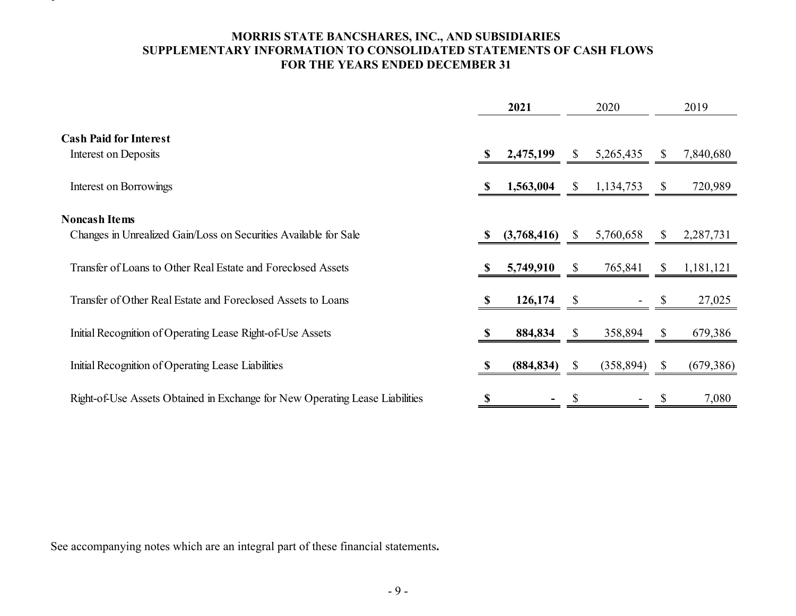### **MORRIS STATE BANCSHARES, INC., AND SUBSIDIARIES SUPPLEMENTARY INFORMATION TO CONSOLIDATED STATEMENTS OF CASH FLOWS FOR THE YEARS ENDED DECEMBER 31**

|                                                                              |   | 2021        |    | 2020       |    | 2019       |
|------------------------------------------------------------------------------|---|-------------|----|------------|----|------------|
| <b>Cash Paid for Interest</b>                                                |   |             |    |            |    |            |
| Interest on Deposits                                                         | S | 2,475,199   | S. | 5,265,435  |    | 7,840,680  |
| Interest on Borrowings                                                       | S | 1,563,004   | S. | 1,134,753  |    | 720,989    |
| <b>Noncash Items</b>                                                         |   |             |    |            |    |            |
| Changes in Unrealized Gain/Loss on Securities Available for Sale             | S | (3,768,416) | S  | 5,760,658  |    | 2,287,731  |
| Transfer of Loans to Other Real Estate and Foreclosed Assets                 | S | 5,749,910   | S  | 765,841    |    | 1,181,121  |
| Transfer of Other Real Estate and Foreclosed Assets to Loans                 |   | 126,174     | S  |            |    | 27,025     |
| Initial Recognition of Operating Lease Right-of-Use Assets                   | S | 884,834     | S  | 358,894    | -S | 679,386    |
| Initial Recognition of Operating Lease Liabilities                           |   | (884, 834)  | S  | (358, 894) |    | (679, 386) |
| Right-of-Use Assets Obtained in Exchange for New Operating Lease Liabilities |   |             |    |            |    | 7,080      |
|                                                                              |   |             |    |            |    |            |

See accompanying notes which are an integral part of these financial statements**.**

0-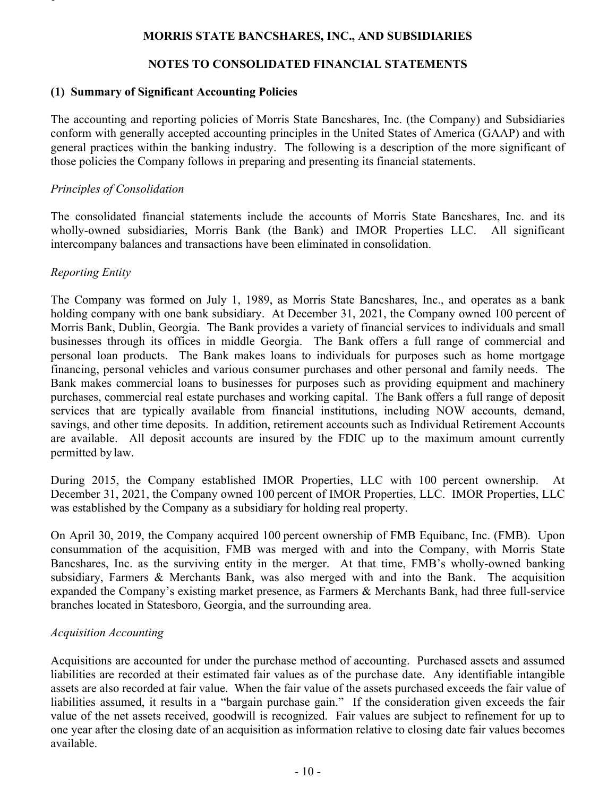## **MORRIS STATE BANCSHARES, INC., AND SUBSIDIARIES**

## **NOTES TO CONSOLIDATED FINANCIAL STATEMENTS**

#### **(1) Summary of Significant Accounting Policies**

The accounting and reporting policies of Morris State Bancshares, Inc. (the Company) and Subsidiaries conform with generally accepted accounting principles in the United States of America (GAAP) and with general practices within the banking industry. The following is a description of the more significant of those policies the Company follows in preparing and presenting its financial statements.

#### *Principles of Consolidation*

The consolidated financial statements include the accounts of Morris State Bancshares, Inc. and its wholly-owned subsidiaries, Morris Bank (the Bank) and IMOR Properties LLC. All significant intercompany balances and transactions have been eliminated in consolidation.

#### *Reporting Entity*

7

The Company was formed on July 1, 1989, as Morris State Bancshares, Inc., and operates as a bank holding company with one bank subsidiary. At December 31, 2021, the Company owned 100 percent of Morris Bank, Dublin, Georgia. The Bank provides a variety of financial services to individuals and small businesses through its offices in middle Georgia. The Bank offers a full range of commercial and personal loan products. The Bank makes loans to individuals for purposes such as home mortgage financing, personal vehicles and various consumer purchases and other personal and family needs. The Bank makes commercial loans to businesses for purposes such as providing equipment and machinery purchases, commercial real estate purchases and working capital. The Bank offers a full range of deposit services that are typically available from financial institutions, including NOW accounts, demand, savings, and other time deposits. In addition, retirement accounts such as Individual Retirement Accounts are available. All deposit accounts are insured by the FDIC up to the maximum amount currently permitted by law.

During 2015, the Company established IMOR Properties, LLC with 100 percent ownership. At December 31, 2021, the Company owned 100 percent of IMOR Properties, LLC. IMOR Properties, LLC was established by the Company as a subsidiary for holding real property.

On April 30, 2019, the Company acquired 100 percent ownership of FMB Equibanc, Inc. (FMB). Upon consummation of the acquisition, FMB was merged with and into the Company, with Morris State Bancshares, Inc. as the surviving entity in the merger. At that time, FMB's wholly-owned banking subsidiary, Farmers & Merchants Bank, was also merged with and into the Bank. The acquisition expanded the Company's existing market presence, as Farmers & Merchants Bank, had three full-service branches located in Statesboro, Georgia, and the surrounding area.

#### *Acquisition Accounting*

Acquisitions are accounted for under the purchase method of accounting. Purchased assets and assumed liabilities are recorded at their estimated fair values as of the purchase date. Any identifiable intangible assets are also recorded at fair value. When the fair value of the assets purchased exceeds the fair value of liabilities assumed, it results in a "bargain purchase gain." If the consideration given exceeds the fair value of the net assets received, goodwill is recognized. Fair values are subject to refinement for up to one year after the closing date of an acquisition as information relative to closing date fair values becomes available.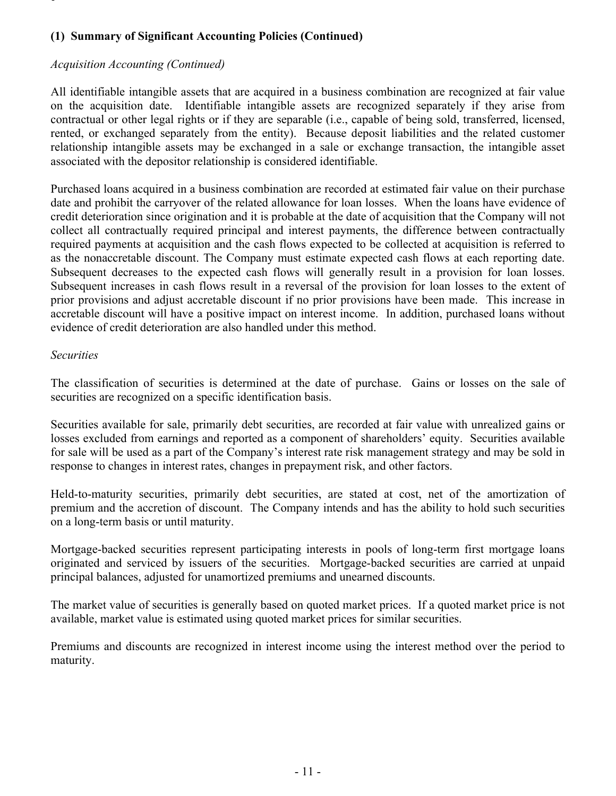### *Acquisition Accounting (Continued)*

All identifiable intangible assets that are acquired in a business combination are recognized at fair value on the acquisition date. Identifiable intangible assets are recognized separately if they arise from contractual or other legal rights or if they are separable (i.e., capable of being sold, transferred, licensed, rented, or exchanged separately from the entity). Because deposit liabilities and the related customer relationship intangible assets may be exchanged in a sale or exchange transaction, the intangible asset associated with the depositor relationship is considered identifiable.

Purchased loans acquired in a business combination are recorded at estimated fair value on their purchase date and prohibit the carryover of the related allowance for loan losses. When the loans have evidence of credit deterioration since origination and it is probable at the date of acquisition that the Company will not collect all contractually required principal and interest payments, the difference between contractually required payments at acquisition and the cash flows expected to be collected at acquisition is referred to as the nonaccretable discount. The Company must estimate expected cash flows at each reporting date. Subsequent decreases to the expected cash flows will generally result in a provision for loan losses. Subsequent increases in cash flows result in a reversal of the provision for loan losses to the extent of prior provisions and adjust accretable discount if no prior provisions have been made. This increase in accretable discount will have a positive impact on interest income. In addition, purchased loans without evidence of credit deterioration are also handled under this method.

#### *Securities*

7

The classification of securities is determined at the date of purchase. Gains or losses on the sale of securities are recognized on a specific identification basis.

Securities available for sale, primarily debt securities, are recorded at fair value with unrealized gains or losses excluded from earnings and reported as a component of shareholders' equity. Securities available for sale will be used as a part of the Company's interest rate risk management strategy and may be sold in response to changes in interest rates, changes in prepayment risk, and other factors.

Held-to-maturity securities, primarily debt securities, are stated at cost, net of the amortization of premium and the accretion of discount. The Company intends and has the ability to hold such securities on a long‐term basis or until maturity.

Mortgage-backed securities represent participating interests in pools of long-term first mortgage loans originated and serviced by issuers of the securities. Mortgage‐backed securities are carried at unpaid principal balances, adjusted for unamortized premiums and unearned discounts.

The market value of securities is generally based on quoted market prices. If a quoted market price is not available, market value is estimated using quoted market prices for similar securities.

Premiums and discounts are recognized in interest income using the interest method over the period to maturity.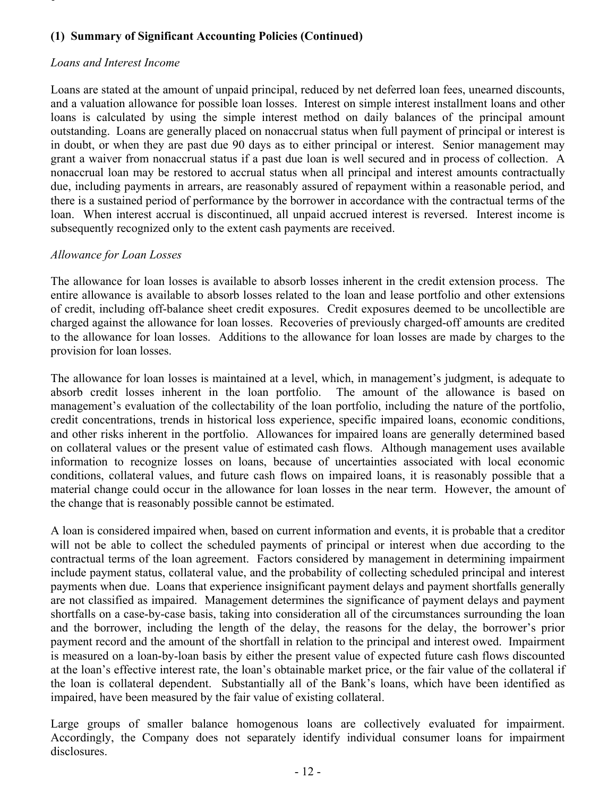#### *Loans and Interest Income*

7

Loans are stated at the amount of unpaid principal, reduced by net deferred loan fees, unearned discounts, and a valuation allowance for possible loan losses. Interest on simple interest installment loans and other loans is calculated by using the simple interest method on daily balances of the principal amount outstanding. Loans are generally placed on nonaccrual status when full payment of principal or interest is in doubt, or when they are past due 90 days as to either principal or interest. Senior management may grant a waiver from nonaccrual status if a past due loan is well secured and in process of collection. A nonaccrual loan may be restored to accrual status when all principal and interest amounts contractually due, including payments in arrears, are reasonably assured of repayment within a reasonable period, and there is a sustained period of performance by the borrower in accordance with the contractual terms of the loan. When interest accrual is discontinued, all unpaid accrued interest is reversed. Interest income is subsequently recognized only to the extent cash payments are received.

#### *Allowance for Loan Losses*

The allowance for loan losses is available to absorb losses inherent in the credit extension process. The entire allowance is available to absorb losses related to the loan and lease portfolio and other extensions of credit, including off‐balance sheet credit exposures. Credit exposures deemed to be uncollectible are charged against the allowance for loan losses. Recoveries of previously charged‐off amounts are credited to the allowance for loan losses. Additions to the allowance for loan losses are made by charges to the provision for loan losses.

The allowance for loan losses is maintained at a level, which, in management's judgment, is adequate to absorb credit losses inherent in the loan portfolio. The amount of the allowance is based on management's evaluation of the collectability of the loan portfolio, including the nature of the portfolio, credit concentrations, trends in historical loss experience, specific impaired loans, economic conditions, and other risks inherent in the portfolio. Allowances for impaired loans are generally determined based on collateral values or the present value of estimated cash flows. Although management uses available information to recognize losses on loans, because of uncertainties associated with local economic conditions, collateral values, and future cash flows on impaired loans, it is reasonably possible that a material change could occur in the allowance for loan losses in the near term. However, the amount of the change that is reasonably possible cannot be estimated.

A loan is considered impaired when, based on current information and events, it is probable that a creditor will not be able to collect the scheduled payments of principal or interest when due according to the contractual terms of the loan agreement. Factors considered by management in determining impairment include payment status, collateral value, and the probability of collecting scheduled principal and interest payments when due. Loans that experience insignificant payment delays and payment shortfalls generally are not classified as impaired. Management determines the significance of payment delays and payment shortfalls on a case-by-case basis, taking into consideration all of the circumstances surrounding the loan and the borrower, including the length of the delay, the reasons for the delay, the borrower's prior payment record and the amount of the shortfall in relation to the principal and interest owed. Impairment is measured on a loan-by-loan basis by either the present value of expected future cash flows discounted at the loan's effective interest rate, the loan's obtainable market price, or the fair value of the collateral if the loan is collateral dependent. Substantially all of the Bank's loans, which have been identified as impaired, have been measured by the fair value of existing collateral.

Large groups of smaller balance homogenous loans are collectively evaluated for impairment. Accordingly, the Company does not separately identify individual consumer loans for impairment disclosures.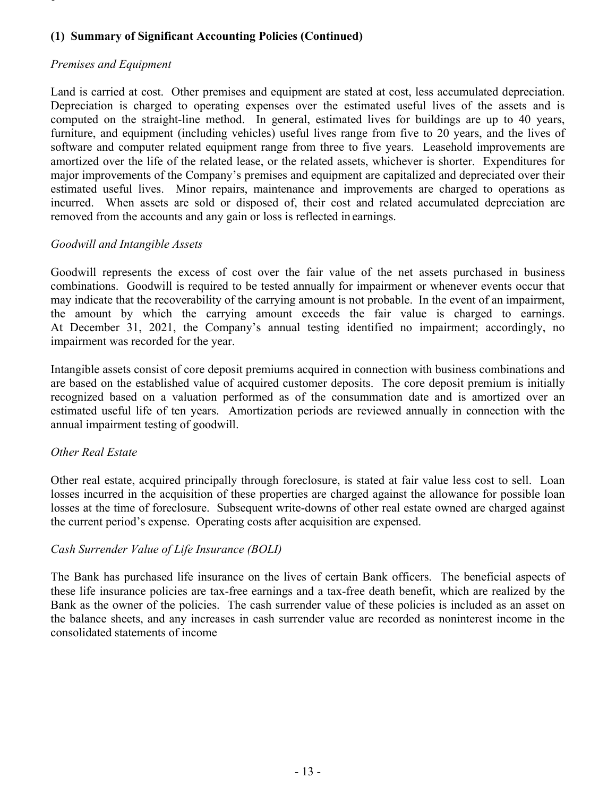#### *Premises and Equipment*

7

Land is carried at cost. Other premises and equipment are stated at cost, less accumulated depreciation. Depreciation is charged to operating expenses over the estimated useful lives of the assets and is computed on the straight-line method. In general, estimated lives for buildings are up to 40 years, furniture, and equipment (including vehicles) useful lives range from five to 20 years, and the lives of software and computer related equipment range from three to five years. Leasehold improvements are amortized over the life of the related lease, or the related assets, whichever is shorter. Expenditures for major improvements of the Company's premises and equipment are capitalized and depreciated over their estimated useful lives. Minor repairs, maintenance and improvements are charged to operations as incurred. When assets are sold or disposed of, their cost and related accumulated depreciation are removed from the accounts and any gain or loss is reflected in earnings.

#### *Goodwill and Intangible Assets*

Goodwill represents the excess of cost over the fair value of the net assets purchased in business combinations. Goodwill is required to be tested annually for impairment or whenever events occur that may indicate that the recoverability of the carrying amount is not probable. In the event of an impairment, the amount by which the carrying amount exceeds the fair value is charged to earnings. At December 31, 2021, the Company's annual testing identified no impairment; accordingly, no impairment was recorded for the year.

Intangible assets consist of core deposit premiums acquired in connection with business combinations and are based on the established value of acquired customer deposits. The core deposit premium is initially recognized based on a valuation performed as of the consummation date and is amortized over an estimated useful life of ten years. Amortization periods are reviewed annually in connection with the annual impairment testing of goodwill.

#### *Other Real Estate*

Other real estate, acquired principally through foreclosure, is stated at fair value less cost to sell. Loan losses incurred in the acquisition of these properties are charged against the allowance for possible loan losses at the time of foreclosure. Subsequent write‐downs of other real estate owned are charged against the current period's expense. Operating costs after acquisition are expensed.

## *Cash Surrender Value of Life Insurance (BOLI)*

The Bank has purchased life insurance on the lives of certain Bank officers. The beneficial aspects of these life insurance policies are tax‐free earnings and a tax-free death benefit, which are realized by the Bank as the owner of the policies. The cash surrender value of these policies is included as an asset on the balance sheets, and any increases in cash surrender value are recorded as noninterest income in the consolidated statements of income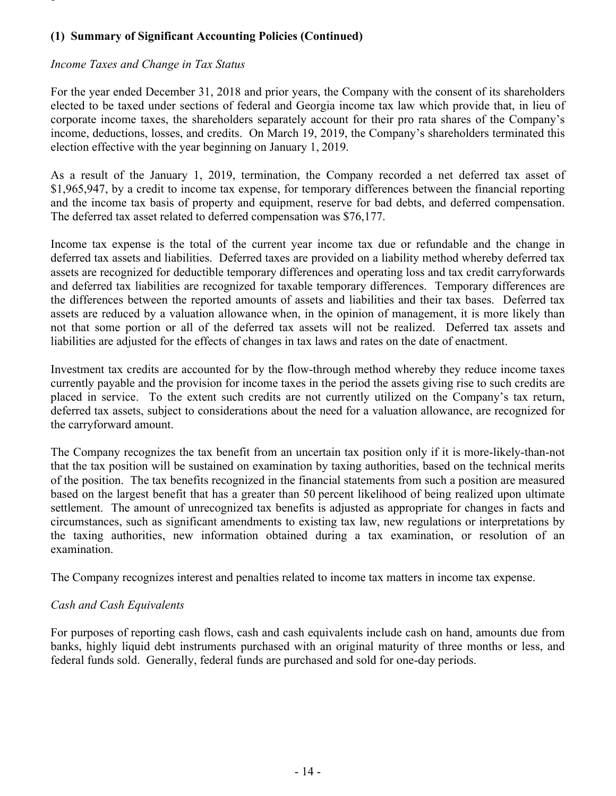## *Income Taxes and Change in Tax Status*

7

For the year ended December 31, 2018 and prior years, the Company with the consent of its shareholders elected to be taxed under sections of federal and Georgia income tax law which provide that, in lieu of corporate income taxes, the shareholders separately account for their pro rata shares of the Company's income, deductions, losses, and credits. On March 19, 2019, the Company's shareholders terminated this election effective with the year beginning on January 1, 2019.

As a result of the January 1, 2019, termination, the Company recorded a net deferred tax asset of \$1,965,947, by a credit to income tax expense, for temporary differences between the financial reporting and the income tax basis of property and equipment, reserve for bad debts, and deferred compensation. The deferred tax asset related to deferred compensation was \$76,177.

Income tax expense is the total of the current year income tax due or refundable and the change in deferred tax assets and liabilities. Deferred taxes are provided on a liability method whereby deferred tax assets are recognized for deductible temporary differences and operating loss and tax credit carryforwards and deferred tax liabilities are recognized for taxable temporary differences. Temporary differences are the differences between the reported amounts of assets and liabilities and their tax bases. Deferred tax assets are reduced by a valuation allowance when, in the opinion of management, it is more likely than not that some portion or all of the deferred tax assets will not be realized. Deferred tax assets and liabilities are adjusted for the effects of changes in tax laws and rates on the date of enactment.

Investment tax credits are accounted for by the flow-through method whereby they reduce income taxes currently payable and the provision for income taxes in the period the assets giving rise to such credits are placed in service. To the extent such credits are not currently utilized on the Company's tax return, deferred tax assets, subject to considerations about the need for a valuation allowance, are recognized for the carryforward amount.

The Company recognizes the tax benefit from an uncertain tax position only if it is more-likely-than-not that the tax position will be sustained on examination by taxing authorities, based on the technical merits of the position. The tax benefits recognized in the financial statements from such a position are measured based on the largest benefit that has a greater than 50 percent likelihood of being realized upon ultimate settlement. The amount of unrecognized tax benefits is adjusted as appropriate for changes in facts and circumstances, such as significant amendments to existing tax law, new regulations or interpretations by the taxing authorities, new information obtained during a tax examination, or resolution of an examination.

The Company recognizes interest and penalties related to income tax matters in income tax expense.

## *Cash and Cash Equivalents*

For purposes of reporting cash flows, cash and cash equivalents include cash on hand, amounts due from banks, highly liquid debt instruments purchased with an original maturity of three months or less, and federal funds sold. Generally, federal funds are purchased and sold for one‐day periods.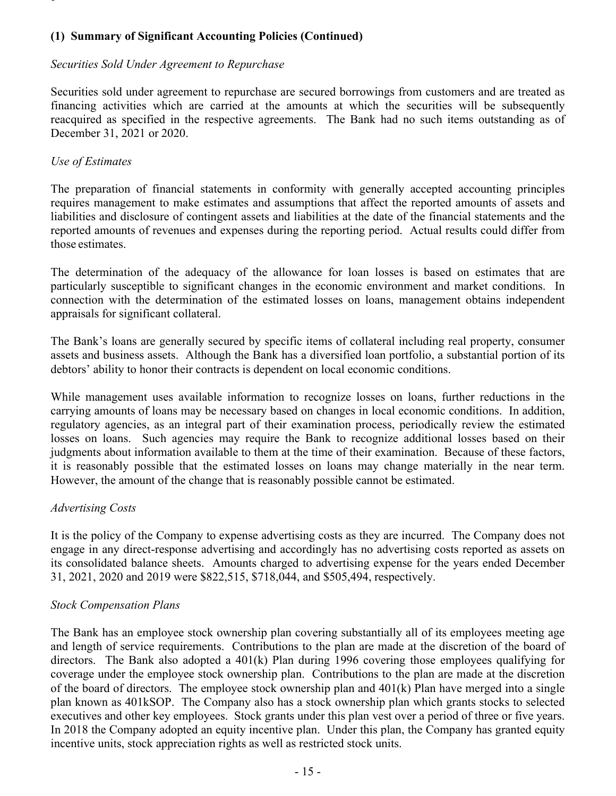## *Securities Sold Under Agreement to Repurchase*

Securities sold under agreement to repurchase are secured borrowings from customers and are treated as financing activities which are carried at the amounts at which the securities will be subsequently reacquired as specified in the respective agreements. The Bank had no such items outstanding as of December 31, 2021 or 2020.

## *Use of Estimates*

7

The preparation of financial statements in conformity with generally accepted accounting principles requires management to make estimates and assumptions that affect the reported amounts of assets and liabilities and disclosure of contingent assets and liabilities at the date of the financial statements and the reported amounts of revenues and expenses during the reporting period. Actual results could differ from those estimates.

The determination of the adequacy of the allowance for loan losses is based on estimates that are particularly susceptible to significant changes in the economic environment and market conditions. In connection with the determination of the estimated losses on loans, management obtains independent appraisals for significant collateral.

The Bank's loans are generally secured by specific items of collateral including real property, consumer assets and business assets. Although the Bank has a diversified loan portfolio, a substantial portion of its debtors' ability to honor their contracts is dependent on local economic conditions.

While management uses available information to recognize losses on loans, further reductions in the carrying amounts of loans may be necessary based on changes in local economic conditions. In addition, regulatory agencies, as an integral part of their examination process, periodically review the estimated losses on loans. Such agencies may require the Bank to recognize additional losses based on their judgments about information available to them at the time of their examination. Because of these factors, it is reasonably possible that the estimated losses on loans may change materially in the near term. However, the amount of the change that is reasonably possible cannot be estimated.

## *Advertising Costs*

It is the policy of the Company to expense advertising costs as they are incurred. The Company does not engage in any direct‐response advertising and accordingly has no advertising costs reported as assets on its consolidated balance sheets. Amounts charged to advertising expense for the years ended December 31, 2021, 2020 and 2019 were \$822,515, \$718,044, and \$505,494, respectively.

## *Stock Compensation Plans*

The Bank has an employee stock ownership plan covering substantially all of its employees meeting age and length of service requirements. Contributions to the plan are made at the discretion of the board of directors. The Bank also adopted a 401(k) Plan during 1996 covering those employees qualifying for coverage under the employee stock ownership plan. Contributions to the plan are made at the discretion of the board of directors. The employee stock ownership plan and 401(k) Plan have merged into a single plan known as 401kSOP. The Company also has a stock ownership plan which grants stocks to selected executives and other key employees. Stock grants under this plan vest over a period of three or five years. In 2018 the Company adopted an equity incentive plan. Under this plan, the Company has granted equity incentive units, stock appreciation rights as well as restricted stock units.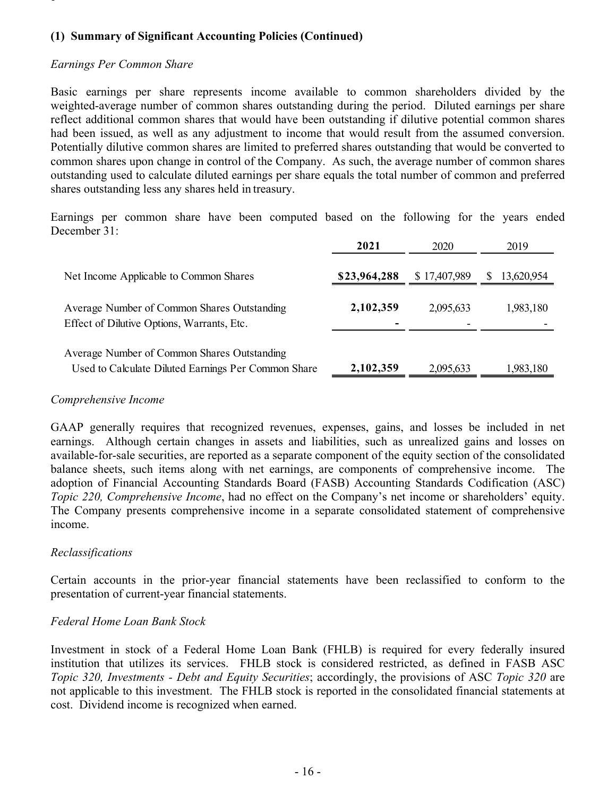#### *Earnings Per Common Share*

7

Basic earnings per share represents income available to common shareholders divided by the weighted-average number of common shares outstanding during the period. Diluted earnings per share reflect additional common shares that would have been outstanding if dilutive potential common shares had been issued, as well as any adjustment to income that would result from the assumed conversion. Potentially dilutive common shares are limited to preferred shares outstanding that would be converted to common shares upon change in control of the Company. As such, the average number of common shares outstanding used to calculate diluted earnings per share equals the total number of common and preferred shares outstanding less any shares held in treasury.

Earnings per common share have been computed based on the following for the years ended December 31:

|                                                                                                    | 2021         | 2020         | 2019       |
|----------------------------------------------------------------------------------------------------|--------------|--------------|------------|
| Net Income Applicable to Common Shares                                                             | \$23,964,288 | \$17,407,989 | 13,620,954 |
| Average Number of Common Shares Outstanding<br>Effect of Dilutive Options, Warrants, Etc.          | 2,102,359    | 2,095,633    | 1,983,180  |
| Average Number of Common Shares Outstanding<br>Used to Calculate Diluted Earnings Per Common Share | 2,102,359    | 2,095,633    | 1,983,180  |

#### *Comprehensive Income*

GAAP generally requires that recognized revenues, expenses, gains, and losses be included in net earnings. Although certain changes in assets and liabilities, such as unrealized gains and losses on available‐for‐sale securities, are reported as a separate component of the equity section of the consolidated balance sheets, such items along with net earnings, are components of comprehensive income. The adoption of Financial Accounting Standards Board (FASB) Accounting Standards Codification (ASC) *Topic 220, Comprehensive Income*, had no effect on the Company's net income or shareholders' equity. The Company presents comprehensive income in a separate consolidated statement of comprehensive income.

#### *Reclassifications*

Certain accounts in the prior‐year financial statements have been reclassified to conform to the presentation of current‐year financial statements.

#### *Federal Home Loan Bank Stock*

Investment in stock of a Federal Home Loan Bank (FHLB) is required for every federally insured institution that utilizes its services. FHLB stock is considered restricted, as defined in FASB ASC *Topic 320, Investments - Debt and Equity Securities*; accordingly, the provisions of ASC *Topic 320* are not applicable to this investment. The FHLB stock is reported in the consolidated financial statements at cost. Dividend income is recognized when earned.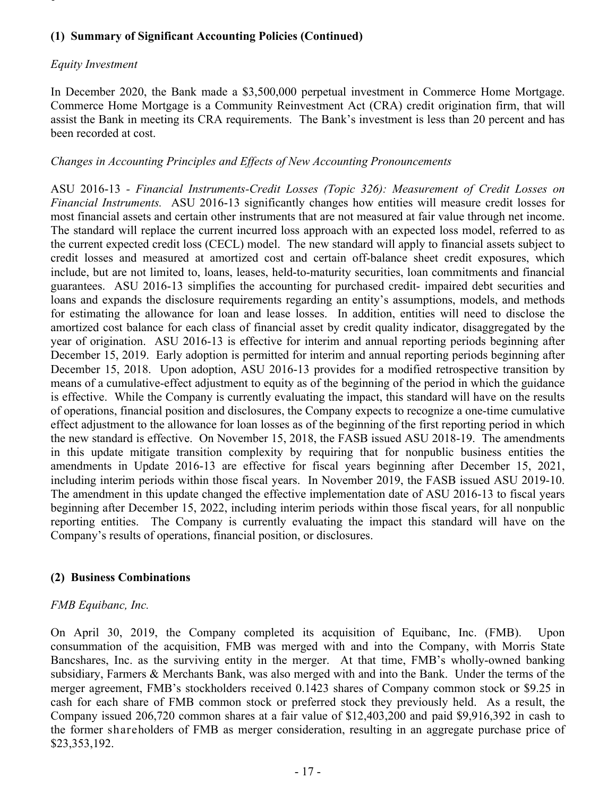#### *Equity Investment*

In December 2020, the Bank made a \$3,500,000 perpetual investment in Commerce Home Mortgage. Commerce Home Mortgage is a Community Reinvestment Act (CRA) credit origination firm, that will assist the Bank in meeting its CRA requirements. The Bank's investment is less than 20 percent and has been recorded at cost.

#### *Changes in Accounting Principles and Effects of New Accounting Pronouncements*

ASU 2016‐13 *- Financial Instruments-Credit Losses (Topic 326): Measurement of Credit Losses on Financial Instruments.* ASU 2016‐13 significantly changes how entities will measure credit losses for most financial assets and certain other instruments that are not measured at fair value through net income. The standard will replace the current incurred loss approach with an expected loss model, referred to as the current expected credit loss (CECL) model. The new standard will apply to financial assets subject to credit losses and measured at amortized cost and certain off‐balance sheet credit exposures, which include, but are not limited to, loans, leases, held‐to‐maturity securities, loan commitments and financial guarantees. ASU 2016‐13 simplifies the accounting for purchased credit‐ impaired debt securities and loans and expands the disclosure requirements regarding an entity's assumptions, models, and methods for estimating the allowance for loan and lease losses. In addition, entities will need to disclose the amortized cost balance for each class of financial asset by credit quality indicator, disaggregated by the year of origination. ASU 2016‐13 is effective for interim and annual reporting periods beginning after December 15, 2019. Early adoption is permitted for interim and annual reporting periods beginning after December 15, 2018. Upon adoption, ASU 2016-13 provides for a modified retrospective transition by means of a cumulative-effect adjustment to equity as of the beginning of the period in which the guidance is effective. While the Company is currently evaluating the impact, this standard will have on the results of operations, financial position and disclosures, the Company expects to recognize a one‐time cumulative effect adjustment to the allowance for loan losses as of the beginning of the first reporting period in which the new standard is effective. On November 15, 2018, the FASB issued ASU 2018‐19. The amendments in this update mitigate transition complexity by requiring that for nonpublic business entities the amendments in Update 2016‐13 are effective for fiscal years beginning after December 15, 2021, including interim periods within those fiscal years. In November 2019, the FASB issued ASU 2019‐10. The amendment in this update changed the effective implementation date of ASU 2016‐13 to fiscal years beginning after December 15, 2022, including interim periods within those fiscal years, for all nonpublic reporting entities. The Company is currently evaluating the impact this standard will have on the Company's results of operations, financial position, or disclosures.

#### **(2) Business Combinations**

#### *FMB Equibanc, Inc.*

On April 30, 2019, the Company completed its acquisition of Equibanc, Inc. (FMB). Upon consummation of the acquisition, FMB was merged with and into the Company, with Morris State Bancshares, Inc. as the surviving entity in the merger. At that time, FMB's wholly-owned banking subsidiary, Farmers & Merchants Bank, was also merged with and into the Bank. Under the terms of the merger agreement, FMB's stockholders received 0.1423 shares of Company common stock or \$9.25 in cash for each share of FMB common stock or preferred stock they previously held. As a result, the Company issued 206,720 common shares at a fair value of \$12,403,200 and paid \$9,916,392 in cash to the former shareholders of FMB as merger consideration, resulting in an aggregate purchase price of \$23,353,192.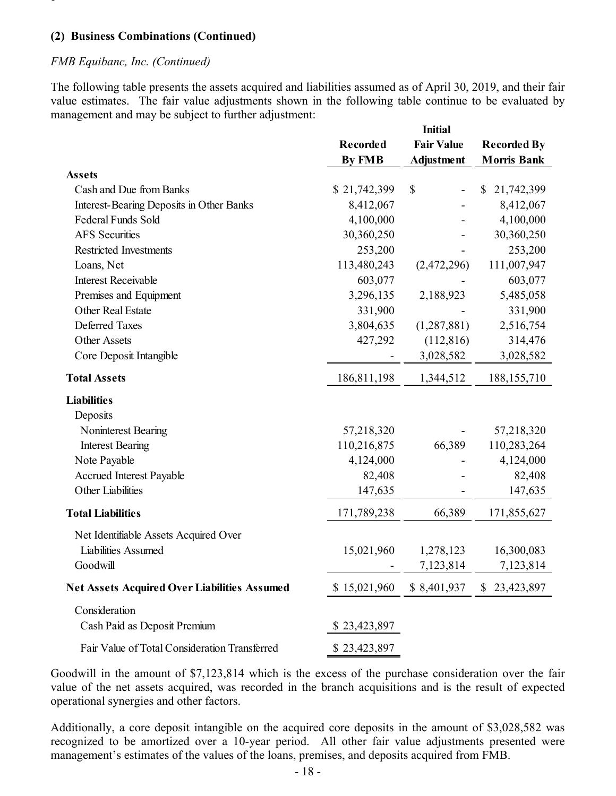## **(2) Business Combinations (Continued)**

#### *FMB Equibanc, Inc. (Continued)*

7

The following table presents the assets acquired and liabilities assumed as of April 30, 2019, and their fair value estimates. The fair value adjustments shown in the following table continue to be evaluated by management and may be subject to further adjustment:

|                                                     |                                  | <b>Initial</b>                         |                                          |
|-----------------------------------------------------|----------------------------------|----------------------------------------|------------------------------------------|
|                                                     | <b>Recorded</b><br><b>By FMB</b> | <b>Fair Value</b><br><b>Adjustment</b> | <b>Recorded By</b><br><b>Morris Bank</b> |
| <b>Assets</b>                                       |                                  |                                        |                                          |
| Cash and Due from Banks                             | \$21,742,399                     | \$                                     | \$<br>21,742,399                         |
| <b>Interest-Bearing Deposits in Other Banks</b>     | 8,412,067                        |                                        | 8,412,067                                |
| Federal Funds Sold                                  | 4,100,000                        |                                        | 4,100,000                                |
| <b>AFS</b> Securities                               | 30,360,250                       |                                        | 30,360,250                               |
| <b>Restricted Investments</b>                       | 253,200                          |                                        | 253,200                                  |
| Loans, Net                                          | 113,480,243                      | (2,472,296)                            | 111,007,947                              |
| <b>Interest Receivable</b>                          | 603,077                          |                                        | 603,077                                  |
| Premises and Equipment                              | 3,296,135                        | 2,188,923                              | 5,485,058                                |
| Other Real Estate                                   | 331,900                          |                                        | 331,900                                  |
| <b>Deferred Taxes</b>                               | 3,804,635                        | (1, 287, 881)                          | 2,516,754                                |
| Other Assets                                        | 427,292                          | (112, 816)                             | 314,476                                  |
| Core Deposit Intangible                             |                                  | 3,028,582                              | 3,028,582                                |
| <b>Total Assets</b>                                 | 186,811,198                      | 1,344,512                              | 188, 155, 710                            |
| <b>Liabilities</b>                                  |                                  |                                        |                                          |
| Deposits                                            |                                  |                                        |                                          |
| Noninterest Bearing                                 | 57,218,320                       |                                        | 57,218,320                               |
| <b>Interest Bearing</b>                             | 110,216,875                      | 66,389                                 | 110,283,264                              |
| Note Payable                                        | 4,124,000                        |                                        | 4,124,000                                |
| Accrued Interest Payable                            | 82,408                           |                                        | 82,408                                   |
| Other Liabilities                                   | 147,635                          |                                        | 147,635                                  |
| <b>Total Liabilities</b>                            | 171,789,238                      | 66,389                                 | 171,855,627                              |
| Net Identifiable Assets Acquired Over               |                                  |                                        |                                          |
| Liabilities Assumed                                 | 15,021,960                       | 1,278,123                              | 16,300,083                               |
| Goodwill                                            |                                  | 7,123,814                              | 7,123,814                                |
| <b>Net Assets Acquired Over Liabilities Assumed</b> |                                  | \$15,021,960 \$8,401,937 \$23,423,897  |                                          |
| Consideration                                       |                                  |                                        |                                          |
| Cash Paid as Deposit Premium                        | \$23,423,897                     |                                        |                                          |
| Fair Value of Total Consideration Transferred       | \$23,423,897                     |                                        |                                          |

Goodwill in the amount of \$7,123,814 which is the excess of the purchase consideration over the fair value of the net assets acquired, was recorded in the branch acquisitions and is the result of expected operational synergies and other factors.

Additionally, a core deposit intangible on the acquired core deposits in the amount of \$3,028,582 was recognized to be amortized over a 10-year period. All other fair value adjustments presented were management's estimates of the values of the loans, premises, and deposits acquired from FMB.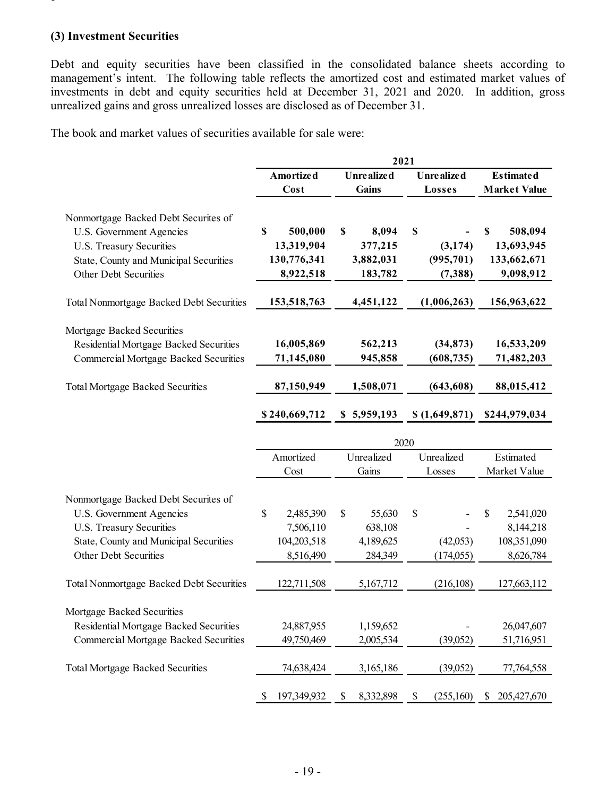#### **(3) Investment Securities**

Debt and equity securities have been classified in the consolidated balance sheets according to management's intent. The following table reflects the amortized cost and estimated market values of investments in debt and equity securities held at December 31, 2021 and 2020. In addition, gross unrealized gains and gross unrealized losses are disclosed as of December 31.

The book and market values of securities available for sale were:

|                                                 | 2021      |               |                   |             |                   |               |                     |               |
|-------------------------------------------------|-----------|---------------|-------------------|-------------|-------------------|---------------|---------------------|---------------|
|                                                 | Amortized |               | <b>Unrealized</b> |             | <b>Unrealized</b> |               | <b>Estimated</b>    |               |
|                                                 |           | Cost          | <b>Gains</b>      |             | Losses            |               | <b>Market Value</b> |               |
|                                                 |           |               |                   |             |                   |               |                     |               |
| Nonmortgage Backed Debt Securites of            |           |               |                   |             |                   |               |                     |               |
| U.S. Government Agencies                        | \$        | 500,000       | \$                | 8,094       | \$                |               | \$                  | 508,094       |
| U.S. Treasury Securities                        |           | 13,319,904    |                   | 377,215     |                   | (3,174)       |                     | 13,693,945    |
| State, County and Municipal Securities          |           | 130,776,341   |                   | 3,882,031   |                   | (995, 701)    |                     | 133,662,671   |
| Other Debt Securities                           |           | 8,922,518     |                   | 183,782     |                   | (7,388)       |                     | 9,098,912     |
|                                                 |           |               |                   |             |                   |               |                     |               |
| <b>Total Nonmortgage Backed Debt Securities</b> |           | 153,518,763   |                   | 4,451,122   |                   | (1,006,263)   |                     | 156,963,622   |
|                                                 |           |               |                   |             |                   |               |                     |               |
| Mortgage Backed Securities                      |           |               |                   |             |                   |               |                     |               |
| Residential Mortgage Backed Securities          |           | 16,005,869    |                   | 562,213     |                   | (34, 873)     |                     | 16,533,209    |
| Commercial Mortgage Backed Securities           |           | 71,145,080    |                   | 945,858     |                   | (608, 735)    |                     | 71,482,203    |
|                                                 |           |               |                   |             |                   |               |                     |               |
| <b>Total Mortgage Backed Securities</b>         |           | 87,150,949    | 1,508,071         |             | (643, 608)        |               | 88,015,412          |               |
|                                                 |           |               |                   |             |                   |               |                     |               |
|                                                 |           | \$240,669,712 |                   | \$5,959,193 |                   | \$(1,649,871) |                     | \$244,979,034 |
|                                                 |           |               |                   | 2020        |                   |               |                     |               |
|                                                 |           | Amortized     |                   | Unrealized  |                   | Unrealized    |                     | Estimated     |
|                                                 |           | Cost          |                   | Gains       | Losses            |               |                     | Market Value  |
|                                                 |           |               |                   |             |                   |               |                     |               |
| Nonmortgage Backed Debt Securites of            |           |               |                   |             |                   |               |                     |               |
| U.S. Government Agencies                        | \$        | 2,485,390     | \$                | 55,630      | \$                |               | \$                  | 2,541,020     |
| U.S. Treasury Securities                        |           | 7,506,110     |                   | 638,108     |                   |               |                     | 8,144,218     |
| State, County and Municipal Securities          |           | 104,203,518   |                   | 4,189,625   |                   | (42,053)      |                     | 108,351,090   |
| Other Debt Securities                           |           | 8,516,490     |                   | 284,349     |                   | (174, 055)    |                     | 8,626,784     |
|                                                 |           |               |                   |             |                   |               |                     |               |
| <b>Total Nonmortgage Backed Debt Securities</b> |           | 122,711,508   |                   | 5,167,712   |                   | (216, 108)    |                     | 127,663,112   |
|                                                 |           |               |                   |             |                   |               |                     |               |
| Mortgage Backed Securities                      |           |               |                   |             |                   |               |                     |               |
| Residential Mortgage Backed Securities          |           | 24,887,955    |                   | 1,159,652   |                   |               |                     | 26,047,607    |
| Commercial Mortgage Backed Securities           |           | 49,750,469    |                   | 2,005,534   |                   | (39,052)      |                     | 51,716,951    |
|                                                 |           |               |                   |             |                   |               |                     |               |
| <b>Total Mortgage Backed Securities</b>         |           | 74,638,424    |                   | 3,165,186   |                   | (39,052)      |                     | 77,764,558    |
|                                                 |           |               |                   |             |                   |               |                     |               |
|                                                 | \$        | 197,349,932   | \$                | 8,332,898   | \$                | (255,160)     | \$                  | 205,427,670   |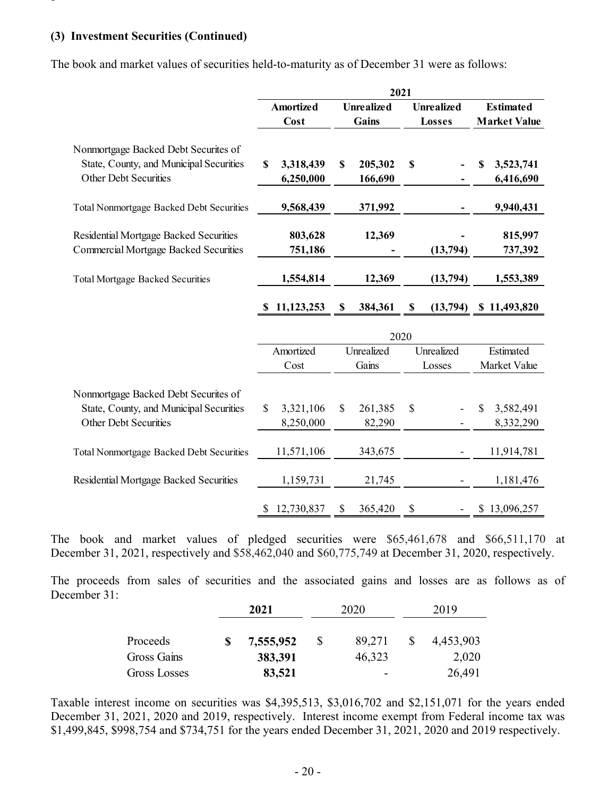#### **(3) Investment Securities (Continued)**

|  |  |  |  | The book and market values of securities held-to-maturity as of December 31 were as follows: |
|--|--|--|--|----------------------------------------------------------------------------------------------|
|  |  |  |  |                                                                                              |

|                                                                                                          | 2021     |                                       |    |                    |                   |                  |                     |                        |
|----------------------------------------------------------------------------------------------------------|----------|---------------------------------------|----|--------------------|-------------------|------------------|---------------------|------------------------|
|                                                                                                          |          | <b>Amortized</b><br><b>Unrealized</b> |    |                    | <b>Unrealized</b> | <b>Estimated</b> |                     |                        |
|                                                                                                          |          | Cost                                  |    | Gains              |                   | Losses           | <b>Market Value</b> |                        |
| Nonmortgage Backed Debt Securites of<br>State, County, and Municipal Securities<br>Other Debt Securities | \$       | 3,318,439<br>6,250,000                | \$ | 205,302<br>166,690 | \$                |                  | \$                  | 3,523,741<br>6,416,690 |
| Total Nonmortgage Backed Debt Securities                                                                 |          | 9,568,439                             |    | 371,992            |                   |                  |                     | 9,940,431              |
| Residential Mortgage Backed Securities<br><b>Commercial Mortgage Backed Securities</b>                   |          | 803,628<br>751,186                    |    | 12,369             |                   | (13,794)         |                     | 815,997<br>737,392     |
| <b>Total Mortgage Backed Securities</b>                                                                  |          | 1,554,814                             |    | 12,369             |                   | (13, 794)        |                     | 1,553,389              |
|                                                                                                          | S        | 11,123,253                            | \$ | 384,361            | \$                | (13,794)         |                     | \$11,493,820           |
|                                                                                                          |          |                                       |    | 2020               |                   |                  |                     |                        |
|                                                                                                          |          | Amortized                             |    | Unrealized         |                   | Unrealized       | Estimated           |                        |
|                                                                                                          |          | Cost                                  |    | Gains              |                   | Losses           |                     | Market Value           |
| Nonmortgage Backed Debt Securites of<br>State, County, and Municipal Securities                          | \$       | 3,321,106                             | \$ | 261,385            | \$                |                  | \$                  | 3,582,491              |
| <b>Other Debt Securities</b>                                                                             |          | 8,250,000                             |    | 82,290             |                   |                  |                     | 8,332,290              |
|                                                                                                          |          |                                       |    |                    |                   |                  |                     |                        |
| Total Nonmortgage Backed Debt Securities                                                                 |          | 11,571,106                            |    | 343,675            |                   |                  |                     | 11,914,781             |
| Residential Mortgage Backed Securities                                                                   |          | 1,159,731                             |    | 21,745             |                   |                  |                     | 1,181,476              |
|                                                                                                          | <b>S</b> | 12,730,837                            | \$ | 365,420            | \$                |                  |                     | \$13,096,257           |

The book and market values of pledged securities were \$65,461,678 and \$66,511,170 at December 31, 2021, respectively and \$58,462,040 and \$60,775,749 at December 31, 2020, respectively.

The proceeds from sales of securities and the associated gains and losses are as follows as of December 31:

|              | 2021      | 2020   | 2019      |  |  |
|--------------|-----------|--------|-----------|--|--|
|              |           |        |           |  |  |
| Proceeds     | 7,555,952 | 89,271 | 4,453,903 |  |  |
| Gross Gains  | 383,391   | 46,323 | 2,020     |  |  |
| Gross Losses | 83,521    |        | 26,491    |  |  |

Taxable interest income on securities was \$4,395,513, \$3,016,702 and \$2,151,071 for the years ended December 31, 2021, 2020 and 2019, respectively. Interest income exempt from Federal income tax was \$1,499,845, \$998,754 and \$734,751 for the years ended December 31, 2021, 2020 and 2019 respectively.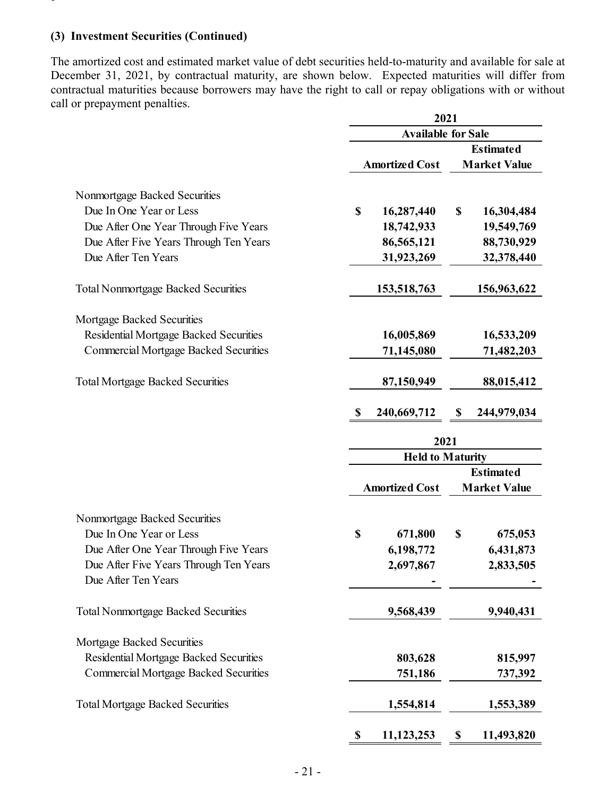## **(3) Investment Securities (Continued)**

7

The amortized cost and estimated market value of debt securities held-to-maturity and available for sale at December 31, 2021, by contractual maturity, are shown below. Expected maturities will differ from contractual maturities because borrowers may have the right to call or repay obligations with or without call or prepayment penalties.

|                                               |                              | 2021                    |  |  |  |  |
|-----------------------------------------------|------------------------------|-------------------------|--|--|--|--|
|                                               | <b>Available for Sale</b>    |                         |  |  |  |  |
|                                               |                              | <b>Estimated</b>        |  |  |  |  |
|                                               | <b>Amortized Cost</b>        | <b>Market Value</b>     |  |  |  |  |
| Nonmortgage Backed Securities                 |                              |                         |  |  |  |  |
| Due In One Year or Less                       | \$<br>16,287,440             | \$<br>16,304,484        |  |  |  |  |
| Due After One Year Through Five Years         | 18,742,933                   | 19,549,769              |  |  |  |  |
| Due After Five Years Through Ten Years        | 86,565,121                   | 88,730,929              |  |  |  |  |
| Due After Ten Years                           | 31,923,269                   | 32,378,440              |  |  |  |  |
|                                               |                              |                         |  |  |  |  |
| <b>Total Nonmortgage Backed Securities</b>    | 153,518,763                  | 156,963,622             |  |  |  |  |
| Mortgage Backed Securities                    |                              |                         |  |  |  |  |
| <b>Residential Mortgage Backed Securities</b> | 16,005,869                   | 16,533,209              |  |  |  |  |
| <b>Commercial Mortgage Backed Securities</b>  | 71,145,080                   | 71,482,203              |  |  |  |  |
|                                               |                              |                         |  |  |  |  |
| <b>Total Mortgage Backed Securities</b>       | 87,150,949                   | 88,015,412              |  |  |  |  |
|                                               | 240,669,712<br><sup>\$</sup> | 244,979,034<br>\$       |  |  |  |  |
|                                               |                              | 2021                    |  |  |  |  |
|                                               |                              | <b>Held to Maturity</b> |  |  |  |  |
|                                               |                              | <b>Estimated</b>        |  |  |  |  |
|                                               | <b>Amortized Cost</b>        | <b>Market Value</b>     |  |  |  |  |
| Nonmortgage Backed Securities                 |                              |                         |  |  |  |  |
| Due In One Year or Less                       | \$<br>671,800                | \$<br>675,053           |  |  |  |  |
| Due After One Year Through Five Years         | 6,198,772                    | 6,431,873               |  |  |  |  |
| Due After Five Years Through Ten Years        | 2,697,867                    | 2,833,505               |  |  |  |  |
| Due After Ten Years                           |                              |                         |  |  |  |  |
| <b>Total Nonmortgage Backed Securities</b>    | 9,568,439                    | 9,940,431               |  |  |  |  |
| Mortgage Backed Securities                    |                              |                         |  |  |  |  |
| <b>Residential Mortgage Backed Securities</b> | 803,628                      | 815,997                 |  |  |  |  |
| <b>Commercial Mortgage Backed Securities</b>  | 751,186                      | 737,392                 |  |  |  |  |
| <b>Total Mortgage Backed Securities</b>       | 1,554,814                    | 1,553,389               |  |  |  |  |
|                                               |                              |                         |  |  |  |  |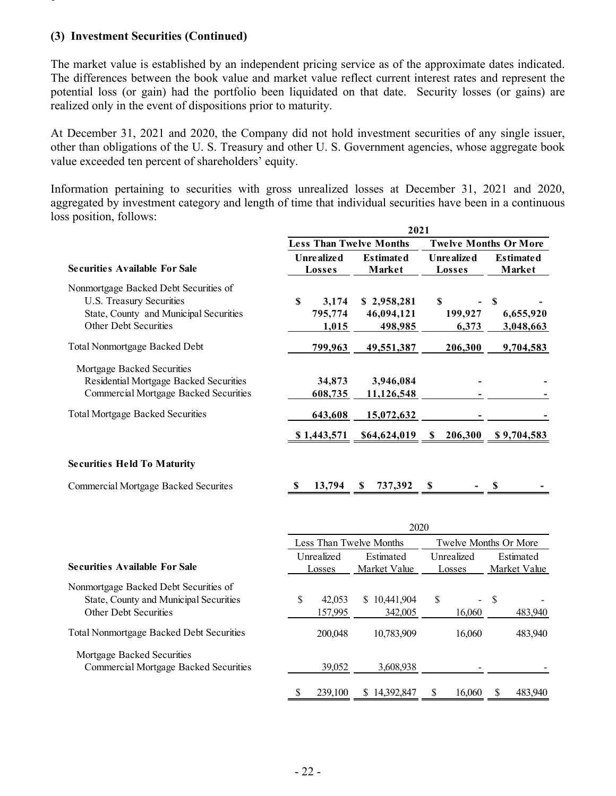## **(3) Investment Securities (Continued)**

7

The market value is established by an independent pricing service as of the approximate dates indicated. The differences between the book value and market value reflect current interest rates and represent the potential loss (or gain) had the portfolio been liquidated on that date. Security losses (or gains) are realized only in the event of dispositions prior to maturity.

At December 31, 2021 and 2020, the Company did not hold investment securities of any single issuer, other than obligations of the U. S. Treasury and other U. S. Government agencies, whose aggregate book value exceeded ten percent of shareholders' equity.

Information pertaining to securities with gross unrealized losses at December 31, 2021 and 2020, aggregated by investment category and length of time that individual securities have been in a continuous loss position, follows:

|                                                                                                                                             | 2021                                                      |                                      |                                    |                              |  |  |  |  |  |  |
|---------------------------------------------------------------------------------------------------------------------------------------------|-----------------------------------------------------------|--------------------------------------|------------------------------------|------------------------------|--|--|--|--|--|--|
|                                                                                                                                             | <b>Less Than Twelve Months</b>                            |                                      | <b>Twelve Months Or More</b>       |                              |  |  |  |  |  |  |
| <b>Securities Available For Sale</b>                                                                                                        | <b>Unrealized</b><br><b>Estimated</b><br>Market<br>Losses |                                      | <b>Unrealized</b><br><b>Losses</b> | <b>Estimated</b><br>Market   |  |  |  |  |  |  |
| Nonmortgage Backed Debt Securities of<br>U.S. Treasury Securities<br>State, County and Municipal Securities<br><b>Other Debt Securities</b> | \$<br>3.174<br>795,774<br>1,015                           | \$2,958,281<br>46,094,121<br>498,985 | <b>S</b><br>199,927<br>6,373       | -S<br>6,655,920<br>3,048,663 |  |  |  |  |  |  |
| <b>Total Nonmortgage Backed Debt</b>                                                                                                        | 799,963                                                   | 49,551,387                           | 206,300                            | 9,704,583                    |  |  |  |  |  |  |
| Mortgage Backed Securities<br>Residential Mortgage Backed Securities<br><b>Commercial Mortgage Backed Securities</b>                        | 34,873<br>608,735                                         | 3,946,084<br>11,126,548              |                                    |                              |  |  |  |  |  |  |
| <b>Total Mortgage Backed Securities</b>                                                                                                     | 643,608                                                   | 15,072,632                           |                                    |                              |  |  |  |  |  |  |
|                                                                                                                                             | \$1,443,571                                               | \$64,624,019                         | 206,300<br>S                       | \$9,704,583                  |  |  |  |  |  |  |
| <b>Securities Held To Maturity</b>                                                                                                          |                                                           |                                      |                                    |                              |  |  |  |  |  |  |

| Commercial Mortgage Backed Securities | 794 | 737.392 |  |  |
|---------------------------------------|-----|---------|--|--|
|                                       |     |         |  |  |

|                                                                            | 2020 |                         |    |                           |                       |                                    |                           |         |  |  |
|----------------------------------------------------------------------------|------|-------------------------|----|---------------------------|-----------------------|------------------------------------|---------------------------|---------|--|--|
|                                                                            |      | Less Than Twelve Months |    |                           | Twelve Months Or More |                                    |                           |         |  |  |
| <b>Securities Available For Sale</b>                                       |      | Unrealized<br>Losses    |    | Estimated<br>Market Value |                       | Unrealized<br>Losses               | Estimated<br>Market Value |         |  |  |
| Nonmortgage Backed Debt Securities of                                      |      |                         |    |                           |                       |                                    |                           |         |  |  |
| State, County and Municipal Securities<br><b>Other Debt Securities</b>     | \$   | 42,053<br>157,995       | S. | 10,441,904<br>342,005     | <sup>\$</sup>         | $\overline{\phantom{a}}$<br>16,060 | <sup>\$</sup>             | 483,940 |  |  |
| <b>Total Nonmortgage Backed Debt Securities</b>                            |      | 200,048                 |    | 10,783,909                |                       | 16,060                             |                           | 483,940 |  |  |
| Mortgage Backed Securities<br><b>Commercial Mortgage Backed Securities</b> |      | 39,052                  |    | 3.608.938                 |                       |                                    |                           |         |  |  |
|                                                                            | \$   | 239,100                 | S. | 14.392,847                | S                     | 16,060                             | S                         | 483,940 |  |  |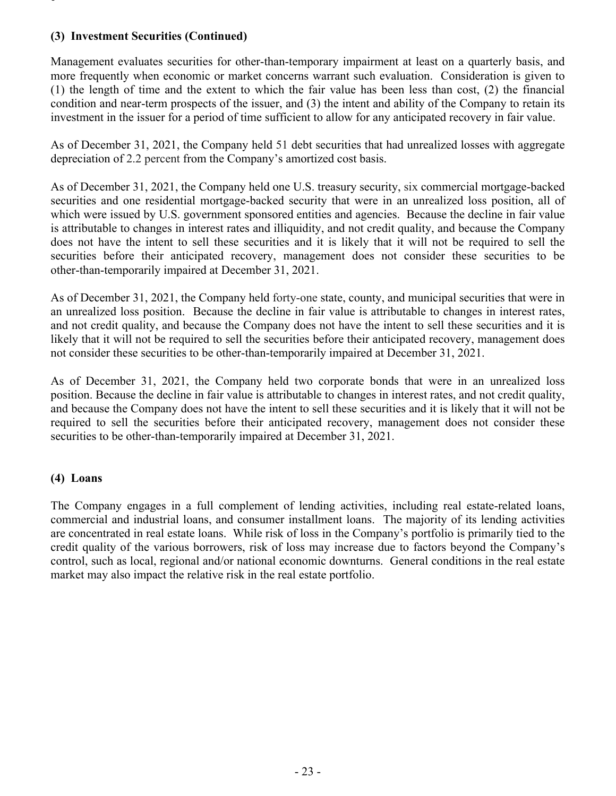Management evaluates securities for other-than-temporary impairment at least on a quarterly basis, and more frequently when economic or market concerns warrant such evaluation. Consideration is given to (1) the length of time and the extent to which the fair value has been less than cost, (2) the financial condition and near-term prospects of the issuer, and (3) the intent and ability of the Company to retain its investment in the issuer for a period of time sufficient to allow for any anticipated recovery in fair value.

As of December 31, 2021, the Company held 51 debt securities that had unrealized losses with aggregate depreciation of 2.2 percent from the Company's amortized cost basis.

As of December 31, 2021, the Company held one U.S. treasury security, six commercial mortgage-backed securities and one residential mortgage-backed security that were in an unrealized loss position, all of which were issued by U.S. government sponsored entities and agencies. Because the decline in fair value is attributable to changes in interest rates and illiquidity, and not credit quality, and because the Company does not have the intent to sell these securities and it is likely that it will not be required to sell the securities before their anticipated recovery, management does not consider these securities to be other‐than‐temporarily impaired at December 31, 2021.

As of December 31, 2021, the Company held forty-one state, county, and municipal securities that were in an unrealized loss position. Because the decline in fair value is attributable to changes in interest rates, and not credit quality, and because the Company does not have the intent to sell these securities and it is likely that it will not be required to sell the securities before their anticipated recovery, management does not consider these securities to be other-than-temporarily impaired at December 31, 2021.

As of December 31, 2021, the Company held two corporate bonds that were in an unrealized loss position. Because the decline in fair value is attributable to changes in interest rates, and not credit quality, and because the Company does not have the intent to sell these securities and it is likely that it will not be required to sell the securities before their anticipated recovery, management does not consider these securities to be other-than-temporarily impaired at December 31, 2021.

# **(4) Loans**

The Company engages in a full complement of lending activities, including real estate-related loans, commercial and industrial loans, and consumer installment loans. The majority of its lending activities are concentrated in real estate loans. While risk of loss in the Company's portfolio is primarily tied to the credit quality of the various borrowers, risk of loss may increase due to factors beyond the Company's control, such as local, regional and/or national economic downturns. General conditions in the real estate market may also impact the relative risk in the real estate portfolio.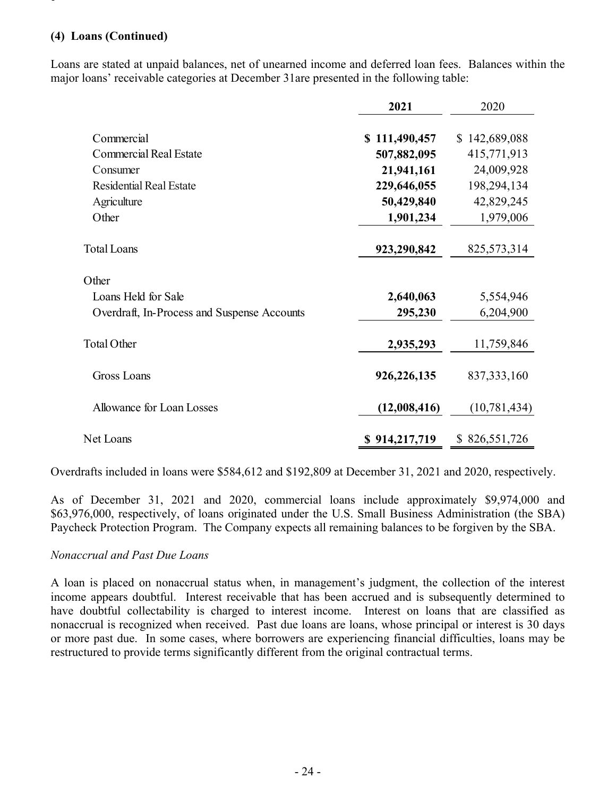7

Loans are stated at unpaid balances, net of unearned income and deferred loan fees. Balances within the major loans' receivable categories at December 31are presented in the following table:

|                                             | 2021              | 2020           |
|---------------------------------------------|-------------------|----------------|
| Commercial                                  | 111,490,457<br>S. | \$142,689,088  |
| <b>Commercial Real Estate</b>               | 507,882,095       | 415,771,913    |
| Consumer                                    | 21,941,161        | 24,009,928     |
| <b>Residential Real Estate</b>              | 229,646,055       | 198,294,134    |
| Agriculture                                 | 50,429,840        | 42,829,245     |
| Other                                       | 1,901,234         | 1,979,006      |
| Total Loans                                 | 923,290,842       | 825, 573, 314  |
| Other                                       |                   |                |
| Loans Held for Sale                         | 2,640,063         | 5,554,946      |
| Overdraft, In-Process and Suspense Accounts | 295,230           | 6,204,900      |
| Total Other                                 | 2,935,293         | 11,759,846     |
| <b>Gross Loans</b>                          | 926,226,135       | 837, 333, 160  |
| Allowance for Loan Losses                   | (12,008,416)      | (10, 781, 434) |
| Net Loans                                   | \$914,217,719     | \$826,551,726  |

Overdrafts included in loans were \$584,612 and \$192,809 at December 31, 2021 and 2020, respectively.

As of December 31, 2021 and 2020, commercial loans include approximately \$9,974,000 and \$63,976,000, respectively, of loans originated under the U.S. Small Business Administration (the SBA) Paycheck Protection Program. The Company expects all remaining balances to be forgiven by the SBA.

## *Nonaccrual and Past Due Loans*

A loan is placed on nonaccrual status when, in management's judgment, the collection of the interest income appears doubtful. Interest receivable that has been accrued and is subsequently determined to have doubtful collectability is charged to interest income. Interest on loans that are classified as nonaccrual is recognized when received. Past due loans are loans, whose principal or interest is 30 days or more past due. In some cases, where borrowers are experiencing financial difficulties, loans may be restructured to provide terms significantly different from the original contractual terms.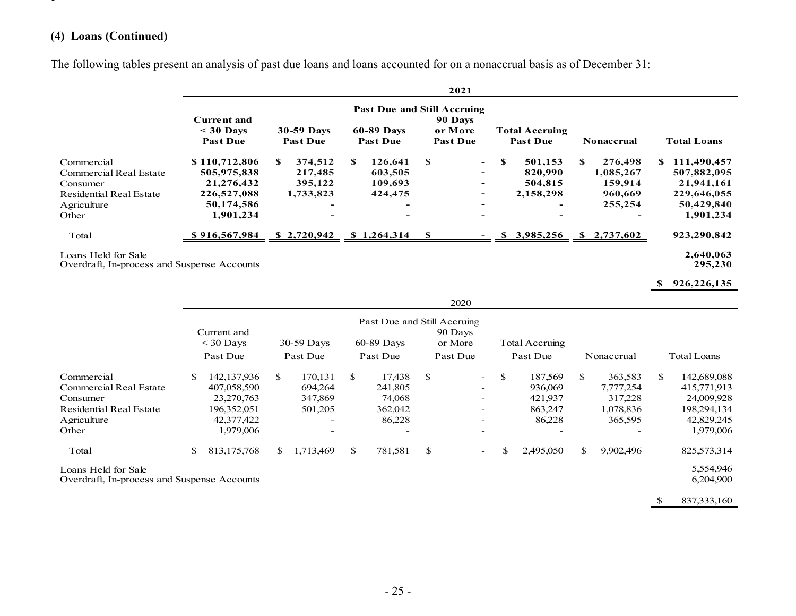0 $\overline{\phantom{a}}$ 

|                                                                                                     |                                                                                      |                                                                              |                                                                                              | 2021                                                                                                                     |                                                 |                                                            |                                                                                          |
|-----------------------------------------------------------------------------------------------------|--------------------------------------------------------------------------------------|------------------------------------------------------------------------------|----------------------------------------------------------------------------------------------|--------------------------------------------------------------------------------------------------------------------------|-------------------------------------------------|------------------------------------------------------------|------------------------------------------------------------------------------------------|
|                                                                                                     |                                                                                      |                                                                              |                                                                                              |                                                                                                                          |                                                 |                                                            |                                                                                          |
|                                                                                                     | <b>Current and</b><br>$<$ 30 Days<br><b>Past Due</b>                                 | <b>30-59 Days</b><br><b>Past Due</b>                                         | <b>60-89 Days</b><br><b>Past Due</b>                                                         | 90 Days<br>or More<br><b>Past Due</b>                                                                                    | <b>Total Accruing</b><br><b>Past Due</b>        | <b>Nonaccrual</b>                                          | <b>Total Loans</b>                                                                       |
| Commercial<br>Commercial Real Estate<br>Consumer<br>Residential Real Estate<br>Agriculture<br>Other | \$110,712,806<br>505,975,838<br>21,276,432<br>226,527,088<br>50,174,586<br>1,901,234 | 374,512<br>\$<br>217,485<br>395,122<br>1,733,823<br>$\overline{\phantom{0}}$ | S<br>126,641<br>603,505<br>109,693<br>424,475<br>$\overline{\phantom{a}}$<br>$\qquad \qquad$ | <b>S</b><br>$\overline{\phantom{0}}$<br>$\overline{\phantom{a}}$<br>$\overline{\phantom{a}}$<br>$\overline{\phantom{a}}$ | S<br>501,153<br>820,990<br>504,815<br>2,158,298 | S<br>276,498<br>1,085,267<br>159,914<br>960,669<br>255,254 | 111,490,457<br>S.<br>507,882,095<br>21,941,161<br>229,646,055<br>50,429,840<br>1,901,234 |
| Total                                                                                               | \$916,567,984                                                                        | \$2,720,942                                                                  | \$1,264,314                                                                                  | -S<br>$\overline{\phantom{a}}$                                                                                           | \$3,985,256                                     | \$2,737,602                                                | 923,290,842                                                                              |
| Loans Held for Sale<br>Overdraft, In-process and Suspense Accounts                                  |                                                                                      |                                                                              |                                                                                              |                                                                                                                          |                                                 |                                                            | 2,640,063<br>295,230                                                                     |
|                                                                                                     |                                                                                      |                                                                              |                                                                                              |                                                                                                                          |                                                 |                                                            | 926,226,135                                                                              |

|                         |                             |               |              |                          |              |          |                    | 2020                     |                |           |    |            |                   |
|-------------------------|-----------------------------|---------------|--------------|--------------------------|--------------|----------|--------------------|--------------------------|----------------|-----------|----|------------|-------------------|
|                         | Past Due and Still Accruing |               |              |                          |              |          |                    |                          |                |           |    |            |                   |
|                         | Current and<br>$<$ 30 Days  |               | $30-59$ Days |                          | $60-89$ Days |          | 90 Days<br>or More |                          | Total Accruing |           |    |            |                   |
|                         |                             | Past Due      |              | Past Due                 |              | Past Due |                    | Past Due                 |                | Past Due  |    | Nonaccrual | Total Loans       |
| Commercial              | S.                          | 142, 137, 936 | \$           | 170.131                  | S.           | 17,438   | <sup>\$</sup>      | $\overline{\phantom{0}}$ | \$             | 187,569   | S. | 363,583    | \$<br>142,689,088 |
| Commercial Real Estate  |                             | 407,058,590   |              | 694,264                  |              | 241,805  |                    | $\overline{\phantom{a}}$ |                | 936,069   |    | 7,777,254  | 415,771,913       |
| Consumer                |                             | 23,270,763    |              | 347,869                  |              | 74,068   |                    | $\overline{\phantom{a}}$ |                | 421,937   |    | 317,228    | 24,009,928        |
| Residential Real Estate |                             | 196, 352, 051 |              | 501,205                  |              | 362,042  |                    | $\overline{\phantom{a}}$ |                | 863,247   |    | 1,078,836  | 198,294,134       |
| Agriculture             |                             | 42,377,422    |              | $\overline{\phantom{0}}$ |              | 86,228   |                    | $\overline{\phantom{a}}$ |                | 86,228    |    | 365,595    | 42,829,245        |
| Other                   |                             | 1,979,006     |              |                          |              |          |                    |                          |                |           |    |            | 1,979,006         |
| Total                   |                             | 813, 175, 768 | -SS          | 1,713,469                |              | 781,581  |                    |                          |                | 2,495,050 |    | 9,902,496  | 825,573,314       |
| Loans Held for Sale     |                             |               |              |                          |              |          |                    |                          |                |           |    |            | 5,554,946         |

Overdraft, In-process and Suspense Accounts 6,204,900

\$ 837,333,160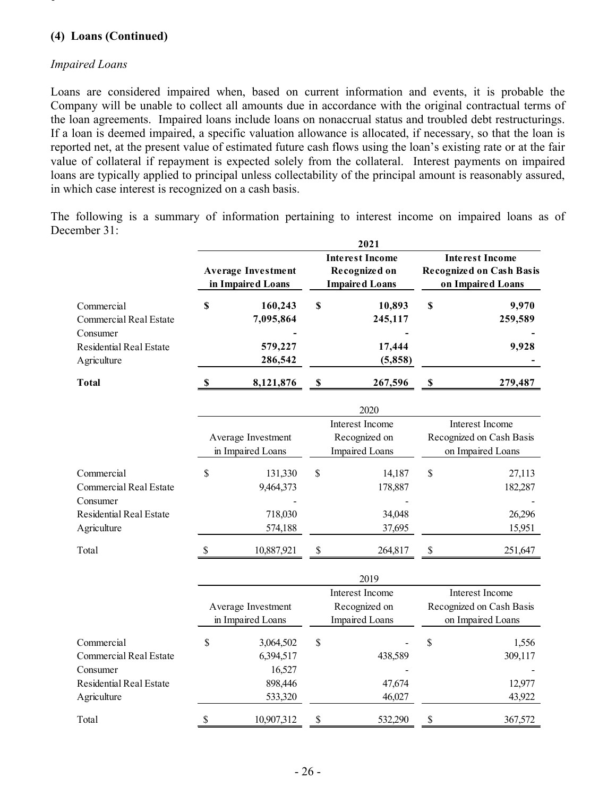#### *Impaired Loans*

Loans are considered impaired when, based on current information and events, it is probable the Company will be unable to collect all amounts due in accordance with the original contractual terms of the loan agreements. Impaired loans include loans on nonaccrual status and troubled debt restructurings. If a loan is deemed impaired, a specific valuation allowance is allocated, if necessary, so that the loan is reported net, at the present value of estimated future cash flows using the loan's existing rate or at the fair value of collateral if repayment is expected solely from the collateral. Interest payments on impaired loans are typically applied to principal unless collectability of the principal amount is reasonably assured, in which case interest is recognized on a cash basis.

The following is a summary of information pertaining to interest income on impaired loans as of December 31:

|                                                  | 2021 |                                                |    |                                                                  |                                                                                |                  |  |  |  |  |
|--------------------------------------------------|------|------------------------------------------------|----|------------------------------------------------------------------|--------------------------------------------------------------------------------|------------------|--|--|--|--|
|                                                  |      | <b>Average Investment</b><br>in Impaired Loans |    | <b>Interest Income</b><br>Recognized on<br><b>Impaired Loans</b> | <b>Interest Income</b><br><b>Recognized on Cash Basis</b><br>on Impaired Loans |                  |  |  |  |  |
| Commercial<br>Commercial Real Estate<br>Consumer | \$   | 160,243<br>7,095,864                           | \$ | 10,893<br>245,117                                                | $\mathbf S$                                                                    | 9,970<br>259,589 |  |  |  |  |
| <b>Residential Real Estate</b><br>Agriculture    |      | 579,227<br>286,542                             |    | 17,444<br>(5,858)                                                |                                                                                | 9,928            |  |  |  |  |
| <b>Total</b>                                     | \$   | 8,121,876                                      | \$ | 267,596                                                          | S                                                                              | 279,487          |  |  |  |  |
|                                                  |      |                                                |    | 2020                                                             |                                                                                |                  |  |  |  |  |
|                                                  |      |                                                |    | Interest Income                                                  | <b>Interest Income</b><br>Recognized on Cash Basis<br>on Impaired Loans        |                  |  |  |  |  |
|                                                  |      | Average Investment                             |    | Recognized on                                                    |                                                                                |                  |  |  |  |  |
|                                                  |      | in Impaired Loans                              |    | <b>Impaired Loans</b>                                            |                                                                                |                  |  |  |  |  |
| Commercial                                       | \$   | 131,330                                        | \$ | 14,187                                                           | \$                                                                             | 27,113           |  |  |  |  |
| Commercial Real Estate                           |      | 9,464,373                                      |    | 178,887                                                          |                                                                                | 182,287          |  |  |  |  |
| Consumer                                         |      |                                                |    |                                                                  |                                                                                |                  |  |  |  |  |
| <b>Residential Real Estate</b>                   |      | 718,030                                        |    | 34,048                                                           |                                                                                | 26,296           |  |  |  |  |
| Agriculture                                      |      | 574,188                                        |    | 37,695                                                           |                                                                                | 15,951           |  |  |  |  |
| Total                                            |      | 10,887,921                                     |    | 264,817                                                          | S                                                                              | 251,647          |  |  |  |  |

|                                | 2019 |                    |    |                       |                   |                          |  |  |  |  |
|--------------------------------|------|--------------------|----|-----------------------|-------------------|--------------------------|--|--|--|--|
|                                |      |                    |    | Interest Income       |                   |                          |  |  |  |  |
|                                |      | Average Investment |    | Recognized on         |                   | Recognized on Cash Basis |  |  |  |  |
|                                |      | in Impaired Loans  |    | <b>Impaired Loans</b> | on Impaired Loans |                          |  |  |  |  |
| Commercial                     | S    | 3,064,502          | \$ |                       | S                 | 1,556                    |  |  |  |  |
| Commercial Real Estate         |      | 6,394,517          |    | 438,589               |                   | 309,117                  |  |  |  |  |
| Consumer                       |      | 16,527             |    |                       |                   |                          |  |  |  |  |
| <b>Residential Real Estate</b> |      | 898,446            |    | 47,674                |                   | 12,977                   |  |  |  |  |
| Agriculture                    |      | 533,320            |    | 46,027                |                   | 43,922                   |  |  |  |  |
| Total                          |      | 10,907,312         | S  | 532,290               |                   | 367,572                  |  |  |  |  |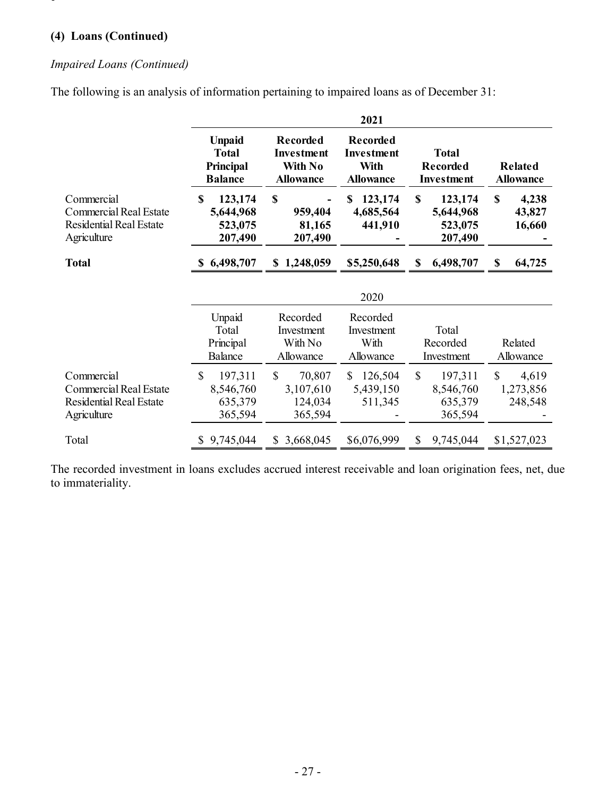## *Impaired Loans (Continued)*

The following is an analysis of information pertaining to impaired loans as of December 31:

|                                                                                              |                                                              |                                                                     | 2021                                                             |                                                            |                                               |
|----------------------------------------------------------------------------------------------|--------------------------------------------------------------|---------------------------------------------------------------------|------------------------------------------------------------------|------------------------------------------------------------|-----------------------------------------------|
|                                                                                              | <b>Unpaid</b><br><b>Total</b><br>Principal<br><b>Balance</b> | <b>Recorded</b><br><b>Investment</b><br>With No<br><b>Allowance</b> | <b>Recorded</b><br>Investment<br><b>With</b><br><b>Allowance</b> | <b>Total</b><br><b>Recorded</b><br><b>Investment</b>       | <b>Related</b><br><b>Allowance</b>            |
| Commercial<br><b>Commercial Real Estate</b><br><b>Residential Real Estate</b><br>Agriculture | \$<br>123,174<br>5,644,968<br>523,075<br>207,490             | $\mathbf S$<br>959,404<br>81,165<br>207,490                         | 123,174<br>4,685,564<br>441,910                                  | $\mathbf S$<br>123,174<br>5,644,968<br>523,075<br>207,490  | \$<br>4,238<br>43,827<br>16,660               |
| <b>Total</b>                                                                                 | 6,498,707<br>\$                                              | 1,248,059<br>\$                                                     | \$5,250,648                                                      | \$<br>6,498,707                                            | \$<br>64,725                                  |
|                                                                                              |                                                              |                                                                     | 2020                                                             |                                                            |                                               |
|                                                                                              | Unpaid<br>Total<br>Principal<br>Balance                      | Recorded<br>Investment<br>With No<br>Allowance                      | Recorded<br>Investment<br>With<br>Allowance                      | Total<br>Recorded<br>Investment                            | Related<br>Allowance                          |
| Commercial<br><b>Commercial Real Estate</b><br><b>Residential Real Estate</b><br>Agriculture | \$<br>197,311<br>8,546,760<br>635,379<br>365,594             | $\mathbb{S}$<br>70,807<br>3,107,610<br>124,034<br>365,594           | 126,504<br>\$<br>5,439,150<br>511,345                            | $\mathbb{S}$<br>197,311<br>8,546,760<br>635,379<br>365,594 | $\mathbb{S}$<br>4,619<br>1,273,856<br>248,548 |
| Total                                                                                        | 9,745,044<br>S.                                              | 3,668,045<br>S.                                                     | \$6,076,999                                                      | 9,745,044<br>\$                                            | \$1,527,023                                   |

The recorded investment in loans excludes accrued interest receivable and loan origination fees, net, due to immateriality.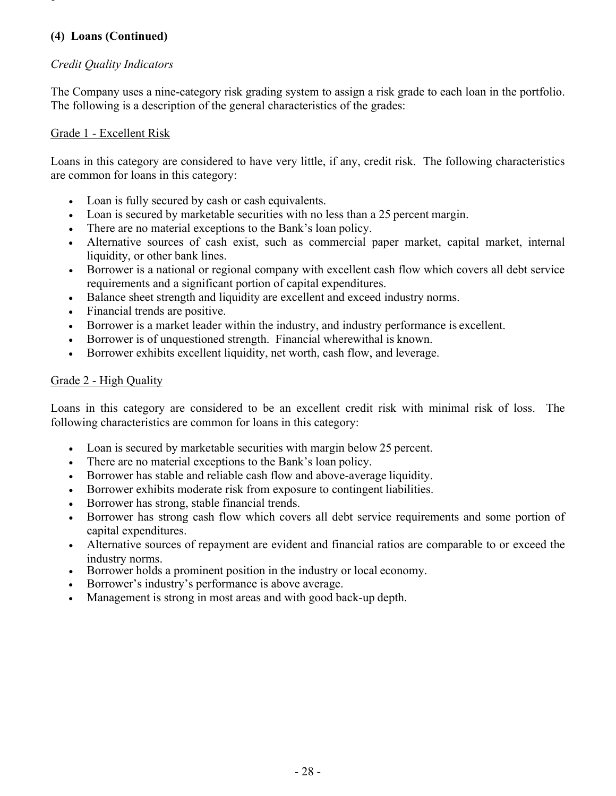## **(4) Loans (Continued)**

## *Credit Quality Indicators*

The Company uses a nine-category risk grading system to assign a risk grade to each loan in the portfolio. The following is a description of the general characteristics of the grades:

## Grade 1 - Excellent Risk

Loans in this category are considered to have very little, if any, credit risk. The following characteristics are common for loans in this category:

- Loan is fully secured by cash or cash equivalents.
- Loan is secured by marketable securities with no less than a 25 percent margin.
- There are no material exceptions to the Bank's loan policy.
- Alternative sources of cash exist, such as commercial paper market, capital market, internal liquidity, or other bank lines.
- Borrower is a national or regional company with excellent cash flow which covers all debt service requirements and a significant portion of capital expenditures.
- Balance sheet strength and liquidity are excellent and exceed industry norms.
- Financial trends are positive.
- Borrower is a market leader within the industry, and industry performance is excellent.
- Borrower is of unquestioned strength. Financial wherewithal is known.
- Borrower exhibits excellent liquidity, net worth, cash flow, and leverage.

## Grade 2 - High Quality

Loans in this category are considered to be an excellent credit risk with minimal risk of loss. The following characteristics are common for loans in this category:

- Loan is secured by marketable securities with margin below 25 percent.
- There are no material exceptions to the Bank's loan policy.
- Borrower has stable and reliable cash flow and above‐average liquidity.
- Borrower exhibits moderate risk from exposure to contingent liabilities.
- Borrower has strong, stable financial trends.
- Borrower has strong cash flow which covers all debt service requirements and some portion of capital expenditures.
- Alternative sources of repayment are evident and financial ratios are comparable to or exceed the industry norms.
- Borrower holds a prominent position in the industry or local economy.
- Borrower's industry's performance is above average.
- Management is strong in most areas and with good back‐up depth.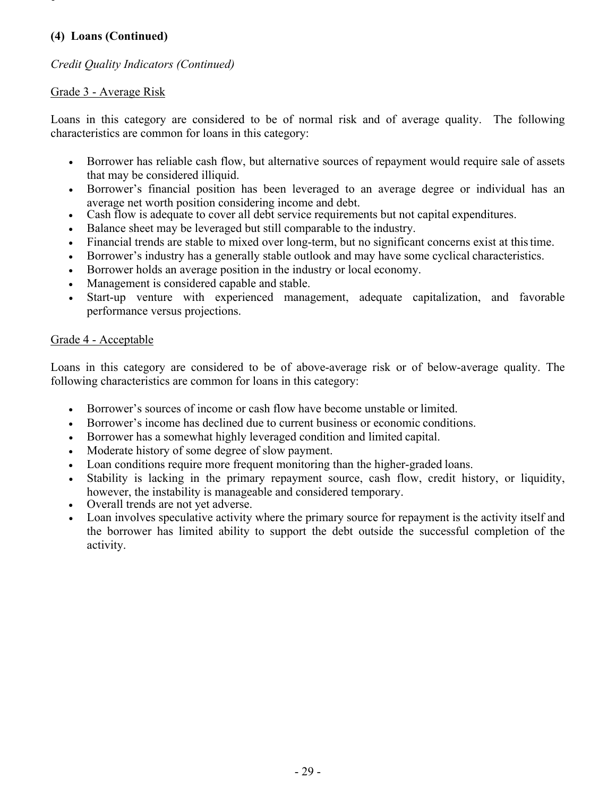## *Credit Quality Indicators (Continued)*

#### Grade 3 - Average Risk

Loans in this category are considered to be of normal risk and of average quality. The following characteristics are common for loans in this category:

- Borrower has reliable cash flow, but alternative sources of repayment would require sale of assets that may be considered illiquid.
- Borrower's financial position has been leveraged to an average degree or individual has an average net worth position considering income and debt.
- Cash flow is adequate to cover all debt service requirements but not capital expenditures.
- Balance sheet may be leveraged but still comparable to the industry.
- Financial trends are stable to mixed over long-term, but no significant concerns exist at this time.
- Borrower's industry has a generally stable outlook and may have some cyclical characteristics.
- Borrower holds an average position in the industry or local economy.
- Management is considered capable and stable.
- Start-up venture with experienced management, adequate capitalization, and favorable performance versus projections.

### Grade 4 - Acceptable

Loans in this category are considered to be of above-average risk or of below-average quality. The following characteristics are common for loans in this category:

- Borrower's sources of income or cash flow have become unstable or limited.
- Borrower's income has declined due to current business or economic conditions.
- Borrower has a somewhat highly leveraged condition and limited capital.
- Moderate history of some degree of slow payment.
- Loan conditions require more frequent monitoring than the higher-graded loans.
- Stability is lacking in the primary repayment source, cash flow, credit history, or liquidity, however, the instability is manageable and considered temporary.
- Overall trends are not yet adverse.
- Loan involves speculative activity where the primary source for repayment is the activity itself and the borrower has limited ability to support the debt outside the successful completion of the activity.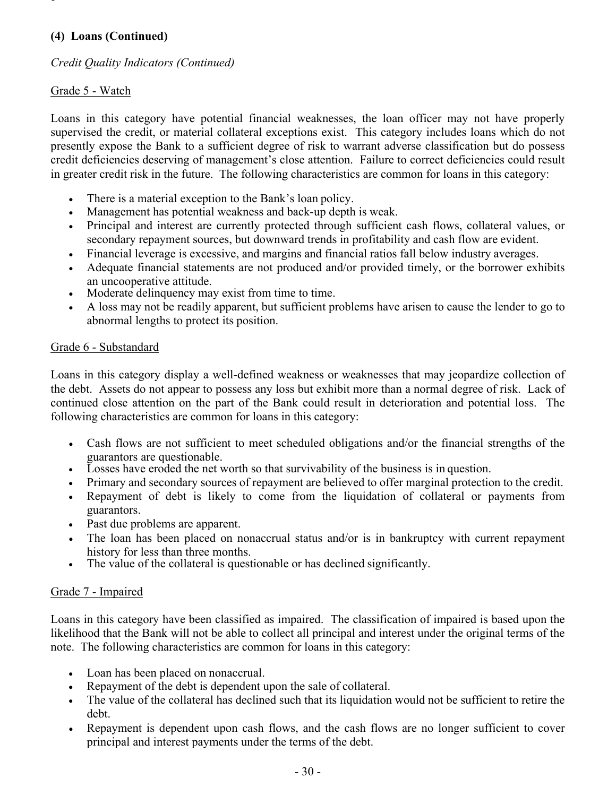## *Credit Quality Indicators (Continued)*

#### Grade 5 - Watch

Loans in this category have potential financial weaknesses, the loan officer may not have properly supervised the credit, or material collateral exceptions exist. This category includes loans which do not presently expose the Bank to a sufficient degree of risk to warrant adverse classification but do possess credit deficiencies deserving of management's close attention. Failure to correct deficiencies could result in greater credit risk in the future. The following characteristics are common for loans in this category:

- There is a material exception to the Bank's loan policy.
- Management has potential weakness and back‐up depth is weak.
- Principal and interest are currently protected through sufficient cash flows, collateral values, or secondary repayment sources, but downward trends in profitability and cash flow are evident.
- Financial leverage is excessive, and margins and financial ratios fall below industry averages.
- Adequate financial statements are not produced and/or provided timely, or the borrower exhibits an uncooperative attitude.
- Moderate delinquency may exist from time to time.
- A loss may not be readily apparent, but sufficient problems have arisen to cause the lender to go to abnormal lengths to protect its position.

### Grade 6 - Substandard

Loans in this category display a well‐defined weakness or weaknesses that may jeopardize collection of the debt. Assets do not appear to possess any loss but exhibit more than a normal degree of risk. Lack of continued close attention on the part of the Bank could result in deterioration and potential loss. The following characteristics are common for loans in this category:

- Cash flows are not sufficient to meet scheduled obligations and/or the financial strengths of the guarantors are questionable.
- Losses have eroded the net worth so that survivability of the business is in question.
- Primary and secondary sources of repayment are believed to offer marginal protection to the credit.
- Repayment of debt is likely to come from the liquidation of collateral or payments from guarantors.
- Past due problems are apparent.
- The loan has been placed on nonaccrual status and/or is in bankruptcy with current repayment history for less than three months.
- The value of the collateral is questionable or has declined significantly.

## Grade 7 - Impaired

Loans in this category have been classified as impaired. The classification of impaired is based upon the likelihood that the Bank will not be able to collect all principal and interest under the original terms of the note. The following characteristics are common for loans in this category:

- Loan has been placed on nonaccrual.
- Repayment of the debt is dependent upon the sale of collateral.
- The value of the collateral has declined such that its liquidation would not be sufficient to retire the debt.
- Repayment is dependent upon cash flows, and the cash flows are no longer sufficient to cover principal and interest payments under the terms of the debt.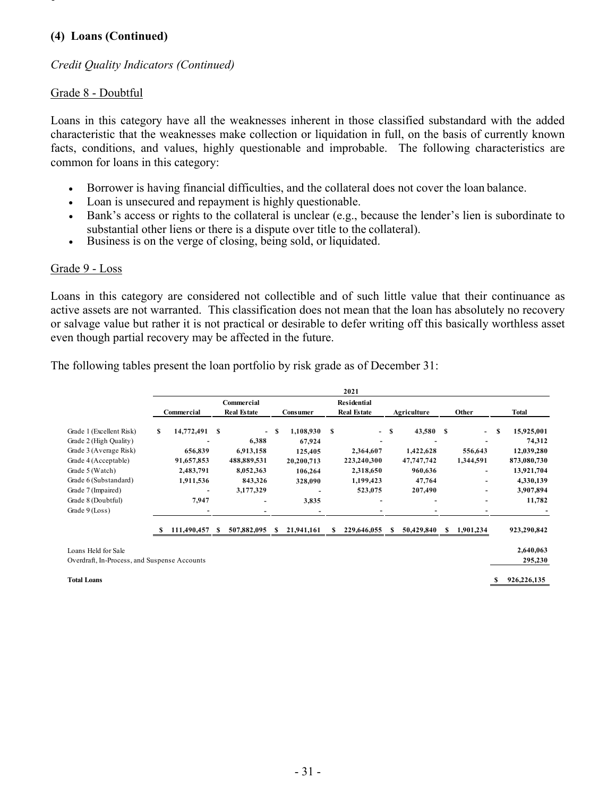#### *Credit Quality Indicators (Continued)*

#### Grade 8 - Doubtful

Loans in this category have all the weaknesses inherent in those classified substandard with the added characteristic that the weaknesses make collection or liquidation in full, on the basis of currently known facts, conditions, and values, highly questionable and improbable. The following characteristics are common for loans in this category:

- Borrower is having financial difficulties, and the collateral does not cover the loan balance.
- Loan is unsecured and repayment is highly questionable.
- Bank's access or rights to the collateral is unclear (e.g., because the lender's lien is subordinate to substantial other liens or there is a dispute over title to the collateral).
- Business is on the verge of closing, being sold, or liquidated.

#### Grade 9 - Loss

Loans in this category are considered not collectible and of such little value that their continuance as active assets are not warranted. This classification does not mean that the loan has absolutely no recovery or salvage value but rather it is not practical or desirable to defer writing off this basically worthless asset even though partial recovery may be affected in the future.

The following tables present the loan portfolio by risk grade as of December 31:

|                                                                                                                                                                                                                |   |                                                                        |   |                                                                        |   |                                                                             |   | 2021                                                          |             |                                                                      |   |                                         |   |                                                                                                     |
|----------------------------------------------------------------------------------------------------------------------------------------------------------------------------------------------------------------|---|------------------------------------------------------------------------|---|------------------------------------------------------------------------|---|-----------------------------------------------------------------------------|---|---------------------------------------------------------------|-------------|----------------------------------------------------------------------|---|-----------------------------------------|---|-----------------------------------------------------------------------------------------------------|
|                                                                                                                                                                                                                |   | Commercial                                                             |   | Commercial<br><b>Real Estate</b>                                       |   | <b>Residential</b><br><b>Real Estate</b><br>Consumer                        |   |                                                               | Agriculture |                                                                      |   | Other                                   |   | <b>Total</b>                                                                                        |
| Grade 1 (Excellent Risk)<br>Grade 2 (High Quality)<br>Grade 3 (Average Risk)<br>Grade 4 (Acceptable)<br>Grade 5 (Watch)<br>Grade 6 (Substandard)<br>Grade 7 (Impaired)<br>Grade 8 (Doubtful)<br>Grade 9 (Loss) | S | 14,772,491<br>656,839<br>91,657,853<br>2,483,791<br>1,911,536<br>7,947 | S | 6,388<br>6,913,158<br>488,889,531<br>8,052,363<br>843,326<br>3,177,329 | S | 1,108,930<br>67,924<br>125,405<br>20,200,713<br>106,264<br>328,090<br>3,835 | s | 2,364,607<br>223,240,300<br>2,318,650<br>1,199,423<br>523,075 | $-$ S       | 43,580 \$<br>1,422,628<br>47,747,742<br>960,636<br>47,764<br>207,490 |   | $\sim$ 10 $\pm$<br>556,643<br>1,344,591 | S | 15,925,001<br>74,312<br>12,039,280<br>873,080,730<br>13,921,704<br>4,330,139<br>3,907,894<br>11,782 |
| Loans Held for Sale<br>Overdraft, In-Process, and Suspense Accounts                                                                                                                                            |   | 111,490,457                                                            | S | 507,882,095                                                            | s | 21,941,161                                                                  | S | 229,646,055                                                   | S           | 50,429,840                                                           | S | 1,901,234                               |   | 923,290,842<br>2,640,063<br>295,230                                                                 |

**Total Loans \$ 926,226,135**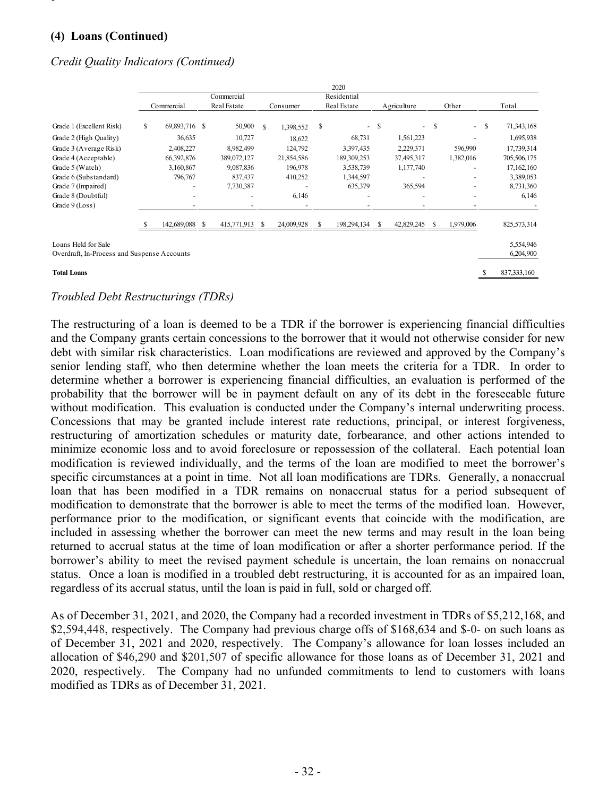## *Credit Quality Indicators (Continued)*

|                                             |                     |               |             |               |            |     | 2020        |               |             |     |           |   |               |
|---------------------------------------------|---------------------|---------------|-------------|---------------|------------|-----|-------------|---------------|-------------|-----|-----------|---|---------------|
|                                             |                     |               | Commercial  |               |            |     | Residential |               |             |     |           |   |               |
|                                             | Commercial          |               | Real Estate |               | Consumer   |     | Real Estate |               | Agriculture |     | Other     |   | Total         |
| Grade 1 (Excellent Risk)                    | \$<br>69,893,716 \$ |               | 50,900      | $\mathcal{S}$ | 1,398,552  | \$  | $\sim$      | \$            |             | \$. | $\sim$    | S | 71,343,168    |
| Grade 2 (High Quality)                      | 36,635              |               | 10,727      |               | 18,622     |     | 68,731      |               | 1,561,223   |     |           |   | 1,695,938     |
| Grade 3 (Average Risk)                      | 2,408,227           |               | 8,982,499   |               | 124,792    |     | 3,397,435   |               | 2,229,371   |     | 596,990   |   | 17,739,314    |
| Grade 4 (Acceptable)                        | 66,392,876          |               | 389,072,127 |               | 21,854,586 |     | 189,309,253 |               | 37,495,317  |     | 1,382,016 |   | 705,506,175   |
| Grade 5 (Watch)                             | 3,160,867           |               | 9,087,836   |               | 196,978    |     | 3,538,739   |               | 1,177,740   |     |           |   | 17, 162, 160  |
| Grade 6 (Substandard)                       | 796,767             |               | 837,437     |               | 410,252    |     | 1,344,597   |               |             |     |           |   | 3,389,053     |
| Grade 7 (Impaired)                          |                     |               | 7,730,387   |               |            |     | 635,379     |               | 365,594     |     |           |   | 8,731,360     |
| Grade 8 (Doubtful)                          |                     |               |             |               | 6,146      |     |             |               |             |     |           |   | 6,146         |
| Grade 9 (Loss)                              |                     |               |             |               |            |     |             |               |             |     |           |   |               |
|                                             | 142,689,088         | <sup>\$</sup> | 415,771,913 | -S            | 24,009,928 | \$. | 198,294,134 | <sup>\$</sup> | 42,829,245  | -S  | 1,979,006 |   | 825,573,314   |
| Loans Held for Sale                         |                     |               |             |               |            |     |             |               |             |     |           |   | 5,554,946     |
| Overdraft, In-Process and Suspense Accounts |                     |               |             |               |            |     |             |               |             |     |           |   | 6,204,900     |
| <b>Total Loans</b>                          |                     |               |             |               |            |     |             |               |             |     |           |   | 837, 333, 160 |

#### *Troubled Debt Restructurings (TDRs)*

The restructuring of a loan is deemed to be a TDR if the borrower is experiencing financial difficulties and the Company grants certain concessions to the borrower that it would not otherwise consider for new debt with similar risk characteristics. Loan modifications are reviewed and approved by the Company's senior lending staff, who then determine whether the loan meets the criteria for a TDR. In order to determine whether a borrower is experiencing financial difficulties, an evaluation is performed of the probability that the borrower will be in payment default on any of its debt in the foreseeable future without modification. This evaluation is conducted under the Company's internal underwriting process. Concessions that may be granted include interest rate reductions, principal, or interest forgiveness, restructuring of amortization schedules or maturity date, forbearance, and other actions intended to minimize economic loss and to avoid foreclosure or repossession of the collateral. Each potential loan modification is reviewed individually, and the terms of the loan are modified to meet the borrower's specific circumstances at a point in time. Not all loan modifications are TDRs. Generally, a nonaccrual loan that has been modified in a TDR remains on nonaccrual status for a period subsequent of modification to demonstrate that the borrower is able to meet the terms of the modified loan. However, performance prior to the modification, or significant events that coincide with the modification, are included in assessing whether the borrower can meet the new terms and may result in the loan being returned to accrual status at the time of loan modification or after a shorter performance period. If the borrower's ability to meet the revised payment schedule is uncertain, the loan remains on nonaccrual status. Once a loan is modified in a troubled debt restructuring, it is accounted for as an impaired loan, regardless of its accrual status, until the loan is paid in full, sold or charged off.

As of December 31, 2021, and 2020, the Company had a recorded investment in TDRs of \$5,212,168, and \$2,594,448, respectively. The Company had previous charge offs of \$168,634 and \$‐0‐ on such loans as of December 31, 2021 and 2020, respectively. The Company's allowance for loan losses included an allocation of \$46,290 and \$201,507 of specific allowance for those loans as of December 31, 2021 and 2020, respectively. The Company had no unfunded commitments to lend to customers with loans modified as TDRs as of December 31, 2021.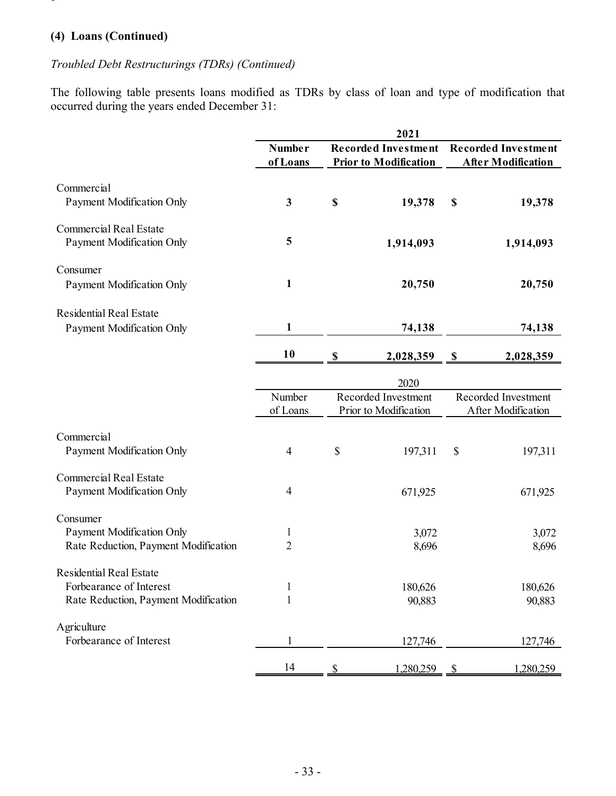## *Troubled Debt Restructurings (TDRs) (Continued)*

The following table presents loans modified as TDRs by class of loan and type of modification that occurred during the years ended December 31:

|                                                                                            |                           |                           | 2021                                                       |               |                                                         |
|--------------------------------------------------------------------------------------------|---------------------------|---------------------------|------------------------------------------------------------|---------------|---------------------------------------------------------|
|                                                                                            | <b>Number</b><br>of Loans |                           | <b>Recorded Investment</b><br><b>Prior to Modification</b> |               | <b>Recorded Investment</b><br><b>After Modification</b> |
| Commercial<br>Payment Modification Only                                                    | 3                         | $\boldsymbol{\mathsf{S}}$ | 19,378                                                     | \$            | 19,378                                                  |
| <b>Commercial Real Estate</b><br>Payment Modification Only                                 | 5                         |                           | 1,914,093                                                  |               | 1,914,093                                               |
| Consumer<br>Payment Modification Only                                                      | $\mathbf{1}$              |                           | 20,750                                                     |               | 20,750                                                  |
| <b>Residential Real Estate</b>                                                             |                           |                           |                                                            |               |                                                         |
| Payment Modification Only                                                                  | $\mathbf{1}$              |                           | 74,138                                                     |               | 74,138                                                  |
|                                                                                            | 10                        |                           | 2,028,359                                                  | $\mathbf{S}$  | 2,028,359                                               |
|                                                                                            |                           |                           | 2020                                                       |               |                                                         |
|                                                                                            | Number<br>of Loans        |                           | Recorded Investment<br>Prior to Modification               |               | Recorded Investment<br>After Modification               |
| Commercial<br>Payment Modification Only                                                    | 4                         | \$                        | 197,311                                                    | \$            | 197,311                                                 |
| <b>Commercial Real Estate</b><br>Payment Modification Only                                 | 4                         |                           | 671,925                                                    |               | 671,925                                                 |
| Consumer<br>Payment Modification Only<br>Rate Reduction, Payment Modification              | 1<br>$\overline{2}$       |                           | 3,072<br>8,696                                             |               | 3,072<br>8,696                                          |
| Residential Real Estate<br>Forbearance of Interest<br>Rate Reduction, Payment Modification | 1<br>1                    |                           | 180,626<br>90,883                                          |               | 180,626<br>90,883                                       |
| Agriculture<br>Forbearance of Interest                                                     | 1                         |                           | 127,746                                                    |               | 127,746                                                 |
|                                                                                            | 14                        | \$                        | 1,280,259                                                  | $\mathcal{S}$ | 1,280,259                                               |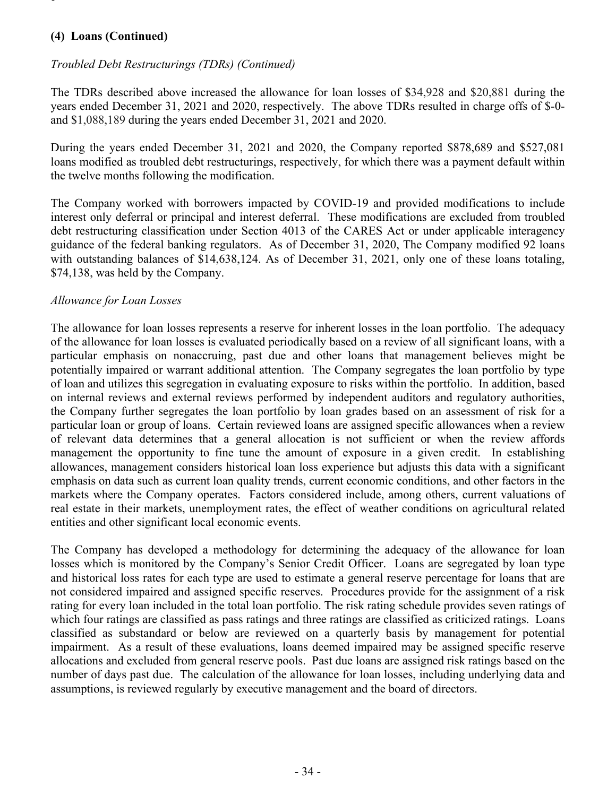## *Troubled Debt Restructurings (TDRs) (Continued)*

The TDRs described above increased the allowance for loan losses of \$34,928 and \$20,881 during the years ended December 31, 2021 and 2020, respectively. The above TDRs resulted in charge offs of \$-0 and \$1,088,189 during the years ended December 31, 2021 and 2020.

During the years ended December 31, 2021 and 2020, the Company reported \$878,689 and \$527,081 loans modified as troubled debt restructurings, respectively, for which there was a payment default within the twelve months following the modification.

The Company worked with borrowers impacted by COVID-19 and provided modifications to include interest only deferral or principal and interest deferral. These modifications are excluded from troubled debt restructuring classification under Section 4013 of the CARES Act or under applicable interagency guidance of the federal banking regulators. As of December 31, 2020, The Company modified 92 loans with outstanding balances of \$14,638,124. As of December 31, 2021, only one of these loans totaling, \$74,138, was held by the Company.

### *Allowance for Loan Losses*

The allowance for loan losses represents a reserve for inherent losses in the loan portfolio. The adequacy of the allowance for loan losses is evaluated periodically based on a review of all significant loans, with a particular emphasis on nonaccruing, past due and other loans that management believes might be potentially impaired or warrant additional attention. The Company segregates the loan portfolio by type of loan and utilizes this segregation in evaluating exposure to risks within the portfolio. In addition, based on internal reviews and external reviews performed by independent auditors and regulatory authorities, the Company further segregates the loan portfolio by loan grades based on an assessment of risk for a particular loan or group of loans. Certain reviewed loans are assigned specific allowances when a review of relevant data determines that a general allocation is not sufficient or when the review affords management the opportunity to fine tune the amount of exposure in a given credit. In establishing allowances, management considers historical loan loss experience but adjusts this data with a significant emphasis on data such as current loan quality trends, current economic conditions, and other factors in the markets where the Company operates. Factors considered include, among others, current valuations of real estate in their markets, unemployment rates, the effect of weather conditions on agricultural related entities and other significant local economic events.

The Company has developed a methodology for determining the adequacy of the allowance for loan losses which is monitored by the Company's Senior Credit Officer. Loans are segregated by loan type and historical loss rates for each type are used to estimate a general reserve percentage for loans that are not considered impaired and assigned specific reserves. Procedures provide for the assignment of a risk rating for every loan included in the total loan portfolio. The risk rating schedule provides seven ratings of which four ratings are classified as pass ratings and three ratings are classified as criticized ratings. Loans classified as substandard or below are reviewed on a quarterly basis by management for potential impairment. As a result of these evaluations, loans deemed impaired may be assigned specific reserve allocations and excluded from general reserve pools. Past due loans are assigned risk ratings based on the number of days past due. The calculation of the allowance for loan losses, including underlying data and assumptions, is reviewed regularly by executive management and the board of directors.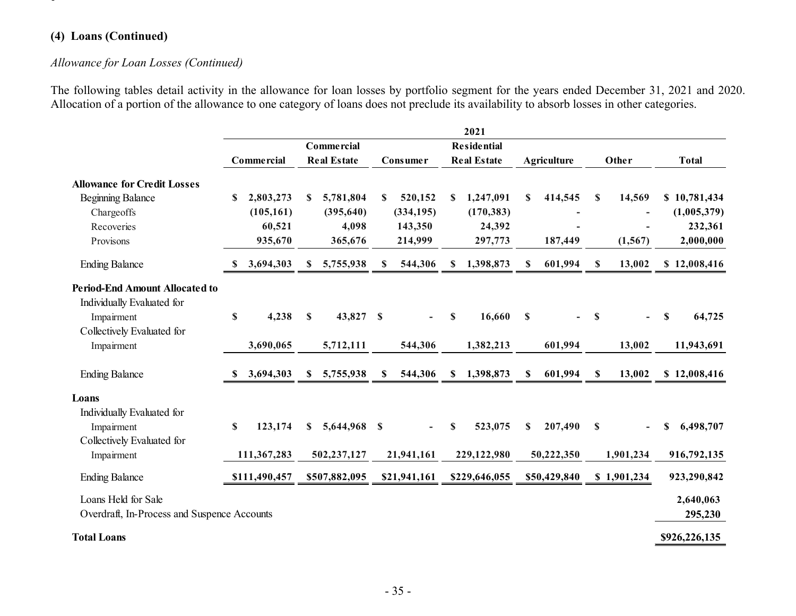0-

## *Allowance for Loan Losses (Continued)*

The following tables detail activity in the allowance for loan losses by portfolio segment for the years ended December 31, 2021 and 2020. Allocation of a portion of the allowance to one category of loans does not preclude its availability to absorb losses in other categories.

|                                             |    |                   |             |                    |                           |                          |                           | 2021               |              |                    |               |             |             |               |
|---------------------------------------------|----|-------------------|-------------|--------------------|---------------------------|--------------------------|---------------------------|--------------------|--------------|--------------------|---------------|-------------|-------------|---------------|
|                                             |    |                   |             | <b>Commercial</b>  |                           |                          |                           | <b>Residential</b> |              |                    |               |             |             |               |
|                                             |    | <b>Commercial</b> |             | <b>Real Estate</b> |                           | Consumer                 |                           | <b>Real Estate</b> |              | <b>Agriculture</b> |               | Other       |             | <b>Total</b>  |
| <b>Allowance for Credit Losses</b>          |    |                   |             |                    |                           |                          |                           |                    |              |                    |               |             |             |               |
| <b>Beginning Balance</b>                    | S. | 2,803,273         | \$.         | 5,781,804          | S.                        | 520,152                  | <b>S</b>                  | 1,247,091          | $\mathbf{s}$ | 414,545            | <b>S</b>      | 14,569      |             | \$10,781,434  |
| Chargeoffs                                  |    | (105, 161)        |             | (395, 640)         |                           | (334, 195)               |                           | (170, 383)         |              |                    |               |             |             | (1,005,379)   |
| Recoveries                                  |    | 60,521            |             | 4,098              |                           | 143,350                  |                           | 24,392             |              |                    |               |             |             | 232,361       |
| Provisons                                   |    | 935,670           |             | 365,676            |                           | 214,999                  |                           | 297,773            |              | 187,449            |               | (1, 567)    |             | 2,000,000     |
| <b>Ending Balance</b>                       |    | 3,694,303         | S           | 5,755,938          | S.                        | 544,306                  | <b>S</b>                  | 1,398,873          | S            | 601,994            | <sup>\$</sup> | 13,002      |             | \$12,008,416  |
| <b>Period-End Amount Allocated to</b>       |    |                   |             |                    |                           |                          |                           |                    |              |                    |               |             |             |               |
| Individually Evaluated for                  |    |                   |             |                    |                           |                          |                           |                    |              |                    |               |             |             |               |
| Impairment                                  | \$ | 4,238             | $\mathbf S$ | 43,827             | $\mathbf S$               | $\overline{\phantom{a}}$ | $\boldsymbol{\mathsf{S}}$ | 16,660             | $\mathbb S$  |                    | $\mathbf S$   |             | $\mathbb S$ | 64,725        |
| Collectively Evaluated for                  |    |                   |             |                    |                           |                          |                           |                    |              |                    |               |             |             |               |
| Impairment                                  |    | 3,690,065         |             | 5,712,111          |                           | 544,306                  |                           | 1,382,213          |              | 601,994            |               | 13,002      |             | 11,943,691    |
| <b>Ending Balance</b>                       |    | 3,694,303         | \$          | 5,755,938          | S                         | 544,306                  | S                         | 1,398,873          | \$           | 601,994            | \$            | 13,002      |             | \$12,008,416  |
| Loans                                       |    |                   |             |                    |                           |                          |                           |                    |              |                    |               |             |             |               |
| Individually Evaluated for                  |    |                   |             |                    |                           |                          |                           |                    |              |                    |               |             |             |               |
| Impairment                                  | \$ | 123,174           | S.          | 5,644,968          | $\boldsymbol{\mathsf{S}}$ |                          | $\boldsymbol{\mathsf{S}}$ | 523,075            | S            | 207,490            | $\mathbf{s}$  |             | \$          | 6,498,707     |
| Collectively Evaluated for                  |    |                   |             |                    |                           |                          |                           |                    |              |                    |               |             |             |               |
| Impairment                                  |    | 111,367,283       |             | 502,237,127        |                           | 21,941,161               |                           | 229,122,980        |              | 50,222,350         |               | 1,901,234   |             | 916,792,135   |
| <b>Ending Balance</b>                       |    | \$111,490,457     |             | \$507,882,095      |                           | \$21,941,161             |                           | \$229,646,055      |              | \$50,429,840       |               | \$1,901,234 |             | 923,290,842   |
| Loans Held for Sale                         |    |                   |             |                    |                           |                          |                           |                    |              |                    |               |             |             | 2,640,063     |
| Overdraft, In-Process and Suspence Accounts |    |                   |             |                    |                           |                          |                           |                    |              |                    |               |             |             | 295,230       |
| <b>Total Loans</b>                          |    |                   |             |                    |                           |                          |                           |                    |              |                    |               |             |             | \$926,226,135 |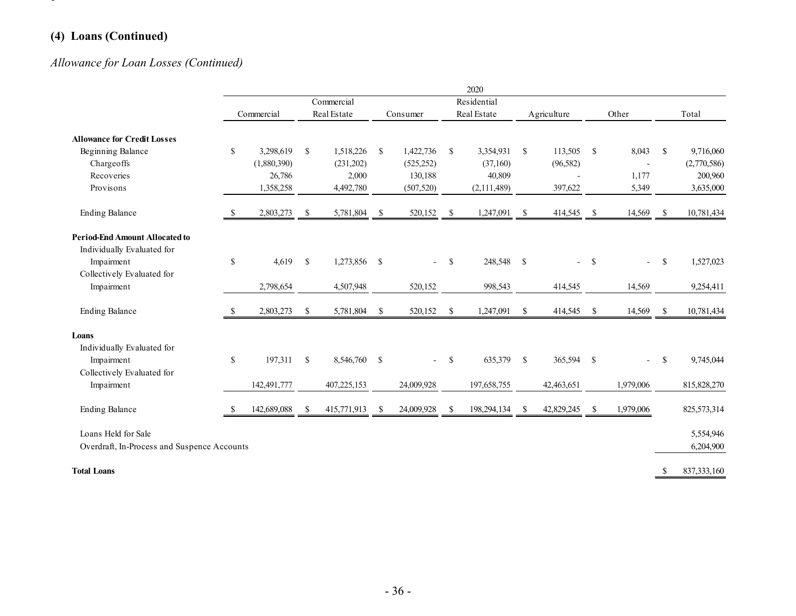0 $\overline{\phantom{a}}$ 

## *Allowance for Loan Losses (Continued)*

|                                                                     |               |             |               |             |               |                          |               | 2020        |               |             |                    |           |               |               |
|---------------------------------------------------------------------|---------------|-------------|---------------|-------------|---------------|--------------------------|---------------|-------------|---------------|-------------|--------------------|-----------|---------------|---------------|
|                                                                     |               |             |               | Commercial  |               |                          |               | Residential |               |             |                    |           |               |               |
|                                                                     |               | Commercial  |               | Real Estate |               | Consumer                 |               | Real Estate |               | Agriculture |                    | Other     |               | Total         |
| <b>Allowance for Credit Losses</b>                                  |               |             |               |             |               |                          |               |             |               |             |                    |           |               |               |
| Beginning Balance                                                   | \$            | 3,298,619   | \$            | 1,518,226   | $\mathbb{S}$  | 1,422,736                | \$            | 3,354,931   | <sup>S</sup>  | 113,505     | -S                 | 8,043     | <sup>\$</sup> | 9,716,060     |
| Chargeoffs                                                          |               | (1,880,390) |               | (231,202)   |               | (525, 252)               |               | (37,160)    |               | (96, 582)   |                    |           |               | (2,770,586)   |
| Recoveries                                                          |               | 26,786      |               | 2,000       |               | 130,188                  |               | 40,809      |               |             |                    | 1,177     |               | 200,960       |
| Provisons                                                           |               | 1,358,258   |               | 4,492,780   |               | (507, 520)               |               | (2,111,489) |               | 397,622     |                    | 5,349     |               | 3,635,000     |
| <b>Ending Balance</b>                                               | <sup>\$</sup> | 2,803,273   | <sup>\$</sup> | 5,781,804   | <sup>\$</sup> | 520,152                  | <sup>\$</sup> | 1,247,091   | <sup>\$</sup> | 414,545     | - \$               | 14,569    | -S            | 10,781,434    |
| <b>Period-End Amount Allocated to</b><br>Individually Evaluated for |               |             |               |             |               |                          |               |             |               |             |                    |           |               |               |
| Impairment                                                          | \$            | 4,619       | $\mathcal{S}$ | 1,273,856   | -\$           | $\overline{\phantom{a}}$ | <sup>\$</sup> | 248,548     | $\mathbf{s}$  | $\sim$      | -\$                |           | -S            | 1,527,023     |
| Collectively Evaluated for                                          |               |             |               |             |               |                          |               |             |               |             |                    |           |               |               |
| Impairment                                                          |               | 2,798,654   |               | 4,507,948   |               | 520,152                  |               | 998,543     |               | 414,545     |                    | 14,569    |               | 9,254,411     |
| <b>Ending Balance</b>                                               | <sup>\$</sup> | 2,803,273   | \$            | 5,781,804   | \$            | 520,152                  | \$            | 1,247,091   | <sup>\$</sup> | 414,545     | <sup>\$</sup>      | 14,569    | -\$           | 10,781,434    |
| Loans<br>Individually Evaluated for                                 |               |             |               |             |               |                          |               |             |               |             |                    |           |               |               |
| Impairment                                                          | $\mathbb{S}$  | 197,311     | <sup>\$</sup> | 8,546,760   | <sup>S</sup>  | $\overline{\phantom{a}}$ | $\mathcal{S}$ | 635,379     | $\mathbf{s}$  | 365,594     | $\mathbf{\hat{s}}$ |           | <sup>\$</sup> | 9,745,044     |
| Collectively Evaluated for                                          |               |             |               |             |               |                          |               |             |               |             |                    |           |               |               |
| Impairment                                                          |               | 142,491,777 |               | 407,225,153 |               | 24,009,928               |               | 197,658,755 |               | 42,463,651  |                    | 1,979,006 |               | 815, 828, 270 |
| <b>Ending Balance</b>                                               | -S            | 142,689,088 | -S            | 415,771,913 | \$            | 24,009,928               | <sup>\$</sup> | 198,294,134 | -S            | 42,829,245  | - \$               | 1,979,006 |               | 825,573,314   |
| Loans Held for Sale                                                 |               |             |               |             |               |                          |               |             |               |             |                    |           |               | 5,554,946     |
| Overdraft, In-Process and Suspence Accounts                         |               |             |               |             |               |                          |               |             |               |             |                    |           |               | 6,204,900     |
| <b>Total Loans</b>                                                  |               |             |               |             |               |                          |               |             |               |             |                    |           | \$            | 837, 333, 160 |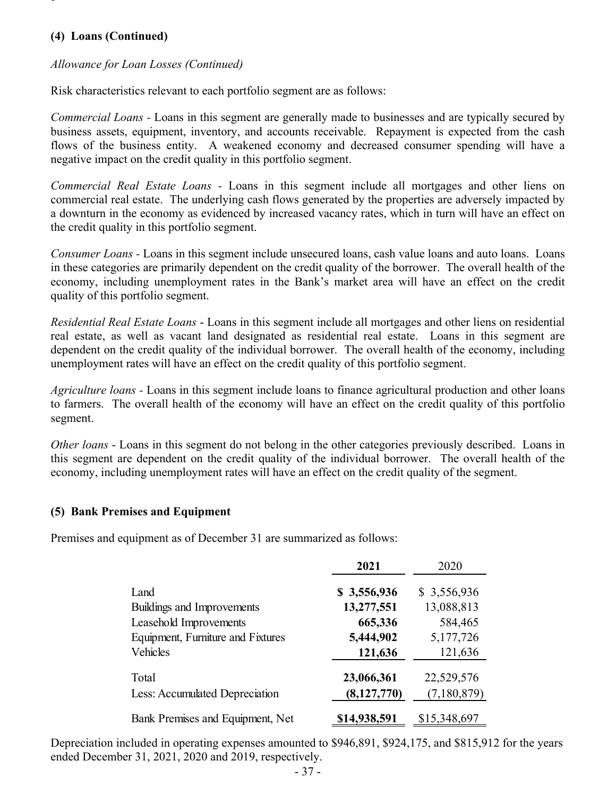## **(4) Loans (Continued)**

#### *Allowance for Loan Losses (Continued)*

Risk characteristics relevant to each portfolio segment are as follows:

*Commercial Loans -* Loans in this segment are generally made to businesses and are typically secured by business assets, equipment, inventory, and accounts receivable. Repayment is expected from the cash flows of the business entity. A weakened economy and decreased consumer spending will have a negative impact on the credit quality in this portfolio segment.

*Commercial Real Estate Loans -* Loans in this segment include all mortgages and other liens on commercial real estate. The underlying cash flows generated by the properties are adversely impacted by a downturn in the economy as evidenced by increased vacancy rates, which in turn will have an effect on the credit quality in this portfolio segment.

*Consumer Loans -* Loans in this segment include unsecured loans, cash value loans and auto loans. Loans in these categories are primarily dependent on the credit quality of the borrower. The overall health of the economy, including unemployment rates in the Bank's market area will have an effect on the credit quality of this portfolio segment.

*Residential Real Estate Loans* - Loans in this segment include all mortgages and other liens on residential real estate, as well as vacant land designated as residential real estate. Loans in this segment are dependent on the credit quality of the individual borrower. The overall health of the economy, including unemployment rates will have an effect on the credit quality of this portfolio segment.

*Agriculture loans -* Loans in this segment include loans to finance agricultural production and other loans to farmers. The overall health of the economy will have an effect on the credit quality of this portfolio segment.

*Other loans* - Loans in this segment do not belong in the other categories previously described. Loans in this segment are dependent on the credit quality of the individual borrower. The overall health of the economy, including unemployment rates will have an effect on the credit quality of the segment.

## **(5) Bank Premises and Equipment**

Premises and equipment as of December 31 are summarized as follows:

|                                   | 2021          | 2020         |
|-----------------------------------|---------------|--------------|
| Land                              | \$3,556,936   | \$3,556,936  |
| Buildings and Improvements        | 13,277,551    | 13,088,813   |
| Leasehold Improvements            | 665,336       | 584,465      |
| Equipment, Furniture and Fixtures | 5,444,902     | 5,177,726    |
| Vehicles                          | 121,636       | 121,636      |
| Total                             | 23,066,361    | 22,529,576   |
| Less: Accumulated Depreciation    | (8, 127, 770) | (7,180,879)  |
| Bank Premises and Equipment, Net  | \$14,938,591  | \$15,348,697 |

Depreciation included in operating expenses amounted to \$946,891, \$924,175, and \$815,912 for the years ended December 31, 2021, 2020 and 2019, respectively.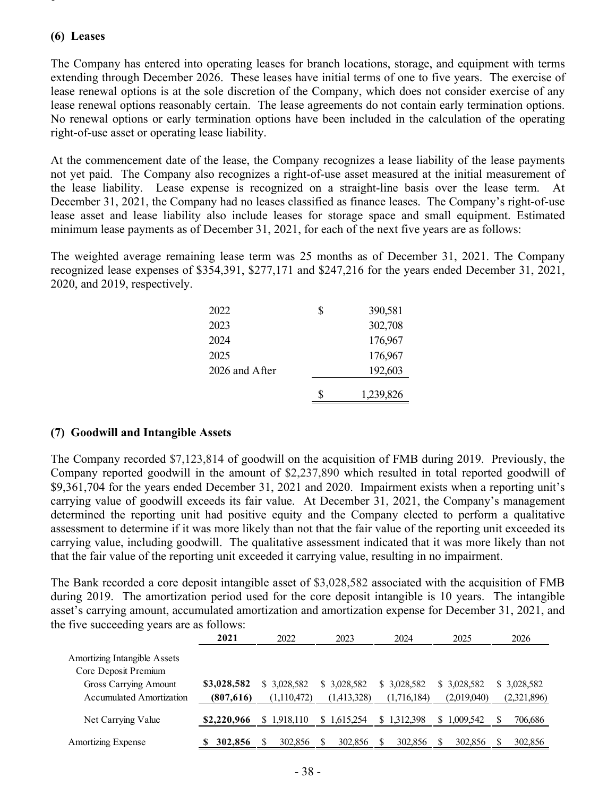#### **(6) Leases**

The Company has entered into operating leases for branch locations, storage, and equipment with terms extending through December 2026. These leases have initial terms of one to five years. The exercise of lease renewal options is at the sole discretion of the Company, which does not consider exercise of any lease renewal options reasonably certain. The lease agreements do not contain early termination options. No renewal options or early termination options have been included in the calculation of the operating right‐of‐use asset or operating lease liability.

At the commencement date of the lease, the Company recognizes a lease liability of the lease payments not yet paid. The Company also recognizes a right‐of‐use asset measured at the initial measurement of the lease liability. Lease expense is recognized on a straight‐line basis over the lease term. At December 31, 2021, the Company had no leases classified as finance leases. The Company's right‐of‐use lease asset and lease liability also include leases for storage space and small equipment. Estimated minimum lease payments as of December 31, 2021, for each of the next five years are as follows:

The weighted average remaining lease term was 25 months as of December 31, 2021. The Company recognized lease expenses of \$354,391, \$277,171 and \$247,216 for the years ended December 31, 2021, 2020, and 2019, respectively.

| 2022           | \$<br>390,581   |
|----------------|-----------------|
| 2023           | 302,708         |
| 2024           | 176,967         |
| 2025           | 176,967         |
| 2026 and After | 192,603         |
|                |                 |
|                | \$<br>1,239,826 |

#### **(7) Goodwill and Intangible Assets**

The Company recorded \$7,123,814 of goodwill on the acquisition of FMB during 2019. Previously, the Company reported goodwill in the amount of \$2,237,890 which resulted in total reported goodwill of \$9,361,704 for the years ended December 31, 2021 and 2020. Impairment exists when a reporting unit's carrying value of goodwill exceeds its fair value. At December 31, 2021, the Company's management determined the reporting unit had positive equity and the Company elected to perform a qualitative assessment to determine if it was more likely than not that the fair value of the reporting unit exceeded its carrying value, including goodwill. The qualitative assessment indicated that it was more likely than not that the fair value of the reporting unit exceeded it carrying value, resulting in no impairment.

The Bank recorded a core deposit intangible asset of \$3,028,582 associated with the acquisition of FMB during 2019. The amortization period used for the core deposit intangible is 10 years. The intangible asset's carrying amount, accumulated amortization and amortization expense for December 31, 2021, and the five succeeding years are as follows:

|                                                      | 2021                     | 2022                        | 2023                       | 2024                       | 2025                       | 2026                        |
|------------------------------------------------------|--------------------------|-----------------------------|----------------------------|----------------------------|----------------------------|-----------------------------|
| Amortizing Intangible Assets<br>Core Deposit Premium |                          |                             |                            |                            |                            |                             |
| Gross Carrying Amount<br>Accumulated Amortization    | \$3,028,582<br>(807,616) | \$ 3,028,582<br>(1,110,472) | \$3,028,582<br>(1,413,328) | \$3,028,582<br>(1,716,184) | \$3,028,582<br>(2,019,040) | \$ 3,028,582<br>(2,321,896) |
| Net Carrying Value                                   | \$2,220,966              | \$1.918,110                 | \$1.615.254                | \$1,312,398                | \$1,009,542                | 706,686                     |
| <b>Amortizing Expense</b>                            | 302,856                  | 302,856                     | 302,856                    | 302,856                    | 302,856                    | 302,856                     |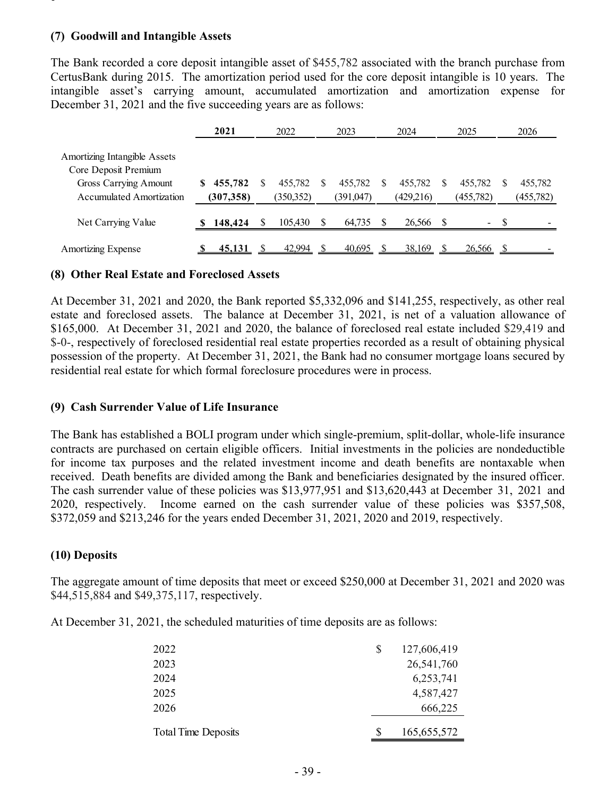#### **(7) Goodwill and Intangible Assets**

7

The Bank recorded a core deposit intangible asset of \$455,782 associated with the branch purchase from CertusBank during 2015. The amortization period used for the core deposit intangible is 10 years. The intangible asset's carrying amount, accumulated amortization and amortization expense for December 31, 2021 and the five succeeding years are as follows:

|                                                                                                           | 2021                  | 2022                 | 2023                 | 2024                 |   | 2025                  | 2026                  |
|-----------------------------------------------------------------------------------------------------------|-----------------------|----------------------|----------------------|----------------------|---|-----------------------|-----------------------|
| Amortizing Intangible Assets<br>Core Deposit Premium<br>Gross Carrying Amount<br>Accumulated Amortization | 455,782<br>(307, 358) | 455,782<br>(350,352) | 455,782<br>(391,047) | 455,782<br>(429,216) | S | 455,782<br>(455, 782) | 455,782<br>(455, 782) |
| Net Carrying Value                                                                                        | 148,424               | 105.430              | 64.735               | 26,566               |   | $\sim$                |                       |
| <b>Amortizing Expense</b>                                                                                 | 45,131                | 42.994               | 40,695               | 38,169               |   | 26,566                |                       |

#### **(8) Other Real Estate and Foreclosed Assets**

At December 31, 2021 and 2020, the Bank reported \$5,332,096 and \$141,255, respectively, as other real estate and foreclosed assets. The balance at December 31, 2021, is net of a valuation allowance of \$165,000. At December 31, 2021 and 2020, the balance of foreclosed real estate included \$29,419 and \$-0-, respectively of foreclosed residential real estate properties recorded as a result of obtaining physical possession of the property. At December 31, 2021, the Bank had no consumer mortgage loans secured by residential real estate for which formal foreclosure procedures were in process.

#### **(9) Cash Surrender Value of Life Insurance**

The Bank has established a BOLI program under which single‐premium, split‐dollar, whole‐life insurance contracts are purchased on certain eligible officers. Initial investments in the policies are nondeductible for income tax purposes and the related investment income and death benefits are nontaxable when received. Death benefits are divided among the Bank and beneficiaries designated by the insured officer. The cash surrender value of these policies was \$13,977,951 and \$13,620,443 at December 31, 2021 and 2020, respectively. Income earned on the cash surrender value of these policies was \$357,508, \$372,059 and \$213,246 for the years ended December 31, 2021, 2020 and 2019, respectively.

#### **(10) Deposits**

The aggregate amount of time deposits that meet or exceed \$250,000 at December 31, 2021 and 2020 was \$44,515,884 and \$49,375,117, respectively.

At December 31, 2021, the scheduled maturities of time deposits are as follows:

| 2022                       | S | 127,606,419   |
|----------------------------|---|---------------|
| 2023                       |   | 26,541,760    |
| 2024                       |   | 6,253,741     |
| 2025                       |   | 4,587,427     |
| 2026                       |   | 666,225       |
| <b>Total Time Deposits</b> |   | 165, 655, 572 |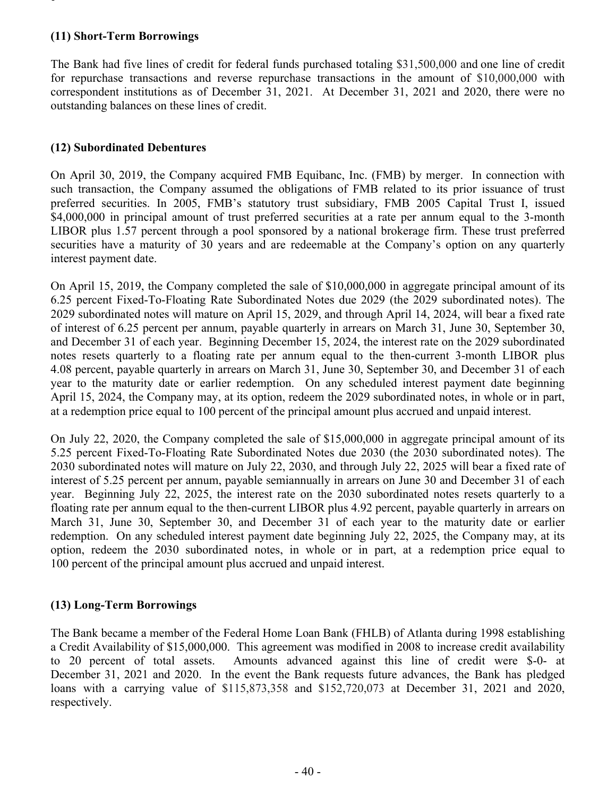#### **(11) Short‐Term Borrowings**

The Bank had five lines of credit for federal funds purchased totaling \$31,500,000 and one line of credit for repurchase transactions and reverse repurchase transactions in the amount of \$10,000,000 with correspondent institutions as of December 31, 2021. At December 31, 2021 and 2020, there were no outstanding balances on these lines of credit.

#### **(12) Subordinated Debentures**

On April 30, 2019, the Company acquired FMB Equibanc, Inc. (FMB) by merger. In connection with such transaction, the Company assumed the obligations of FMB related to its prior issuance of trust preferred securities. In 2005, FMB's statutory trust subsidiary, FMB 2005 Capital Trust I, issued \$4,000,000 in principal amount of trust preferred securities at a rate per annum equal to the 3-month LIBOR plus 1.57 percent through a pool sponsored by a national brokerage firm. These trust preferred securities have a maturity of 30 years and are redeemable at the Company's option on any quarterly interest payment date.

On April 15, 2019, the Company completed the sale of \$10,000,000 in aggregate principal amount of its 6.25 percent Fixed‐To‐Floating Rate Subordinated Notes due 2029 (the 2029 subordinated notes). The 2029 subordinated notes will mature on April 15, 2029, and through April 14, 2024, will bear a fixed rate of interest of 6.25 percent per annum, payable quarterly in arrears on March 31, June 30, September 30, and December 31 of each year. Beginning December 15, 2024, the interest rate on the 2029 subordinated notes resets quarterly to a floating rate per annum equal to the then-current 3-month LIBOR plus 4.08 percent, payable quarterly in arrears on March 31, June 30, September 30, and December 31 of each year to the maturity date or earlier redemption. On any scheduled interest payment date beginning April 15, 2024, the Company may, at its option, redeem the 2029 subordinated notes, in whole or in part, at a redemption price equal to 100 percent of the principal amount plus accrued and unpaid interest.

On July 22, 2020, the Company completed the sale of \$15,000,000 in aggregate principal amount of its 5.25 percent Fixed-To-Floating Rate Subordinated Notes due 2030 (the 2030 subordinated notes). The 2030 subordinated notes will mature on July 22, 2030, and through July 22, 2025 will bear a fixed rate of interest of 5.25 percent per annum, payable semiannually in arrears on June 30 and December 31 of each year. Beginning July 22, 2025, the interest rate on the 2030 subordinated notes resets quarterly to a floating rate per annum equal to the then-current LIBOR plus 4.92 percent, payable quarterly in arrears on March 31, June 30, September 30, and December 31 of each year to the maturity date or earlier redemption. On any scheduled interest payment date beginning July 22, 2025, the Company may, at its option, redeem the 2030 subordinated notes, in whole or in part, at a redemption price equal to 100 percent of the principal amount plus accrued and unpaid interest.

#### **(13) Long‐Term Borrowings**

The Bank became a member of the Federal Home Loan Bank (FHLB) of Atlanta during 1998 establishing a Credit Availability of \$15,000,000. This agreement was modified in 2008 to increase credit availability to 20 percent of total assets. Amounts advanced against this line of credit were \$-0- at December 31, 2021 and 2020. In the event the Bank requests future advances, the Bank has pledged loans with a carrying value of \$115,873,358 and \$152,720,073 at December 31, 2021 and 2020, respectively.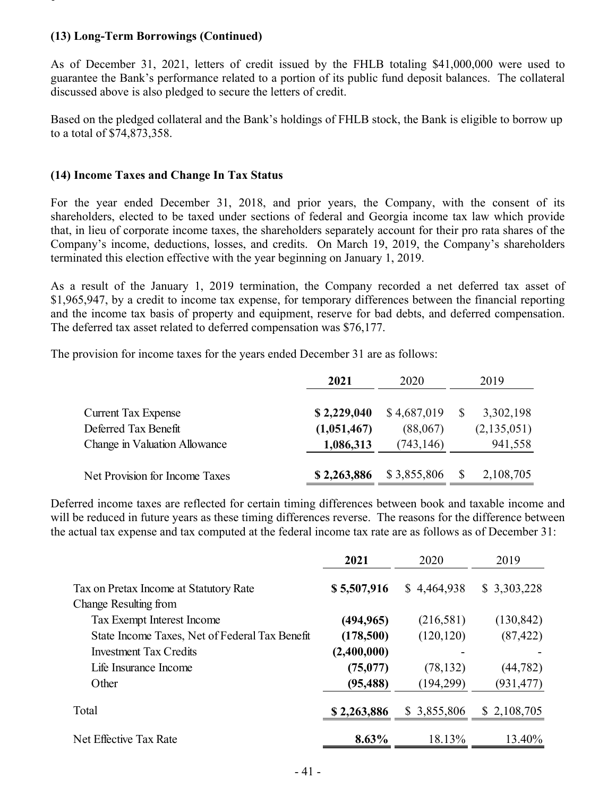#### **(13) Long‐Term Borrowings (Continued)**

As of December 31, 2021, letters of credit issued by the FHLB totaling \$41,000,000 were used to guarantee the Bank's performance related to a portion of its public fund deposit balances. The collateral discussed above is also pledged to secure the letters of credit.

Based on the pledged collateral and the Bank's holdings of FHLB stock, the Bank is eligible to borrow up to a total of \$74,873,358.

#### **(14) Income Taxes and Change In Tax Status**

For the year ended December 31, 2018, and prior years, the Company, with the consent of its shareholders, elected to be taxed under sections of federal and Georgia income tax law which provide that, in lieu of corporate income taxes, the shareholders separately account for their pro rata shares of the Company's income, deductions, losses, and credits. On March 19, 2019, the Company's shareholders terminated this election effective with the year beginning on January 1, 2019.

As a result of the January 1, 2019 termination, the Company recorded a net deferred tax asset of \$1,965,947, by a credit to income tax expense, for temporary differences between the financial reporting and the income tax basis of property and equipment, reserve for bad debts, and deferred compensation. The deferred tax asset related to deferred compensation was \$76,177.

The provision for income taxes for the years ended December 31 are as follows:

|                                | 2021        | 2020        | 2019        |
|--------------------------------|-------------|-------------|-------------|
| <b>Current Tax Expense</b>     | \$2,229,040 | \$4,687,019 | 3,302,198   |
| Deferred Tax Benefit           | (1,051,467) | (88,067)    | (2,135,051) |
| Change in Valuation Allowance  | 1,086,313   | (743, 146)  | 941,558     |
| Net Provision for Income Taxes | \$2,263,886 | \$3,855,806 | 2,108,705   |

Deferred income taxes are reflected for certain timing differences between book and taxable income and will be reduced in future years as these timing differences reverse. The reasons for the difference between the actual tax expense and tax computed at the federal income tax rate are as follows as of December 31:

|                                                | 2021        | 2020        | 2019        |
|------------------------------------------------|-------------|-------------|-------------|
| Tax on Pretax Income at Statutory Rate         | \$5,507,916 | \$4,464,938 | \$3,303,228 |
| Change Resulting from                          | (494, 965)  |             |             |
| Tax Exempt Interest Income                     |             | (216,581)   | (130, 842)  |
| State Income Taxes, Net of Federal Tax Benefit | (178,500)   | (120, 120)  | (87, 422)   |
| Investment Tax Credits                         | (2,400,000) |             |             |
| Life Insurance Income                          | (75, 077)   | (78, 132)   | (44, 782)   |
| Other                                          | (95, 488)   | (194, 299)  | (931, 477)  |
| Total                                          | \$2,263,886 | \$3,855,806 | \$2,108,705 |
| Net Effective Tax Rate                         | 8.63%       | 18.13%      | 13.40%      |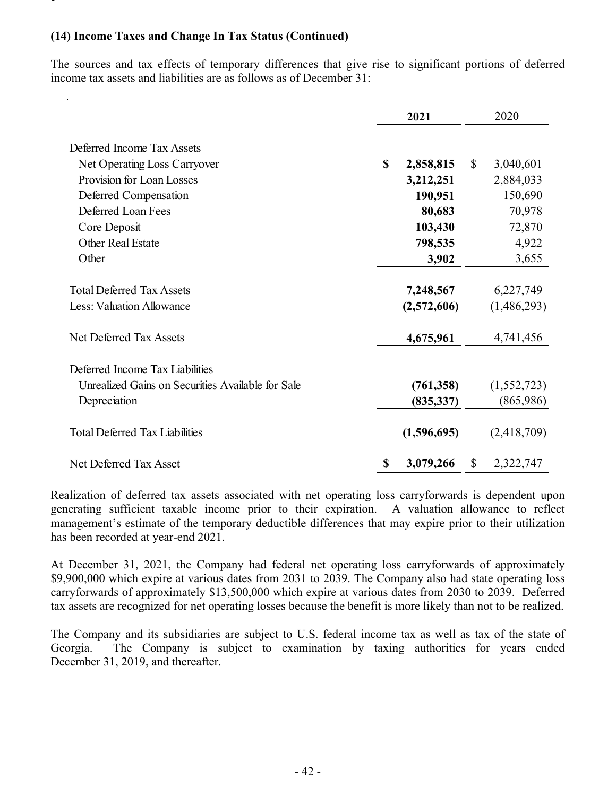## **(14) Income Taxes and Change In Tax Status (Continued)**

7

The sources and tax effects of temporary differences that give rise to significant portions of deferred income tax assets and liabilities are as follows as of December 31:

|                                                   |             | 2021        |              | 2020        |
|---------------------------------------------------|-------------|-------------|--------------|-------------|
| Deferred Income Tax Assets                        |             |             |              |             |
| Net Operating Loss Carryover                      | $\mathbf S$ | 2,858,815   | $\mathbb{S}$ | 3,040,601   |
| Provision for Loan Losses                         |             | 3,212,251   |              | 2,884,033   |
| Deferred Compensation                             |             | 190,951     |              | 150,690     |
| Deferred Loan Fees                                |             | 80,683      |              | 70,978      |
| Core Deposit                                      |             | 103,430     |              | 72,870      |
| Other Real Estate                                 |             | 798,535     |              | 4,922       |
| Other                                             |             | 3,902       |              | 3,655       |
| <b>Total Deferred Tax Assets</b>                  |             | 7,248,567   |              | 6,227,749   |
| Less: Valuation Allowance                         |             | (2,572,606) |              | (1,486,293) |
| <b>Net Deferred Tax Assets</b>                    |             | 4,675,961   |              | 4,741,456   |
| Deferred Income Tax Liabilities                   |             |             |              |             |
| Unrealized Gains on Securities Available for Sale |             | (761, 358)  |              | (1,552,723) |
| Depreciation                                      |             | (835, 337)  |              | (865,986)   |
| <b>Total Deferred Tax Liabilities</b>             |             | (1,596,695) |              | (2,418,709) |
| Net Deferred Tax Asset                            | \$          | 3,079,266   | \$           | 2,322,747   |

Realization of deferred tax assets associated with net operating loss carryforwards is dependent upon generating sufficient taxable income prior to their expiration. A valuation allowance to reflect management's estimate of the temporary deductible differences that may expire prior to their utilization has been recorded at year-end 2021.

At December 31, 2021, the Company had federal net operating loss carryforwards of approximately \$9,900,000 which expire at various dates from 2031 to 2039. The Company also had state operating loss carryforwards of approximately \$13,500,000 which expire at various dates from 2030 to 2039. Deferred tax assets are recognized for net operating losses because the benefit is more likely than not to be realized.

The Company and its subsidiaries are subject to U.S. federal income tax as well as tax of the state of Georgia. The Company is subject to examination by taxing authorities for years ended December 31, 2019, and thereafter.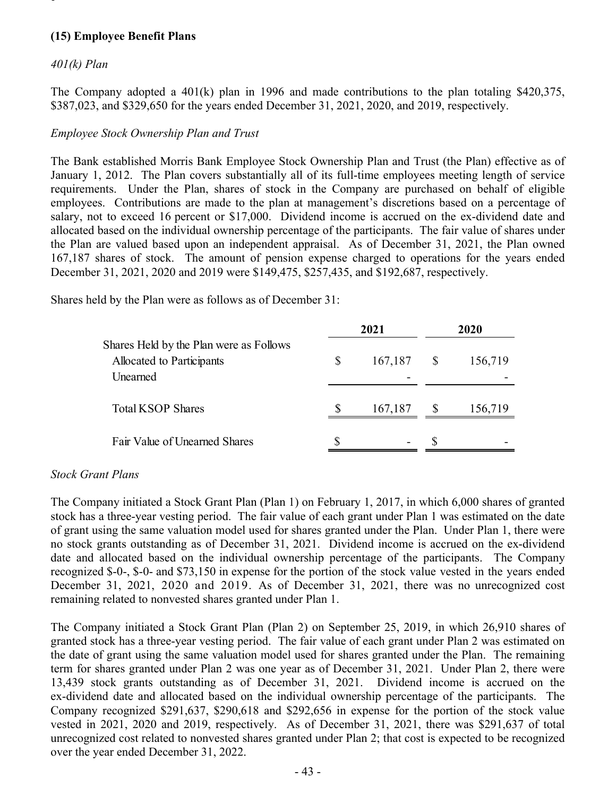## **(15) Employee Benefit Plans**

#### *401(k) Plan*

The Company adopted a 401(k) plan in 1996 and made contributions to the plan totaling \$420,375, \$387,023, and \$329,650 for the years ended December 31, 2021, 2020, and 2019, respectively.

#### *Employee Stock Ownership Plan and Trust*

The Bank established Morris Bank Employee Stock Ownership Plan and Trust (the Plan) effective as of January 1, 2012. The Plan covers substantially all of its full-time employees meeting length of service requirements. Under the Plan, shares of stock in the Company are purchased on behalf of eligible employees. Contributions are made to the plan at management's discretions based on a percentage of salary, not to exceed 16 percent or \$17,000. Dividend income is accrued on the ex-dividend date and allocated based on the individual ownership percentage of the participants. The fair value of shares under the Plan are valued based upon an independent appraisal. As of December 31, 2021, the Plan owned 167,187 shares of stock. The amount of pension expense charged to operations for the years ended December 31, 2021, 2020 and 2019 were \$149,475, \$257,435, and \$192,687, respectively.

|                                                                                  | 2021          |              | 2020    |
|----------------------------------------------------------------------------------|---------------|--------------|---------|
| Shares Held by the Plan were as Follows<br>Allocated to Participants<br>Unearned | \$<br>167,187 | <sup>S</sup> | 156,719 |
| <b>Total KSOP Shares</b>                                                         | 167,187       | <sup>S</sup> | 156,719 |
| Fair Value of Unearned Shares                                                    |               |              |         |

Shares held by the Plan were as follows as of December 31:

#### *Stock Grant Plans*

The Company initiated a Stock Grant Plan (Plan 1) on February 1, 2017, in which 6,000 shares of granted stock has a three-year vesting period. The fair value of each grant under Plan 1 was estimated on the date of grant using the same valuation model used for shares granted under the Plan. Under Plan 1, there were no stock grants outstanding as of December 31, 2021. Dividend income is accrued on the ex‐dividend date and allocated based on the individual ownership percentage of the participants. The Company recognized \$-0-, \$-0- and \$73,150 in expense for the portion of the stock value vested in the years ended December 31, 2021, 2020 and 2019. As of December 31, 2021, there was no unrecognized cost remaining related to nonvested shares granted under Plan 1.

The Company initiated a Stock Grant Plan (Plan 2) on September 25, 2019, in which 26,910 shares of granted stock has a three-year vesting period. The fair value of each grant under Plan 2 was estimated on the date of grant using the same valuation model used for shares granted under the Plan. The remaining term for shares granted under Plan 2 was one year as of December 31, 2021. Under Plan 2, there were 13,439 stock grants outstanding as of December 31, 2021. Dividend income is accrued on the ex‐dividend date and allocated based on the individual ownership percentage of the participants. The Company recognized \$291,637, \$290,618 and \$292,656 in expense for the portion of the stock value vested in 2021, 2020 and 2019, respectively. As of December 31, 2021, there was \$291,637 of total unrecognized cost related to nonvested shares granted under Plan 2; that cost is expected to be recognized over the year ended December 31, 2022.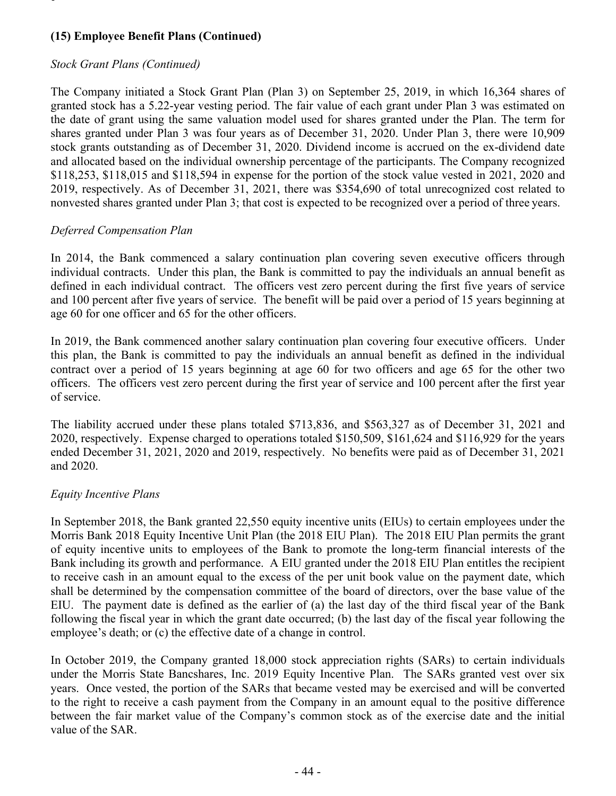## **(15) Employee Benefit Plans (Continued)**

#### *Stock Grant Plans (Continued)*

The Company initiated a Stock Grant Plan (Plan 3) on September 25, 2019, in which 16,364 shares of granted stock has a 5.22-year vesting period. The fair value of each grant under Plan 3 was estimated on the date of grant using the same valuation model used for shares granted under the Plan. The term for shares granted under Plan 3 was four years as of December 31, 2020. Under Plan 3, there were 10,909 stock grants outstanding as of December 31, 2020. Dividend income is accrued on the ex-dividend date and allocated based on the individual ownership percentage of the participants. The Company recognized \$118,253, \$118,015 and \$118,594 in expense for the portion of the stock value vested in 2021, 2020 and 2019, respectively. As of December 31, 2021, there was \$354,690 of total unrecognized cost related to nonvested shares granted under Plan 3; that cost is expected to be recognized over a period of three years.

#### *Deferred Compensation Plan*

In 2014, the Bank commenced a salary continuation plan covering seven executive officers through individual contracts. Under this plan, the Bank is committed to pay the individuals an annual benefit as defined in each individual contract. The officers vest zero percent during the first five years of service and 100 percent after five years of service. The benefit will be paid over a period of 15 years beginning at age 60 for one officer and 65 for the other officers.

In 2019, the Bank commenced another salary continuation plan covering four executive officers. Under this plan, the Bank is committed to pay the individuals an annual benefit as defined in the individual contract over a period of 15 years beginning at age 60 for two officers and age 65 for the other two officers. The officers vest zero percent during the first year of service and 100 percent after the first year of service.

The liability accrued under these plans totaled \$713,836, and \$563,327 as of December 31, 2021 and 2020, respectively. Expense charged to operations totaled \$150,509, \$161,624 and \$116,929 for the years ended December 31, 2021, 2020 and 2019, respectively. No benefits were paid as of December 31, 2021 and 2020.

#### *Equity Incentive Plans*

In September 2018, the Bank granted 22,550 equity incentive units (EIUs) to certain employees under the Morris Bank 2018 Equity Incentive Unit Plan (the 2018 EIU Plan). The 2018 EIU Plan permits the grant of equity incentive units to employees of the Bank to promote the long-term financial interests of the Bank including its growth and performance. A EIU granted under the 2018 EIU Plan entitles the recipient to receive cash in an amount equal to the excess of the per unit book value on the payment date, which shall be determined by the compensation committee of the board of directors, over the base value of the EIU. The payment date is defined as the earlier of (a) the last day of the third fiscal year of the Bank following the fiscal year in which the grant date occurred; (b) the last day of the fiscal year following the employee's death; or (c) the effective date of a change in control.

In October 2019, the Company granted 18,000 stock appreciation rights (SARs) to certain individuals under the Morris State Bancshares, Inc. 2019 Equity Incentive Plan. The SARs granted vest over six years. Once vested, the portion of the SARs that became vested may be exercised and will be converted to the right to receive a cash payment from the Company in an amount equal to the positive difference between the fair market value of the Company's common stock as of the exercise date and the initial value of the SAR.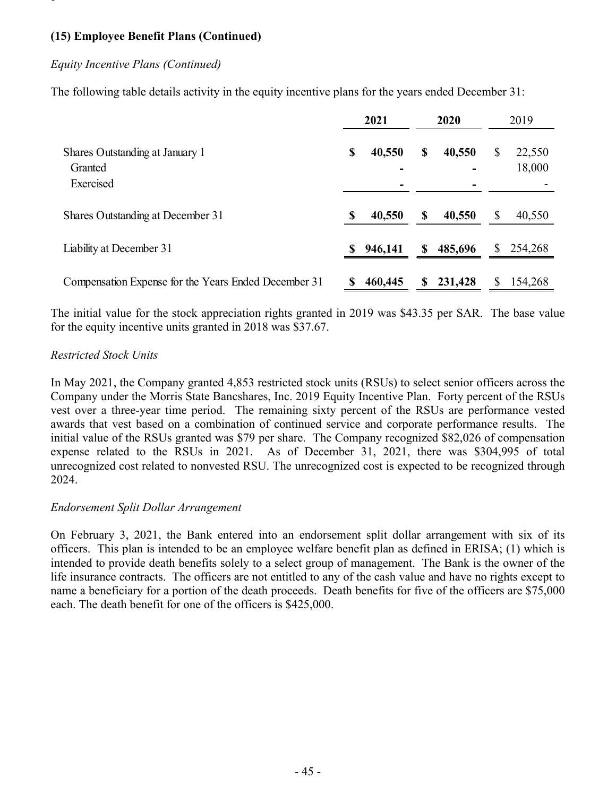## **(15) Employee Benefit Plans (Continued)**

#### *Equity Incentive Plans (Continued)*

The following table details activity in the equity incentive plans for the years ended December 31:

|                                                         | 2021          |             | 2020    |    | 2019             |
|---------------------------------------------------------|---------------|-------------|---------|----|------------------|
| Shares Outstanding at January 1<br>Granted<br>Exercised | \$<br>40,550  | \$          | 40,550  | \$ | 22,550<br>18,000 |
| Shares Outstanding at December 31                       | 40,550        | \$          | 40,550  | \$ | 40,550           |
| Liability at December 31                                | \$946,141     | \$          | 485,696 | S. | 254,268          |
| Compensation Expense for the Years Ended December 31    | \$<br>460,445 | $\mathbf S$ | 231,428 |    | 154,268          |

The initial value for the stock appreciation rights granted in 2019 was \$43.35 per SAR. The base value for the equity incentive units granted in 2018 was \$37.67.

#### *Restricted Stock Units*

In May 2021, the Company granted 4,853 restricted stock units (RSUs) to select senior officers across the Company under the Morris State Bancshares, Inc. 2019 Equity Incentive Plan. Forty percent of the RSUs vest over a three-year time period. The remaining sixty percent of the RSUs are performance vested awards that vest based on a combination of continued service and corporate performance results. The initial value of the RSUs granted was \$79 per share. The Company recognized \$82,026 of compensation expense related to the RSUs in 2021. As of December 31, 2021, there was \$304,995 of total unrecognized cost related to nonvested RSU. The unrecognized cost is expected to be recognized through 2024.

#### *Endorsement Split Dollar Arrangement*

On February 3, 2021, the Bank entered into an endorsement split dollar arrangement with six of its officers. This plan is intended to be an employee welfare benefit plan as defined in ERISA; (1) which is intended to provide death benefits solely to a select group of management. The Bank is the owner of the life insurance contracts. The officers are not entitled to any of the cash value and have no rights except to name a beneficiary for a portion of the death proceeds. Death benefits for five of the officers are \$75,000 each. The death benefit for one of the officers is \$425,000.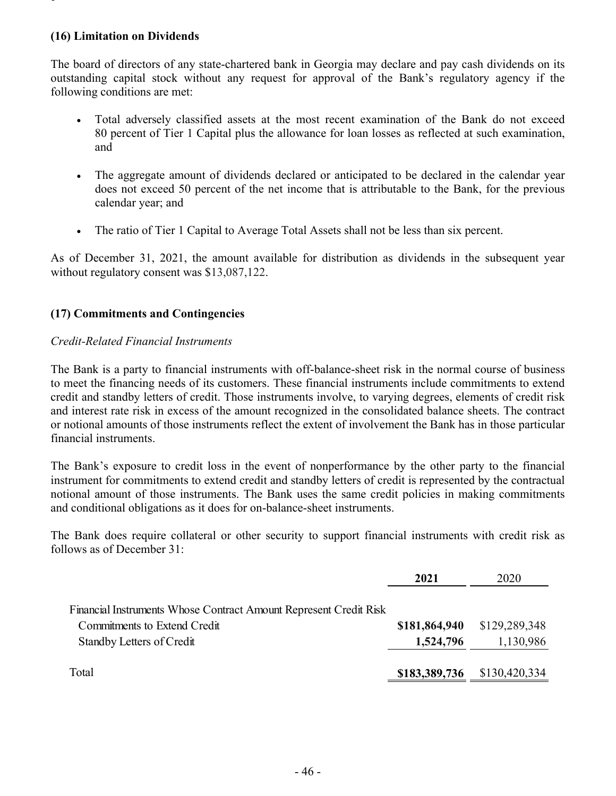## **(16) Limitation on Dividends**

7

The board of directors of any state-chartered bank in Georgia may declare and pay cash dividends on its outstanding capital stock without any request for approval of the Bank's regulatory agency if the following conditions are met:

- Total adversely classified assets at the most recent examination of the Bank do not exceed 80 percent of Tier 1 Capital plus the allowance for loan losses as reflected at such examination, and
- The aggregate amount of dividends declared or anticipated to be declared in the calendar year does not exceed 50 percent of the net income that is attributable to the Bank, for the previous calendar year; and
- The ratio of Tier 1 Capital to Average Total Assets shall not be less than six percent.

As of December 31, 2021, the amount available for distribution as dividends in the subsequent year without regulatory consent was \$13,087,122.

### **(17) Commitments and Contingencies**

#### *Credit-Related Financial Instruments*

The Bank is a party to financial instruments with off-balance-sheet risk in the normal course of business to meet the financing needs of its customers. These financial instruments include commitments to extend credit and standby letters of credit. Those instruments involve, to varying degrees, elements of credit risk and interest rate risk in excess of the amount recognized in the consolidated balance sheets. The contract or notional amounts of those instruments reflect the extent of involvement the Bank has in those particular financial instruments.

The Bank's exposure to credit loss in the event of nonperformance by the other party to the financial instrument for commitments to extend credit and standby letters of credit is represented by the contractual notional amount of those instruments. The Bank uses the same credit policies in making commitments and conditional obligations as it does for on‐balance‐sheet instruments.

The Bank does require collateral or other security to support financial instruments with credit risk as follows as of December 31:

| 2021                                                              | 2020          |
|-------------------------------------------------------------------|---------------|
| Financial Instruments Whose Contract Amount Represent Credit Risk |               |
| \$181,864,940                                                     | \$129,289,348 |
| 1,524,796                                                         | 1,130,986     |
| \$183,389,736                                                     | \$130,420,334 |
|                                                                   |               |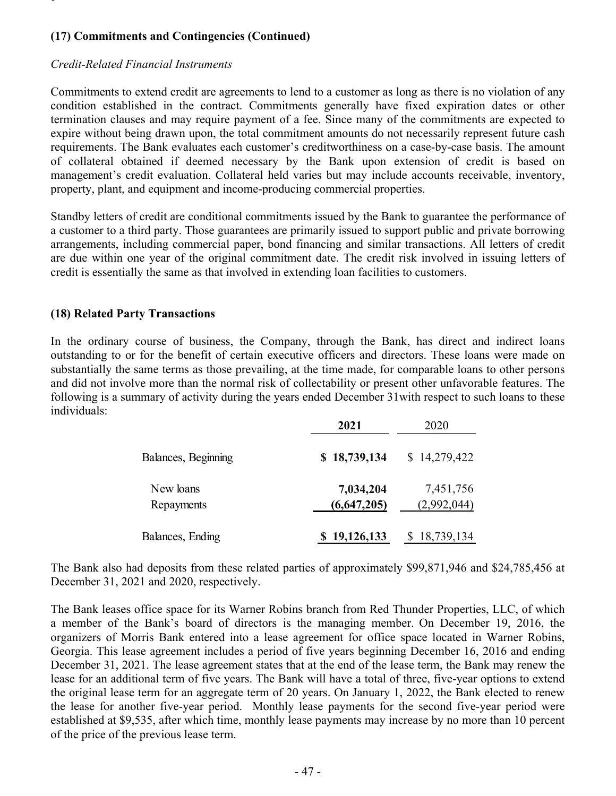## *Credit-Related Financial Instruments*

7

Commitments to extend credit are agreements to lend to a customer as long as there is no violation of any condition established in the contract. Commitments generally have fixed expiration dates or other termination clauses and may require payment of a fee. Since many of the commitments are expected to expire without being drawn upon, the total commitment amounts do not necessarily represent future cash requirements. The Bank evaluates each customer's creditworthiness on a case‐by‐case basis. The amount of collateral obtained if deemed necessary by the Bank upon extension of credit is based on management's credit evaluation. Collateral held varies but may include accounts receivable, inventory, property, plant, and equipment and income‐producing commercial properties.

Standby letters of credit are conditional commitments issued by the Bank to guarantee the performance of a customer to a third party. Those guarantees are primarily issued to support public and private borrowing arrangements, including commercial paper, bond financing and similar transactions. All letters of credit are due within one year of the original commitment date. The credit risk involved in issuing letters of credit is essentially the same as that involved in extending loan facilities to customers.

### **(18) Related Party Transactions**

In the ordinary course of business, the Company, through the Bank, has direct and indirect loans outstanding to or for the benefit of certain executive officers and directors. These loans were made on substantially the same terms as those prevailing, at the time made, for comparable loans to other persons and did not involve more than the normal risk of collectability or present other unfavorable features. The following is a summary of activity during the years ended December 31with respect to such loans to these individuals:

|                         | 2021                     | 2020                     |  |  |
|-------------------------|--------------------------|--------------------------|--|--|
| Balances, Beginning     | \$18,739,134             | \$14,279,422             |  |  |
| New loans<br>Repayments | 7,034,204<br>(6,647,205) | 7,451,756<br>(2,992,044) |  |  |
| Balances, Ending        | \$19,126,133             | 18,739,134               |  |  |

The Bank also had deposits from these related parties of approximately \$99,871,946 and \$24,785,456 at December 31, 2021 and 2020, respectively.

The Bank leases office space for its Warner Robins branch from Red Thunder Properties, LLC, of which a member of the Bank's board of directors is the managing member. On December 19, 2016, the organizers of Morris Bank entered into a lease agreement for office space located in Warner Robins, Georgia. This lease agreement includes a period of five years beginning December 16, 2016 and ending December 31, 2021. The lease agreement states that at the end of the lease term, the Bank may renew the lease for an additional term of five years. The Bank will have a total of three, five-year options to extend the original lease term for an aggregate term of 20 years. On January 1, 2022, the Bank elected to renew the lease for another five-year period. Monthly lease payments for the second five-year period were established at \$9,535, after which time, monthly lease payments may increase by no more than 10 percent of the price of the previous lease term.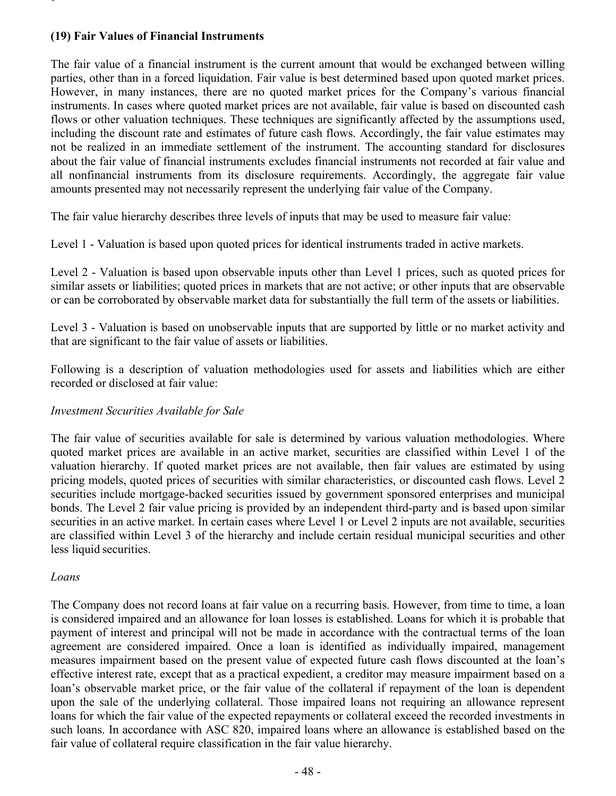## **(19) Fair Values of Financial Instruments**

7

The fair value of a financial instrument is the current amount that would be exchanged between willing parties, other than in a forced liquidation. Fair value is best determined based upon quoted market prices. However, in many instances, there are no quoted market prices for the Company's various financial instruments. In cases where quoted market prices are not available, fair value is based on discounted cash flows or other valuation techniques. These techniques are significantly affected by the assumptions used, including the discount rate and estimates of future cash flows. Accordingly, the fair value estimates may not be realized in an immediate settlement of the instrument. The accounting standard for disclosures about the fair value of financial instruments excludes financial instruments not recorded at fair value and all nonfinancial instruments from its disclosure requirements. Accordingly, the aggregate fair value amounts presented may not necessarily represent the underlying fair value of the Company.

The fair value hierarchy describes three levels of inputs that may be used to measure fair value:

Level 1 - Valuation is based upon quoted prices for identical instruments traded in active markets.

Level 2 - Valuation is based upon observable inputs other than Level 1 prices, such as quoted prices for similar assets or liabilities; quoted prices in markets that are not active; or other inputs that are observable or can be corroborated by observable market data for substantially the full term of the assets or liabilities.

Level 3 - Valuation is based on unobservable inputs that are supported by little or no market activity and that are significant to the fair value of assets or liabilities.

Following is a description of valuation methodologies used for assets and liabilities which are either recorded or disclosed at fair value:

#### *Investment Securities Available for Sale*

The fair value of securities available for sale is determined by various valuation methodologies. Where quoted market prices are available in an active market, securities are classified within Level 1 of the valuation hierarchy. If quoted market prices are not available, then fair values are estimated by using pricing models, quoted prices of securities with similar characteristics, or discounted cash flows. Level 2 securities include mortgage-backed securities issued by government sponsored enterprises and municipal bonds. The Level 2 fair value pricing is provided by an independent third-party and is based upon similar securities in an active market. In certain cases where Level 1 or Level 2 inputs are not available, securities are classified within Level 3 of the hierarchy and include certain residual municipal securities and other less liquid securities.

#### *Loans*

The Company does not record loans at fair value on a recurring basis. However, from time to time, a loan is considered impaired and an allowance for loan losses is established. Loans for which it is probable that payment of interest and principal will not be made in accordance with the contractual terms of the loan agreement are considered impaired. Once a loan is identified as individually impaired, management measures impairment based on the present value of expected future cash flows discounted at the loan's effective interest rate, except that as a practical expedient, a creditor may measure impairment based on a loan's observable market price, or the fair value of the collateral if repayment of the loan is dependent upon the sale of the underlying collateral. Those impaired loans not requiring an allowance represent loans for which the fair value of the expected repayments or collateral exceed the recorded investments in such loans. In accordance with ASC 820, impaired loans where an allowance is established based on the fair value of collateral require classification in the fair value hierarchy.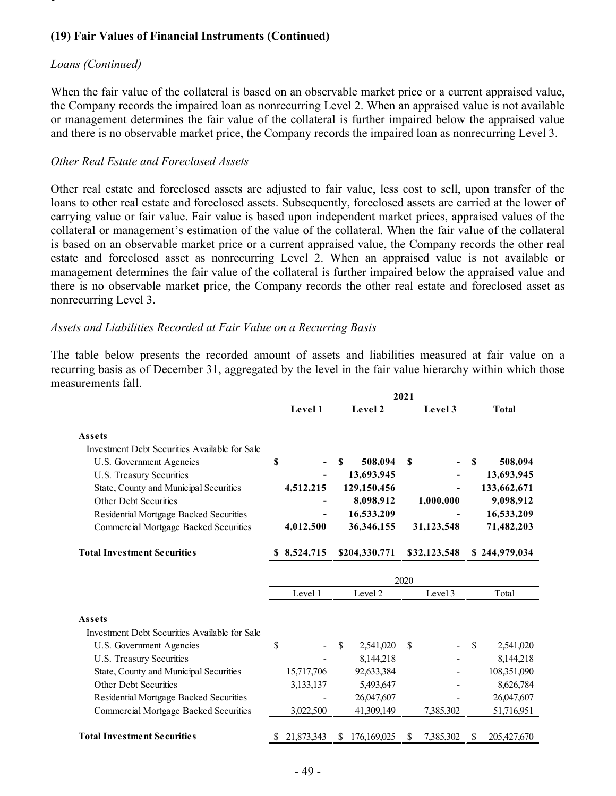## **(19) Fair Values of Financial Instruments (Continued)**

#### *Loans (Continued)*

When the fair value of the collateral is based on an observable market price or a current appraised value, the Company records the impaired loan as nonrecurring Level 2. When an appraised value is not available or management determines the fair value of the collateral is further impaired below the appraised value and there is no observable market price, the Company records the impaired loan as nonrecurring Level 3.

#### *Other Real Estate and Foreclosed Assets*

Other real estate and foreclosed assets are adjusted to fair value, less cost to sell, upon transfer of the loans to other real estate and foreclosed assets. Subsequently, foreclosed assets are carried at the lower of carrying value or fair value. Fair value is based upon independent market prices, appraised values of the collateral or management's estimation of the value of the collateral. When the fair value of the collateral is based on an observable market price or a current appraised value, the Company records the other real estate and foreclosed asset as nonrecurring Level 2. When an appraised value is not available or management determines the fair value of the collateral is further impaired below the appraised value and there is no observable market price, the Company records the other real estate and foreclosed asset as nonrecurring Level 3.

#### *Assets and Liabilities Recorded at Fair Value on a Recurring Basis*

The table below presents the recorded amount of assets and liabilities measured at fair value on a recurring basis as of December 31, aggregated by the level in the fair value hierarchy within which those measurements fall.

|                                                                                                                                                                                                                                     | 2021 |            |              |                                                                 |      |              |   |                                                                 |
|-------------------------------------------------------------------------------------------------------------------------------------------------------------------------------------------------------------------------------------|------|------------|--------------|-----------------------------------------------------------------|------|--------------|---|-----------------------------------------------------------------|
|                                                                                                                                                                                                                                     |      | Level 1    |              | Level 2                                                         |      | Level 3      |   | <b>Total</b>                                                    |
| <b>Assets</b><br>Investment Debt Securities Available for Sale<br>U.S. Government Agencies<br>U.S. Treasury Securities<br>State, County and Municipal Securities<br>Other Debt Securities<br>Residential Mortgage Backed Securities | \$   | 4,512,215  | $\mathbf{s}$ | 508,094<br>13,693,945<br>129,150,456<br>8,098,912<br>16,533,209 | \$   | 1,000,000    | S | 508,094<br>13,693,945<br>133,662,671<br>9,098,912<br>16,533,209 |
| Commercial Mortgage Backed Securities                                                                                                                                                                                               |      | 4,012,500  |              | 36,346,155                                                      |      | 31,123,548   |   | 71,482,203                                                      |
| <b>Total Investment Securities</b>                                                                                                                                                                                                  |      | 8,524,715  |              | \$204,330,771                                                   |      | \$32,123,548 |   | \$244,979,034                                                   |
|                                                                                                                                                                                                                                     |      |            |              |                                                                 | 2020 |              |   |                                                                 |
|                                                                                                                                                                                                                                     |      | Level 1    |              | Level <sub>2</sub>                                              |      | Level 3      |   | Total                                                           |
| <b>Assets</b><br>Investment Debt Securities Available for Sale                                                                                                                                                                      |      |            |              |                                                                 |      |              |   |                                                                 |
| U.S. Government Agencies                                                                                                                                                                                                            | \$   |            | S            | 2,541,020                                                       | \$   |              | S | 2,541,020                                                       |
| U.S. Treasury Securities                                                                                                                                                                                                            |      |            |              | 8,144,218                                                       |      |              |   | 8,144,218                                                       |
| State, County and Municipal Securities                                                                                                                                                                                              |      | 15,717,706 |              | 92,633,384                                                      |      |              |   | 108,351,090                                                     |
| <b>Other Debt Securities</b>                                                                                                                                                                                                        |      | 3,133,137  |              | 5,493,647                                                       |      |              |   | 8,626,784                                                       |
| Residential Mortgage Backed Securities                                                                                                                                                                                              |      |            |              | 26,047,607                                                      |      |              |   | 26,047,607                                                      |
| <b>Commercial Mortgage Backed Securities</b>                                                                                                                                                                                        |      | 3,022,500  |              | 41,309,149                                                      |      | 7,385,302    |   | 51,716,951                                                      |
| <b>Total Investment Securities</b>                                                                                                                                                                                                  |      | 21,873,343 |              | 176,169,025                                                     | S    | 7,385,302    | S | 205,427,670                                                     |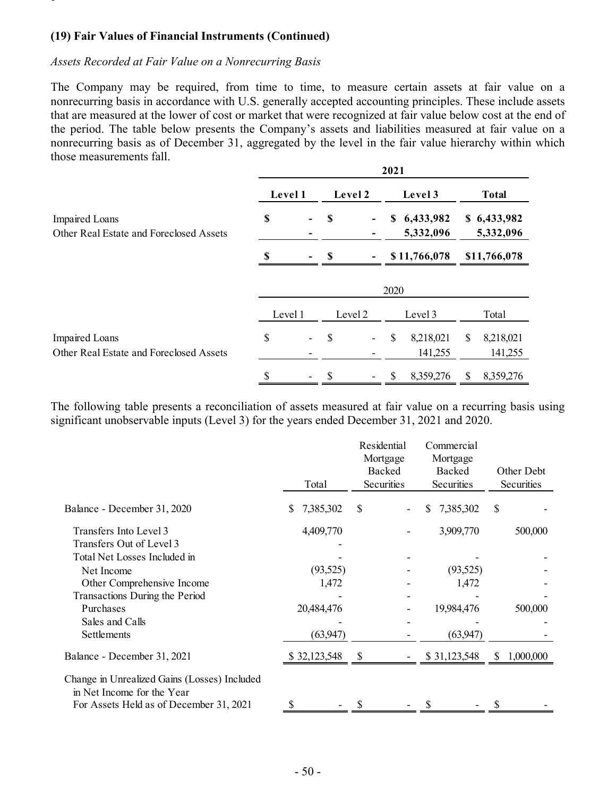## **(19) Fair Values of Financial Instruments (Continued)**

#### *Assets Recorded at Fair Value on a Nonrecurring Basis*

The Company may be required, from time to time, to measure certain assets at fair value on a nonrecurring basis in accordance with U.S. generally accepted accounting principles. These include assets that are measured at the lower of cost or market that were recognized at fair value below cost at the end of the period. The table below presents the Company's assets and liabilities measured at fair value on a nonrecurring basis as of December 31, aggregated by the level in the fair value hierarchy within which those measurements fall.

|                                                                  | 2021    |                          |    |                          |      |                        |     |                          |
|------------------------------------------------------------------|---------|--------------------------|----|--------------------------|------|------------------------|-----|--------------------------|
|                                                                  | Level 1 |                          |    | Level 2                  |      | Level 3                |     | <b>Total</b>             |
| <b>Impaired Loans</b><br>Other Real Estate and Foreclosed Assets | \$      | $\blacksquare$           | \$ | $\blacksquare$           | \$   | 6,433,982<br>5,332,096 |     | \$6,433,982<br>5,332,096 |
|                                                                  |         | $\overline{\phantom{a}}$ | S  | $\overline{\phantom{a}}$ |      | \$11,766,078           |     | \$11,766,078             |
|                                                                  |         |                          |    |                          | 2020 |                        |     |                          |
|                                                                  | Level 1 |                          |    | Level 2                  |      | Level 3                |     | Total                    |
| <b>Impaired</b> Loans<br>Other Real Estate and Foreclosed Assets | \$      | $\overline{\phantom{a}}$ | \$ | -                        | \$   | 8,218,021<br>141,255   | \$. | 8,218,021<br>141,255     |
|                                                                  | \$      | -                        | \$ |                          | S    | 8,359,276              | S   | 8,359,276                |

The following table presents a reconciliation of assets measured at fair value on a recurring basis using significant unobservable inputs (Level 3) for the years ended December 31, 2021 and 2020.

|                                                                            |    |              | Residential<br>Mortgage<br>Backed | Commercial<br>Mortgage<br>Backed |               | Other Debt |
|----------------------------------------------------------------------------|----|--------------|-----------------------------------|----------------------------------|---------------|------------|
|                                                                            |    | Total        | Securities                        | Securities                       |               | Securities |
| Balance - December 31, 2020                                                | S  | 7,385,302    | \$                                | 7,385,302<br>S.                  | $\mathcal{S}$ |            |
| Transfers Into Level 3                                                     |    | 4,409,770    |                                   | 3,909,770                        |               | 500,000    |
| Transfers Out of Level 3                                                   |    |              |                                   |                                  |               |            |
| Total Net Losses Included in                                               |    |              |                                   |                                  |               |            |
| Net Income                                                                 |    | (93, 525)    |                                   | (93, 525)                        |               |            |
| Other Comprehensive Income                                                 |    | 1,472        |                                   | 1,472                            |               |            |
| Transactions During the Period                                             |    |              |                                   |                                  |               |            |
| Purchases                                                                  |    | 20,484,476   |                                   | 19,984,476                       |               | 500,000    |
| Sales and Calls                                                            |    |              |                                   |                                  |               |            |
| Settlements                                                                |    | (63, 947)    |                                   | (63, 947)                        |               |            |
| Balance - December 31, 2021                                                |    | \$32,123,548 | S                                 | \$31,123,548                     | S.            | 1,000,000  |
| Change in Unrealized Gains (Losses) Included<br>in Net Income for the Year |    |              |                                   |                                  |               |            |
| For Assets Held as of December 31, 2021                                    | \$ |              |                                   | S                                | \$            |            |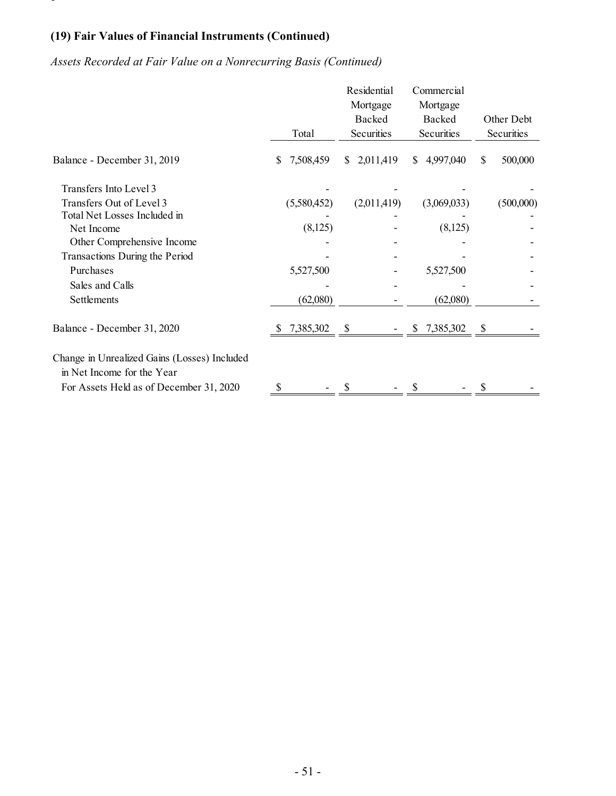# **(19) Fair Values of Financial Instruments (Continued)**

 $\overline{\phantom{a}}$ 

# *Assets Recorded at Fair Value on a Nonrecurring Basis (Continued)*

|                                                                            |   |             |    | Residential<br>Mortgage |              | Commercial<br>Mortgage |               |
|----------------------------------------------------------------------------|---|-------------|----|-------------------------|--------------|------------------------|---------------|
|                                                                            |   |             |    | Backed                  |              | Backed                 | Other Debt    |
|                                                                            |   | Total       |    | Securities              |              | Securities             | Securities    |
| Balance - December 31, 2019                                                | S | 7,508,459   | \$ | 2,011,419               | $\mathbb{S}$ | 4,997,040              | \$<br>500,000 |
| Transfers Into Level 3                                                     |   |             |    |                         |              |                        |               |
| Transfers Out of Level 3                                                   |   | (5,580,452) |    | (2,011,419)             |              | (3,069,033)            | (500,000)     |
| Total Net Losses Included in                                               |   |             |    |                         |              |                        |               |
| Net Income                                                                 |   | (8,125)     |    |                         |              | (8,125)                |               |
| Other Comprehensive Income                                                 |   |             |    |                         |              |                        |               |
| Transactions During the Period                                             |   |             |    |                         |              |                        |               |
| Purchases                                                                  |   | 5,527,500   |    |                         |              | 5,527,500              |               |
| Sales and Calls                                                            |   |             |    |                         |              |                        |               |
| Settlements                                                                |   | (62,080)    |    |                         |              | (62,080)               |               |
| Balance - December 31, 2020                                                |   | 7,385,302   | -S |                         | S            | 7,385,302              | \$            |
| Change in Unrealized Gains (Losses) Included<br>in Net Income for the Year |   |             |    |                         |              |                        |               |
| For Assets Held as of December 31, 2020                                    |   |             |    |                         |              |                        |               |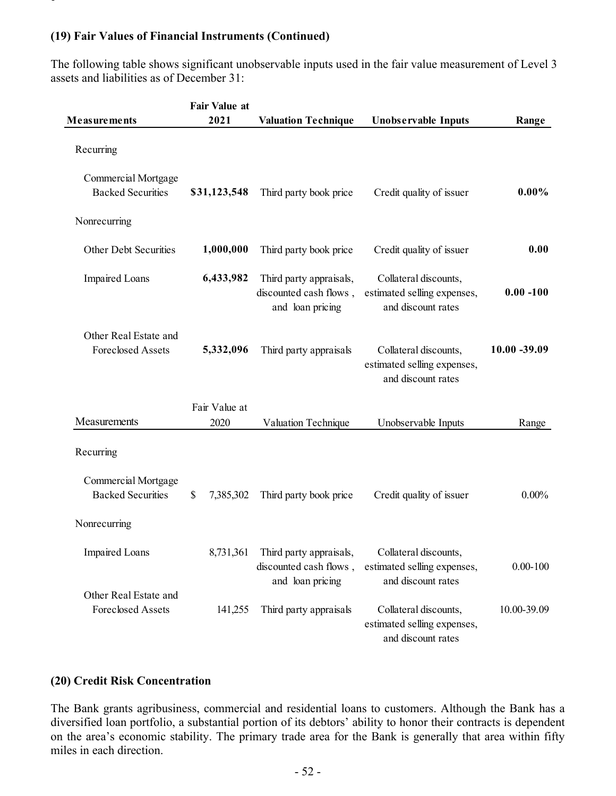The following table shows significant unobservable inputs used in the fair value measurement of Level 3 assets and liabilities as of December 31:

|                                                   | <b>Fair Value at</b> |                                                                       |                                                                            |              |
|---------------------------------------------------|----------------------|-----------------------------------------------------------------------|----------------------------------------------------------------------------|--------------|
| <b>Measurements</b>                               | 2021                 | <b>Valuation Technique</b>                                            | <b>Unobservable Inputs</b>                                                 | Range        |
| Recurring                                         |                      |                                                                       |                                                                            |              |
| Commercial Mortgage<br><b>Backed Securities</b>   | \$31,123,548         | Third party book price                                                | Credit quality of issuer                                                   | $0.00\%$     |
| Nonrecurring                                      |                      |                                                                       |                                                                            |              |
| Other Debt Securities                             | 1,000,000            | Third party book price                                                | Credit quality of issuer                                                   | 0.00         |
| <b>Impaired Loans</b>                             | 6,433,982            | Third party appraisals,<br>discounted cash flows,<br>and loan pricing | Collateral discounts,<br>estimated selling expenses,<br>and discount rates |              |
| Other Real Estate and<br><b>Foreclosed Assets</b> | 5,332,096            | Third party appraisals                                                | Collateral discounts,<br>estimated selling expenses,<br>and discount rates | 10.00 -39.09 |
|                                                   | Fair Value at        |                                                                       |                                                                            |              |
| Measurements                                      | 2020                 | Valuation Technique                                                   | Unobservable Inputs                                                        | Range        |
| Recurring                                         |                      |                                                                       |                                                                            |              |
| Commercial Mortgage<br><b>Backed Securities</b>   | \$<br>7,385,302      | Third party book price                                                | Credit quality of issuer                                                   | $0.00\%$     |
| Nonrecurring                                      |                      |                                                                       |                                                                            |              |
| <b>Impaired Loans</b>                             | 8,731,361            | Third party appraisals,<br>discounted cash flows,<br>and loan pricing | Collateral discounts,<br>estimated selling expenses,<br>and discount rates | $0.00 - 100$ |
| Other Real Estate and<br><b>Foreclosed Assets</b> | 141,255              | Third party appraisals                                                | Collateral discounts,<br>estimated selling expenses,<br>and discount rates | 10.00-39.09  |

## **(20) Credit Risk Concentration**

The Bank grants agribusiness, commercial and residential loans to customers. Although the Bank has a diversified loan portfolio, a substantial portion of its debtors' ability to honor their contracts is dependent on the area's economic stability. The primary trade area for the Bank is generally that area within fifty miles in each direction.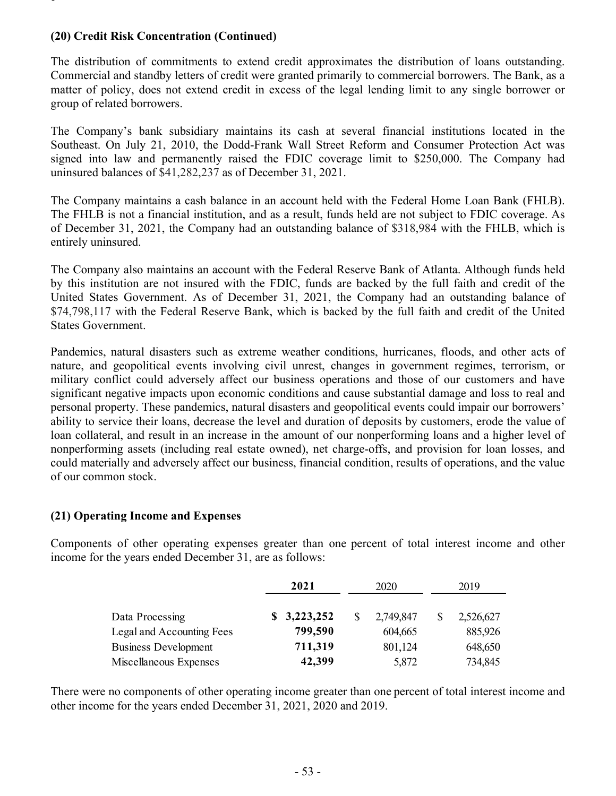## **(20) Credit Risk Concentration (Continued)**

The distribution of commitments to extend credit approximates the distribution of loans outstanding. Commercial and standby letters of credit were granted primarily to commercial borrowers. The Bank, as a matter of policy, does not extend credit in excess of the legal lending limit to any single borrower or group of related borrowers.

The Company's bank subsidiary maintains its cash at several financial institutions located in the Southeast. On July 21, 2010, the Dodd‐Frank Wall Street Reform and Consumer Protection Act was signed into law and permanently raised the FDIC coverage limit to \$250,000. The Company had uninsured balances of \$41,282,237 as of December 31, 2021.

The Company maintains a cash balance in an account held with the Federal Home Loan Bank (FHLB). The FHLB is not a financial institution, and as a result, funds held are not subject to FDIC coverage. As of December 31, 2021, the Company had an outstanding balance of \$318,984 with the FHLB, which is entirely uninsured.

The Company also maintains an account with the Federal Reserve Bank of Atlanta. Although funds held by this institution are not insured with the FDIC, funds are backed by the full faith and credit of the United States Government. As of December 31, 2021, the Company had an outstanding balance of \$74,798,117 with the Federal Reserve Bank, which is backed by the full faith and credit of the United States Government.

Pandemics, natural disasters such as extreme weather conditions, hurricanes, floods, and other acts of nature, and geopolitical events involving civil unrest, changes in government regimes, terrorism, or military conflict could adversely affect our business operations and those of our customers and have significant negative impacts upon economic conditions and cause substantial damage and loss to real and personal property. These pandemics, natural disasters and geopolitical events could impair our borrowers' ability to service their loans, decrease the level and duration of deposits by customers, erode the value of loan collateral, and result in an increase in the amount of our nonperforming loans and a higher level of nonperforming assets (including real estate owned), net charge‐offs, and provision for loan losses, and could materially and adversely affect our business, financial condition, results of operations, and the value of our common stock.

## **(21) Operating Income and Expenses**

Components of other operating expenses greater than one percent of total interest income and other income for the years ended December 31, are as follows:

|                             | 2021        | 2020            | 2019           |
|-----------------------------|-------------|-----------------|----------------|
|                             |             |                 |                |
| Data Processing             | \$3,223,252 | 2,749,847<br>\$ | 2,526,627<br>S |
| Legal and Accounting Fees   | 799,590     | 604,665         | 885,926        |
| <b>Business Development</b> | 711,319     | 801,124         | 648,650        |
| Miscellaneous Expenses      | 42,399      | 5,872           | 734,845        |

There were no components of other operating income greater than one percent of total interest income and other income for the years ended December 31, 2021, 2020 and 2019.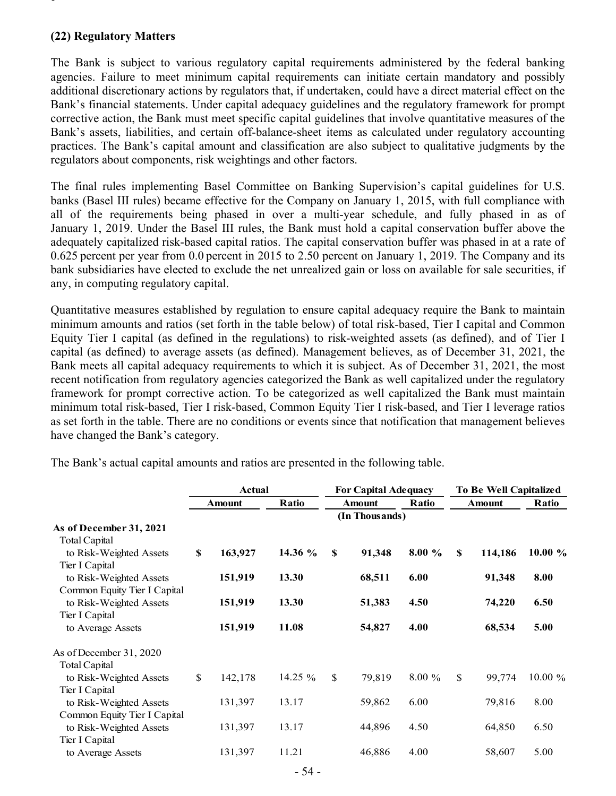#### **(22) Regulatory Matters**

The Bank is subject to various regulatory capital requirements administered by the federal banking agencies. Failure to meet minimum capital requirements can initiate certain mandatory and possibly additional discretionary actions by regulators that, if undertaken, could have a direct material effect on the Bank's financial statements. Under capital adequacy guidelines and the regulatory framework for prompt corrective action, the Bank must meet specific capital guidelines that involve quantitative measures of the Bank's assets, liabilities, and certain off-balance-sheet items as calculated under regulatory accounting practices. The Bank's capital amount and classification are also subject to qualitative judgments by the regulators about components, risk weightings and other factors.

The final rules implementing Basel Committee on Banking Supervision's capital guidelines for U.S. banks (Basel III rules) became effective for the Company on January 1, 2015, with full compliance with all of the requirements being phased in over a multi-year schedule, and fully phased in as of January 1, 2019. Under the Basel III rules, the Bank must hold a capital conservation buffer above the adequately capitalized risk‐based capital ratios. The capital conservation buffer was phased in at a rate of 0.625 percent per year from 0.0 percent in 2015 to 2.50 percent on January 1, 2019. The Company and its bank subsidiaries have elected to exclude the net unrealized gain or loss on available for sale securities, if any, in computing regulatory capital.

Quantitative measures established by regulation to ensure capital adequacy require the Bank to maintain minimum amounts and ratios (set forth in the table below) of total risk‐based, Tier I capital and Common Equity Tier I capital (as defined in the regulations) to risk‐weighted assets (as defined), and of Tier I capital (as defined) to average assets (as defined). Management believes, as of December 31, 2021, the Bank meets all capital adequacy requirements to which it is subject. As of December 31, 2021, the most recent notification from regulatory agencies categorized the Bank as well capitalized under the regulatory framework for prompt corrective action. To be categorized as well capitalized the Bank must maintain minimum total risk‐based, Tier I risk‐based, Common Equity Tier I risk‐based, and Tier I leverage ratios as set forth in the table. There are no conditions or events since that notification that management believes have changed the Bank's category.

|                              | <b>Actual</b> |               |         | <b>For Capital Adequacy</b> |               |        | To Be Well Capitalized |               |         |  |
|------------------------------|---------------|---------------|---------|-----------------------------|---------------|--------|------------------------|---------------|---------|--|
|                              |               | <b>Amount</b> | Ratio   |                             | <b>Amount</b> | Ratio  |                        | <b>Amount</b> | Ratio   |  |
|                              |               |               |         | (In Thousands)              |               |        |                        |               |         |  |
| As of December 31, 2021      |               |               |         |                             |               |        |                        |               |         |  |
| Total Capital                |               |               |         |                             |               |        |                        |               |         |  |
| to Risk-Weighted Assets      | \$            | 163,927       | 14.36 % | S                           | 91,348        | 8.00%  | \$                     | 114,186       | 10.00 % |  |
| Tier I Capital               |               |               |         |                             |               |        |                        |               |         |  |
| to Risk-Weighted Assets      |               | 151,919       | 13.30   |                             | 68,511        | 6.00   |                        | 91,348        | 8.00    |  |
| Common Equity Tier I Capital |               |               |         |                             |               |        |                        |               |         |  |
| to Risk-Weighted Assets      |               | 151,919       | 13.30   |                             | 51,383        | 4.50   |                        | 74,220        | 6.50    |  |
| Tier I Capital               |               |               |         |                             |               |        |                        |               |         |  |
| to Average Assets            |               | 151,919       | 11.08   |                             | 54,827        | 4.00   |                        | 68,534        | 5.00    |  |
| As of December 31, 2020      |               |               |         |                             |               |        |                        |               |         |  |
| Total Capital                |               |               |         |                             |               |        |                        |               |         |  |
| to Risk-Weighted Assets      | \$            | 142,178       | 14.25 % | \$                          | 79,819        | 8.00 % | \$                     | 99,774        | 10.00 % |  |
| Tier I Capital               |               |               |         |                             |               |        |                        |               |         |  |
| to Risk-Weighted Assets      |               | 131,397       | 13.17   |                             | 59,862        | 6.00   |                        | 79,816        | 8.00    |  |
| Common Equity Tier I Capital |               |               |         |                             |               |        |                        |               |         |  |
| to Risk-Weighted Assets      |               | 131,397       | 13.17   |                             | 44,896        | 4.50   |                        | 64,850        | 6.50    |  |
| Tier I Capital               |               |               |         |                             |               |        |                        |               |         |  |
| to Average Assets            |               | 131,397       | 11.21   |                             | 46,886        | 4.00   |                        | 58,607        | 5.00    |  |
|                              |               |               |         |                             |               |        |                        |               |         |  |

The Bank's actual capital amounts and ratios are presented in the following table.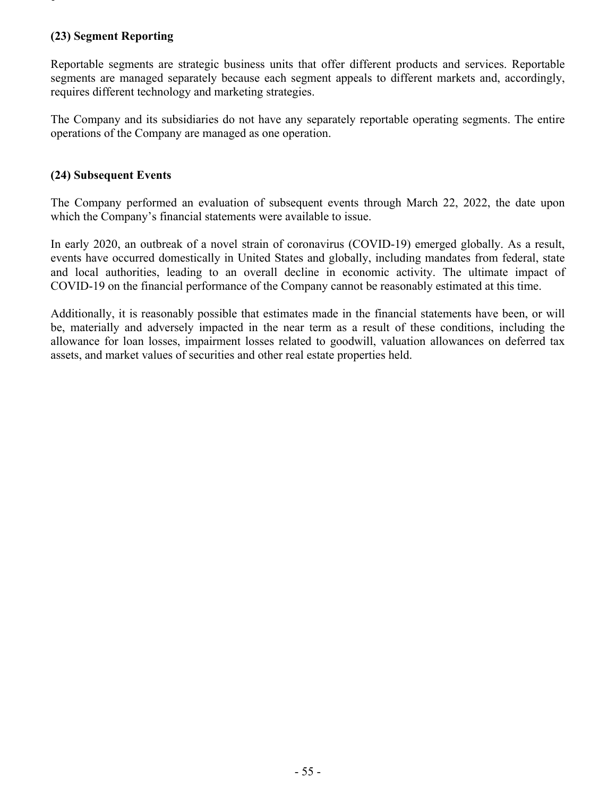## **(23) Segment Reporting**

7

Reportable segments are strategic business units that offer different products and services. Reportable segments are managed separately because each segment appeals to different markets and, accordingly, requires different technology and marketing strategies.

The Company and its subsidiaries do not have any separately reportable operating segments. The entire operations of the Company are managed as one operation.

#### **(24) Subsequent Events**

The Company performed an evaluation of subsequent events through March 22, 2022, the date upon which the Company's financial statements were available to issue.

In early 2020, an outbreak of a novel strain of coronavirus (COVID-19) emerged globally. As a result, events have occurred domestically in United States and globally, including mandates from federal, state and local authorities, leading to an overall decline in economic activity. The ultimate impact of COVID‐19 on the financial performance of the Company cannot be reasonably estimated at this time.

Additionally, it is reasonably possible that estimates made in the financial statements have been, or will be, materially and adversely impacted in the near term as a result of these conditions, including the allowance for loan losses, impairment losses related to goodwill, valuation allowances on deferred tax assets, and market values of securities and other real estate properties held.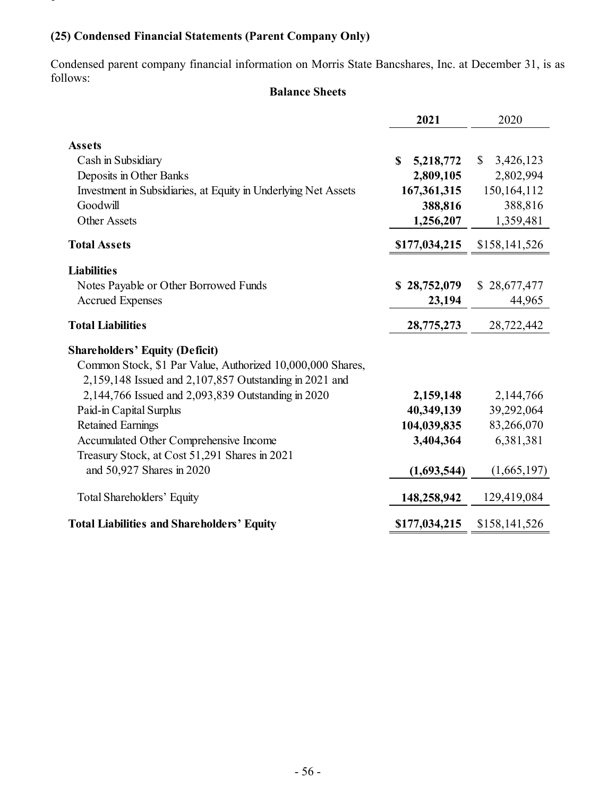# **(25) Condensed Financial Statements (Parent Company Only)**

 $\overline{\phantom{a}}$ 

Condensed parent company financial information on Morris State Bancshares, Inc. at December 31, is as follows:

# **Balance Sheets**

|                                                                | 2021           | 2020                      |
|----------------------------------------------------------------|----------------|---------------------------|
|                                                                |                |                           |
| <b>Assets</b>                                                  |                |                           |
| Cash in Subsidiary                                             | S<br>5,218,772 | $\mathbb{S}$<br>3,426,123 |
| Deposits in Other Banks                                        | 2,809,105      | 2,802,994                 |
| Investment in Subsidiaries, at Equity in Underlying Net Assets | 167,361,315    | 150,164,112               |
| Goodwill                                                       | 388,816        | 388,816                   |
| <b>Other Assets</b>                                            | 1,256,207      | 1,359,481                 |
| <b>Total Assets</b>                                            | \$177,034,215  | \$158,141,526             |
| <b>Liabilities</b>                                             |                |                           |
| Notes Payable or Other Borrowed Funds                          | \$28,752,079   | \$28,677,477              |
| <b>Accrued Expenses</b>                                        | 23,194         | 44,965                    |
|                                                                |                |                           |
| <b>Total Liabilities</b>                                       | 28,775,273     | 28,722,442                |
| <b>Shareholders' Equity (Deficit)</b>                          |                |                           |
| Common Stock, \$1 Par Value, Authorized 10,000,000 Shares,     |                |                           |
| 2,159,148 Issued and 2,107,857 Outstanding in 2021 and         |                |                           |
| 2,144,766 Issued and 2,093,839 Outstanding in 2020             | 2,159,148      | 2,144,766                 |
| Paid-in Capital Surplus                                        | 40,349,139     | 39,292,064                |
| <b>Retained Earnings</b>                                       | 104,039,835    | 83,266,070                |
| Accumulated Other Comprehensive Income                         | 3,404,364      | 6,381,381                 |
| Treasury Stock, at Cost 51,291 Shares in 2021                  |                |                           |
| and 50,927 Shares in 2020                                      | (1,693,544)    | (1,665,197)               |
| <b>Total Shareholders' Equity</b>                              | 148,258,942    | 129,419,084               |
| <b>Total Liabilities and Shareholders' Equity</b>              | \$177,034,215  | \$158,141,526             |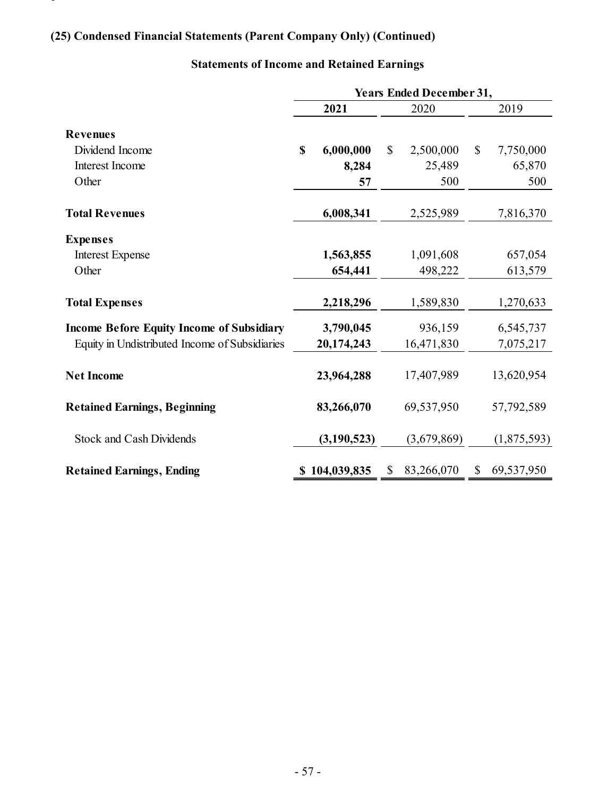# **(25) Condensed Financial Statements (Parent Company Only) (Continued)**

 $\overline{\phantom{a}}$ 

|                                                  | <b>Years Ended December 31,</b> |                           |                  |  |  |  |  |
|--------------------------------------------------|---------------------------------|---------------------------|------------------|--|--|--|--|
|                                                  | 2021                            | 2020                      | 2019             |  |  |  |  |
| <b>Revenues</b>                                  |                                 |                           |                  |  |  |  |  |
| Dividend Income                                  | 6,000,000<br>$\mathbf S$        | $\mathbb{S}$<br>2,500,000 | \$<br>7,750,000  |  |  |  |  |
| Interest Income                                  | 8,284                           | 25,489                    | 65,870           |  |  |  |  |
| Other                                            | 57                              | 500                       | 500              |  |  |  |  |
| <b>Total Revenues</b>                            | 6,008,341                       | 2,525,989                 | 7,816,370        |  |  |  |  |
| <b>Expenses</b>                                  |                                 |                           |                  |  |  |  |  |
| <b>Interest Expense</b>                          | 1,563,855                       | 1,091,608                 | 657,054          |  |  |  |  |
| Other                                            | 654,441                         | 498,222                   | 613,579          |  |  |  |  |
| <b>Total Expenses</b>                            | 2,218,296                       | 1,589,830                 | 1,270,633        |  |  |  |  |
| <b>Income Before Equity Income of Subsidiary</b> | 3,790,045                       | 936,159                   | 6,545,737        |  |  |  |  |
| Equity in Undistributed Income of Subsidiaries   | 20,174,243                      | 16,471,830                | 7,075,217        |  |  |  |  |
| <b>Net Income</b>                                | 23,964,288                      | 17,407,989                | 13,620,954       |  |  |  |  |
| <b>Retained Earnings, Beginning</b>              | 83,266,070                      | 69,537,950                | 57,792,589       |  |  |  |  |
| <b>Stock and Cash Dividends</b>                  | (3,190,523)                     | (3,679,869)               | (1,875,593)      |  |  |  |  |
| <b>Retained Earnings, Ending</b>                 | \$104,039,835                   | 83,266,070<br>\$          | 69,537,950<br>\$ |  |  |  |  |

# **Statements of Income and Retained Earnings**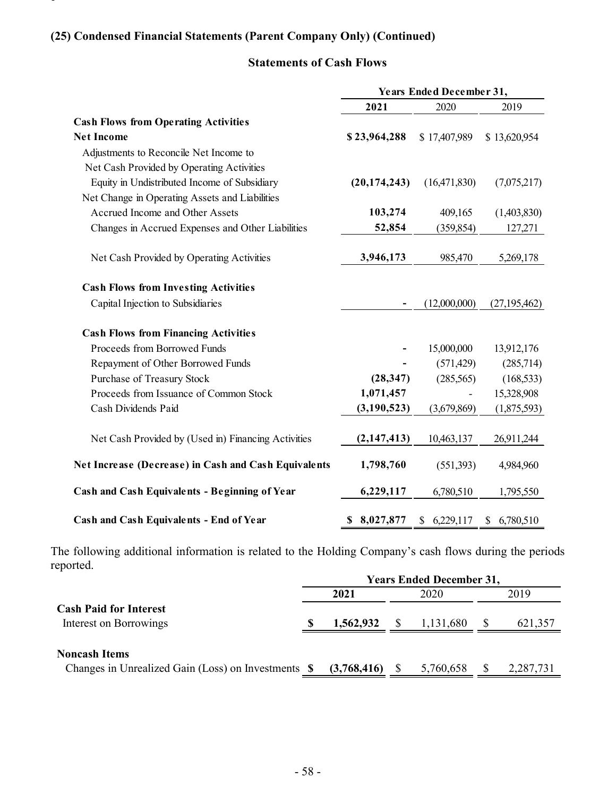# **(25) Condensed Financial Statements (Parent Company Only) (Continued)**

 $\overline{\phantom{a}}$ 

# **Statements of Cash Flows**

|                                                      | Years Ended December 31, |                 |                 |  |
|------------------------------------------------------|--------------------------|-----------------|-----------------|--|
|                                                      | 2021                     | 2020            | 2019            |  |
| <b>Cash Flows from Operating Activities</b>          |                          |                 |                 |  |
| <b>Net Income</b>                                    | \$23,964,288             | \$17,407,989    | \$13,620,954    |  |
| Adjustments to Reconcile Net Income to               |                          |                 |                 |  |
| Net Cash Provided by Operating Activities            |                          |                 |                 |  |
| Equity in Undistributed Income of Subsidiary         | (20, 174, 243)           | (16, 471, 830)  | (7,075,217)     |  |
| Net Change in Operating Assets and Liabilities       |                          |                 |                 |  |
| Accrued Income and Other Assets                      | 103,274                  | 409,165         | (1,403,830)     |  |
| Changes in Accrued Expenses and Other Liabilities    | 52,854                   | (359, 854)      | 127,271         |  |
| Net Cash Provided by Operating Activities            | 3,946,173                | 985,470         | 5,269,178       |  |
|                                                      |                          |                 |                 |  |
| <b>Cash Flows from Investing Activities</b>          |                          |                 |                 |  |
| Capital Injection to Subsidiaries                    |                          | (12,000,000)    | (27, 195, 462)  |  |
| <b>Cash Flows from Financing Activities</b>          |                          |                 |                 |  |
| Proceeds from Borrowed Funds                         |                          | 15,000,000      | 13,912,176      |  |
| Repayment of Other Borrowed Funds                    |                          | (571, 429)      | (285,714)       |  |
| Purchase of Treasury Stock                           | (28, 347)                | (285, 565)      | (168, 533)      |  |
| Proceeds from Issuance of Common Stock               | 1,071,457                |                 | 15,328,908      |  |
| Cash Dividends Paid                                  | (3, 190, 523)            | (3,679,869)     | (1,875,593)     |  |
|                                                      |                          |                 |                 |  |
| Net Cash Provided by (Used in) Financing Activities  | (2, 147, 413)            | 10,463,137      | 26,911,244      |  |
| Net Increase (Decrease) in Cash and Cash Equivalents | 1,798,760                | (551,393)       | 4,984,960       |  |
| Cash and Cash Equivalents - Beginning of Year        | 6,229,117                | 6,780,510       | 1,795,550       |  |
| Cash and Cash Equivalents - End of Year              | \$8,027,877              | 6,229,117<br>\$ | 6,780,510<br>\$ |  |

The following additional information is related to the Holding Company's cash flows during the periods reported.

|                                                         | <b>Years Ended December 31,</b> |             |      |           |  |           |
|---------------------------------------------------------|---------------------------------|-------------|------|-----------|--|-----------|
|                                                         | 2021                            |             | 2020 |           |  | 2019      |
| <b>Cash Paid for Interest</b><br>Interest on Borrowings |                                 | 1,562,932   |      | 1,131,680 |  | 621,357   |
| <b>Noncash Items</b>                                    |                                 |             |      |           |  |           |
| Changes in Unrealized Gain (Loss) on Investments \$     |                                 | (3,768,416) |      | 5,760,658 |  | 2,287,731 |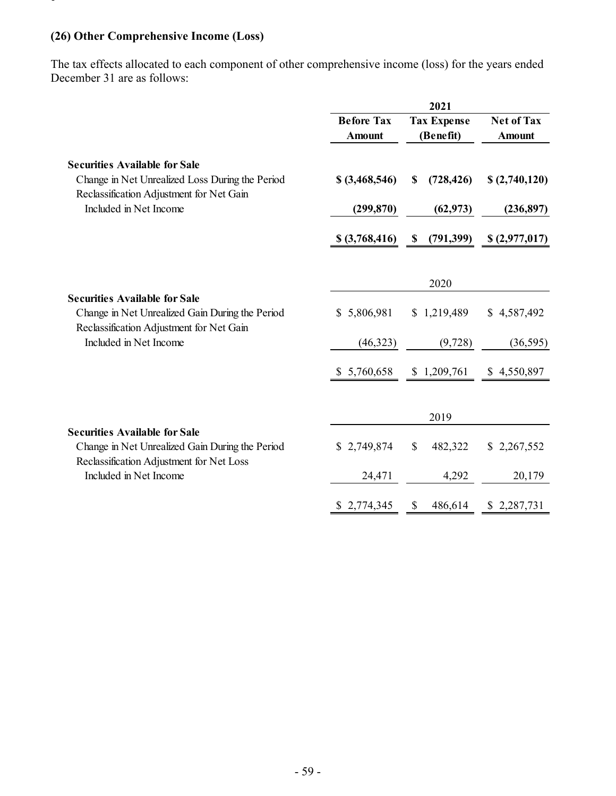# **(26) Other Comprehensive Income (Loss)**

 $\overline{\phantom{a}}$ 

The tax effects allocated to each component of other comprehensive income (loss) for the years ended December 31 are as follows:

|                                                                                                                                     | 2021                               |               |                                 |                                    |
|-------------------------------------------------------------------------------------------------------------------------------------|------------------------------------|---------------|---------------------------------|------------------------------------|
|                                                                                                                                     | <b>Before Tax</b><br><b>Amount</b> |               | <b>Tax Expense</b><br>(Benefit) | <b>Net of Tax</b><br><b>Amount</b> |
| <b>Securities Available for Sale</b><br>Change in Net Unrealized Loss During the Period<br>Reclassification Adjustment for Net Gain | $$$ (3,468,546)                    | \$            | (728, 426)                      | \$(2,740,120)                      |
| Included in Net Income                                                                                                              | (299, 870)                         |               | (62, 973)                       | (236,897)                          |
|                                                                                                                                     | \$ (3,768,416)                     | \$            | (791,399)                       | \$(2,977,017)                      |
|                                                                                                                                     |                                    |               | 2020                            |                                    |
| <b>Securities Available for Sale</b><br>Change in Net Unrealized Gain During the Period<br>Reclassification Adjustment for Net Gain | 5,806,981<br>S                     |               | \$1,219,489                     | \$4,587,492                        |
| Included in Net Income                                                                                                              | (46,323)                           |               | (9, 728)                        | (36, 595)                          |
|                                                                                                                                     | \$5,760,658                        |               | \$1,209,761                     | \$4,550,897                        |
|                                                                                                                                     |                                    |               | 2019                            |                                    |
| <b>Securities Available for Sale</b><br>Change in Net Unrealized Gain During the Period<br>Reclassification Adjustment for Net Loss | \$2,749,874                        | $\mathcal{S}$ | 482,322                         | \$2,267,552                        |
| Included in Net Income                                                                                                              | 24,471                             |               | 4,292                           | 20,179                             |
|                                                                                                                                     | \$2,774,345                        | \$            | 486,614                         | \$2,287,731                        |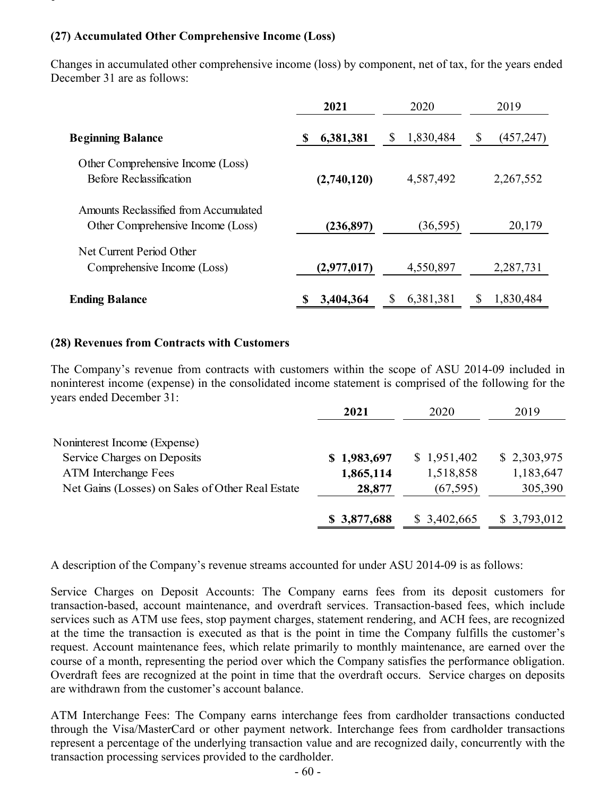## **(27) Accumulated Other Comprehensive Income (Loss)**

7

Changes in accumulated other comprehensive income (loss) by component, net of tax, for the years ended December 31 are as follows:

|                                                                            | 2021             | 2020            | 2019           |
|----------------------------------------------------------------------------|------------------|-----------------|----------------|
| <b>Beginning Balance</b>                                                   | 6,381,381<br>-SS | \$<br>1,830,484 | S<br>(457,247) |
| Other Comprehensive Income (Loss)<br><b>Before Reclassification</b>        | (2,740,120)      | 4,587,492       | 2,267,552      |
| Amounts Reclassified from Accumulated<br>Other Comprehensive Income (Loss) | (236, 897)       | (36, 595)       | 20,179         |
| Net Current Period Other<br>Comprehensive Income (Loss)                    | (2,977,017)      | 4,550,897       | 2,287,731      |
| <b>Ending Balance</b>                                                      | 3,404,364        | 6,381,381       | 1,830,484      |

#### **(28) Revenues from Contracts with Customers**

The Company's revenue from contracts with customers within the scope of ASU 2014-09 included in noninterest income (expense) in the consolidated income statement is comprised of the following for the years ended December 31:

|                                                  | 2021        | 2020        | 2019        |
|--------------------------------------------------|-------------|-------------|-------------|
| Noninterest Income (Expense)                     |             |             |             |
| Service Charges on Deposits                      | \$1,983,697 | \$1,951,402 | \$2,303,975 |
| <b>ATM</b> Interchange Fees                      | 1,865,114   | 1,518,858   | 1,183,647   |
| Net Gains (Losses) on Sales of Other Real Estate | 28,877      | (67, 595)   | 305,390     |
|                                                  | \$3,877,688 | \$3,402,665 | \$3,793,012 |

A description of the Company's revenue streams accounted for under ASU 2014-09 is as follows:

Service Charges on Deposit Accounts: The Company earns fees from its deposit customers for transaction-based, account maintenance, and overdraft services. Transaction-based fees, which include services such as ATM use fees, stop payment charges, statement rendering, and ACH fees, are recognized at the time the transaction is executed as that is the point in time the Company fulfills the customer's request. Account maintenance fees, which relate primarily to monthly maintenance, are earned over the course of a month, representing the period over which the Company satisfies the performance obligation. Overdraft fees are recognized at the point in time that the overdraft occurs. Service charges on deposits are withdrawn from the customer's account balance.

ATM Interchange Fees: The Company earns interchange fees from cardholder transactions conducted through the Visa/MasterCard or other payment network. Interchange fees from cardholder transactions represent a percentage of the underlying transaction value and are recognized daily, concurrently with the transaction processing services provided to the cardholder.